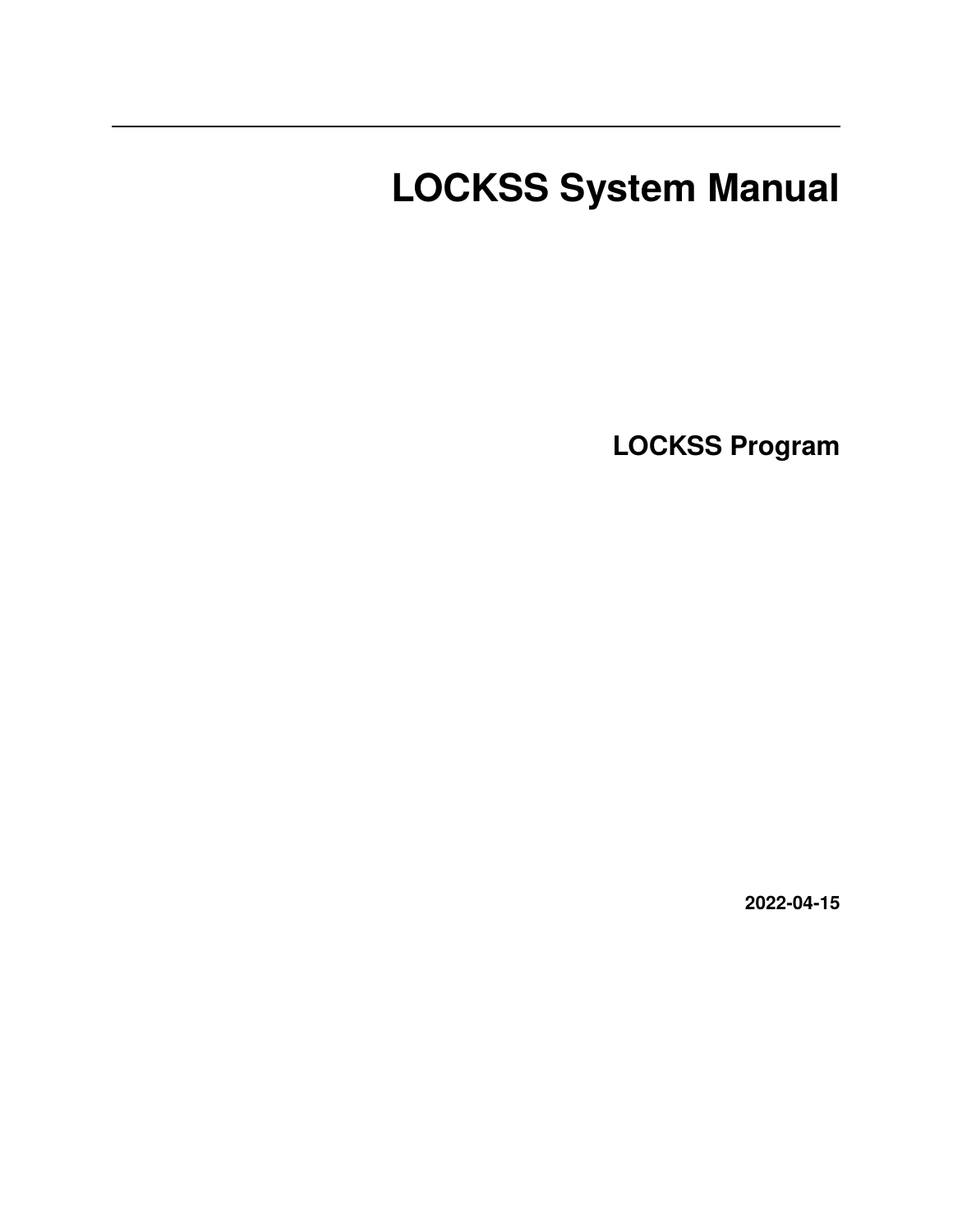# <span id="page-0-0"></span>**LOCKSS System Manual**

**LOCKSS Program**

**2022-04-15**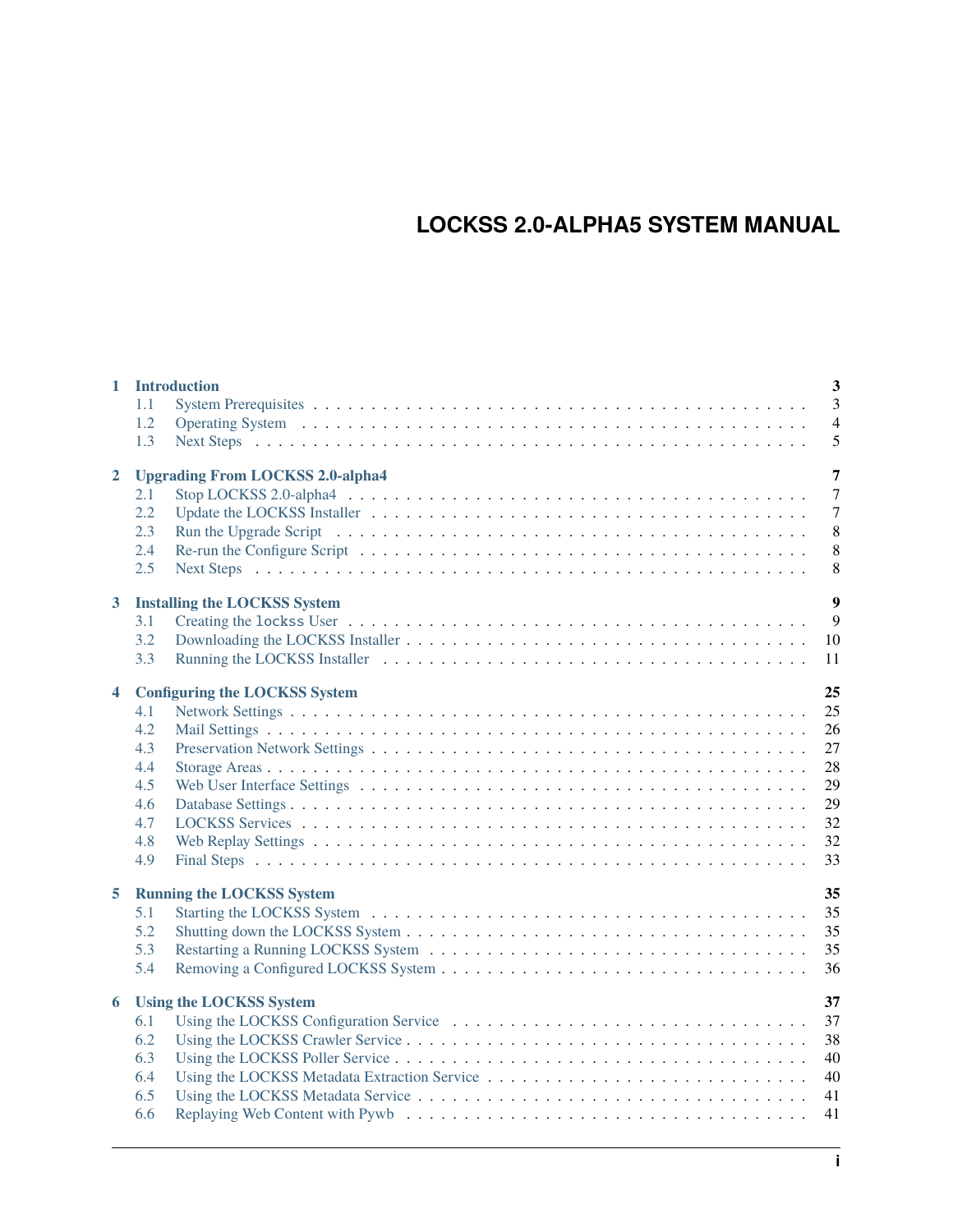# **LOCKSS 2.0-ALPHA5 SYSTEM MANUAL**

|                         |                                          | 3<br>1 Introduction                          |  |  |  |  |
|-------------------------|------------------------------------------|----------------------------------------------|--|--|--|--|
|                         | 1.1                                      | $\overline{3}$                               |  |  |  |  |
|                         | 1.2                                      | $\overline{4}$                               |  |  |  |  |
|                         | 1.3                                      | 5                                            |  |  |  |  |
| $\overline{2}$          |                                          | 7<br><b>Upgrading From LOCKSS 2.0-alpha4</b> |  |  |  |  |
|                         | 2.1                                      | $\overline{7}$                               |  |  |  |  |
|                         | 2.2                                      | $\overline{7}$                               |  |  |  |  |
|                         | 2.3                                      | 8                                            |  |  |  |  |
|                         | 2.4                                      | 8                                            |  |  |  |  |
|                         | 2.5                                      | 8                                            |  |  |  |  |
| $3^{\circ}$             | 9<br><b>Installing the LOCKSS System</b> |                                              |  |  |  |  |
|                         | 3.1                                      | 9                                            |  |  |  |  |
|                         | 3.2                                      | 10                                           |  |  |  |  |
|                         | 3.3                                      | 11                                           |  |  |  |  |
|                         |                                          |                                              |  |  |  |  |
| $\overline{\mathbf{4}}$ |                                          | 25<br><b>Configuring the LOCKSS System</b>   |  |  |  |  |
|                         | 4.1                                      | 25                                           |  |  |  |  |
|                         | 4.2                                      | 26                                           |  |  |  |  |
|                         | 4.3                                      | 27                                           |  |  |  |  |
|                         | 4.4                                      | 28                                           |  |  |  |  |
|                         | 4.5                                      | 29                                           |  |  |  |  |
|                         | 4.6                                      | 29                                           |  |  |  |  |
|                         | 4.7                                      | 32                                           |  |  |  |  |
|                         | 4.8                                      | 32                                           |  |  |  |  |
|                         | 4.9                                      | 33                                           |  |  |  |  |
| 5                       | 35<br><b>Running the LOCKSS System</b>   |                                              |  |  |  |  |
|                         | 5.1                                      | 35                                           |  |  |  |  |
|                         | 5.2                                      | 35                                           |  |  |  |  |
|                         | 5.3                                      | 35                                           |  |  |  |  |
|                         | 5.4                                      | 36                                           |  |  |  |  |
| 6                       | 37<br><b>Using the LOCKSS System</b>     |                                              |  |  |  |  |
|                         | 6.1                                      | 37                                           |  |  |  |  |
|                         | 6.2                                      | 38                                           |  |  |  |  |
|                         | 6.3                                      | 40                                           |  |  |  |  |
|                         | 6.4                                      | 40                                           |  |  |  |  |
|                         | 6.5                                      | 41                                           |  |  |  |  |
|                         | 6.6                                      | 41                                           |  |  |  |  |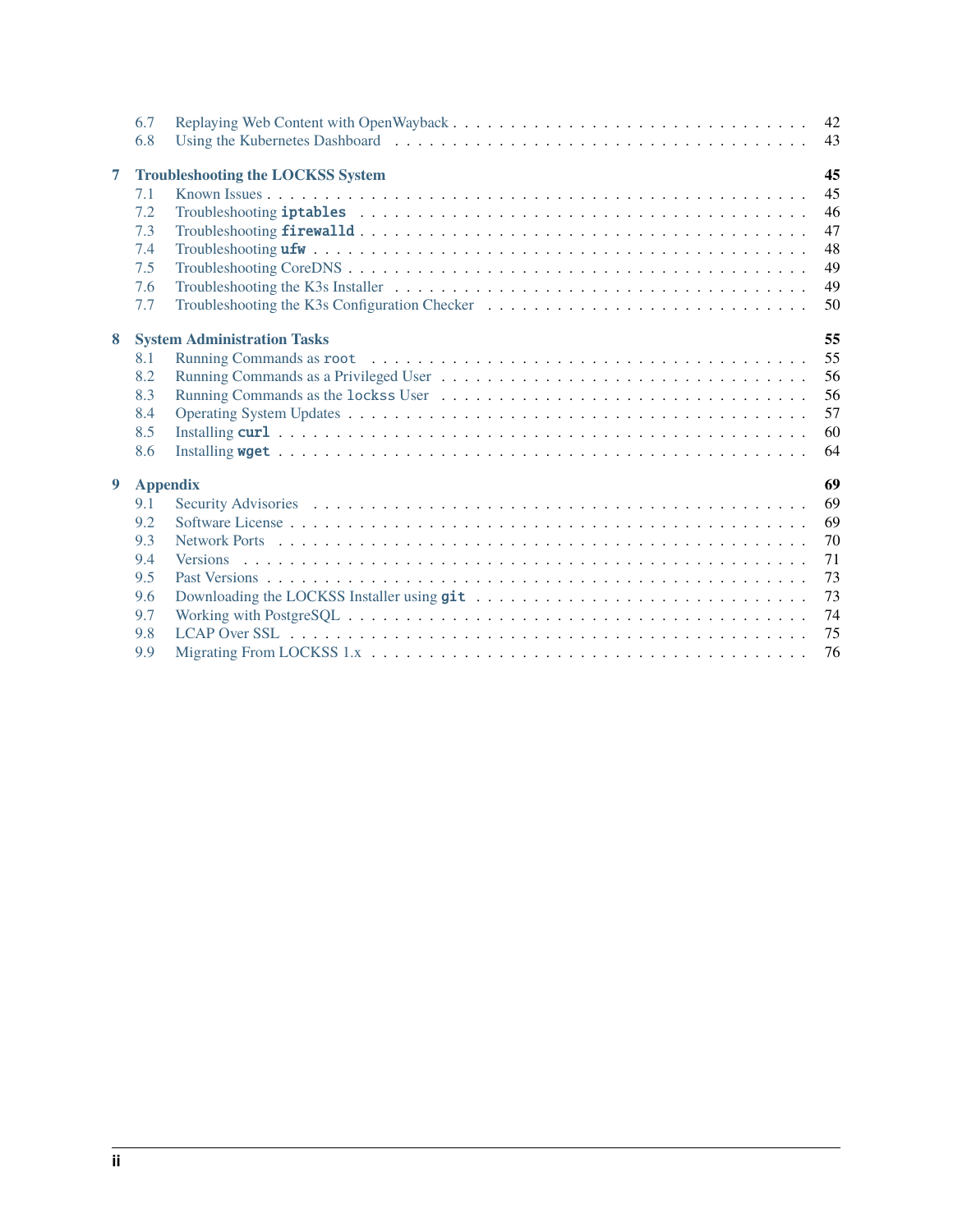|   | 6.7                                      | 42 |  |  |  |  |
|---|------------------------------------------|----|--|--|--|--|
|   | 6.8                                      | 43 |  |  |  |  |
| 7 | <b>Troubleshooting the LOCKSS System</b> |    |  |  |  |  |
|   | 7.1                                      | 45 |  |  |  |  |
|   | 7.2                                      | 46 |  |  |  |  |
|   | 7.3                                      | 47 |  |  |  |  |
|   | 7.4                                      | 48 |  |  |  |  |
|   | 7.5                                      | 49 |  |  |  |  |
|   | 7.6                                      | 49 |  |  |  |  |
|   | 7.7                                      | 50 |  |  |  |  |
| 8 | 55<br><b>System Administration Tasks</b> |    |  |  |  |  |
|   | 8.1                                      | 55 |  |  |  |  |
|   | 8.2                                      | 56 |  |  |  |  |
|   | 8.3                                      | 56 |  |  |  |  |
|   | 8.4                                      | 57 |  |  |  |  |
|   | 8.5                                      | 60 |  |  |  |  |
|   | 8.6                                      | 64 |  |  |  |  |
| 9 | <b>Appendix</b>                          | 69 |  |  |  |  |
|   | 9.1                                      | 69 |  |  |  |  |
|   | 9.2                                      | 69 |  |  |  |  |
|   | 9.3                                      | 70 |  |  |  |  |
|   | 9.4                                      | 71 |  |  |  |  |
|   | 9.5                                      | 73 |  |  |  |  |
|   | 9.6                                      | 73 |  |  |  |  |
|   | 9.7                                      | 74 |  |  |  |  |
|   | 9.8                                      | 75 |  |  |  |  |
|   | 9.9                                      | 76 |  |  |  |  |
|   |                                          |    |  |  |  |  |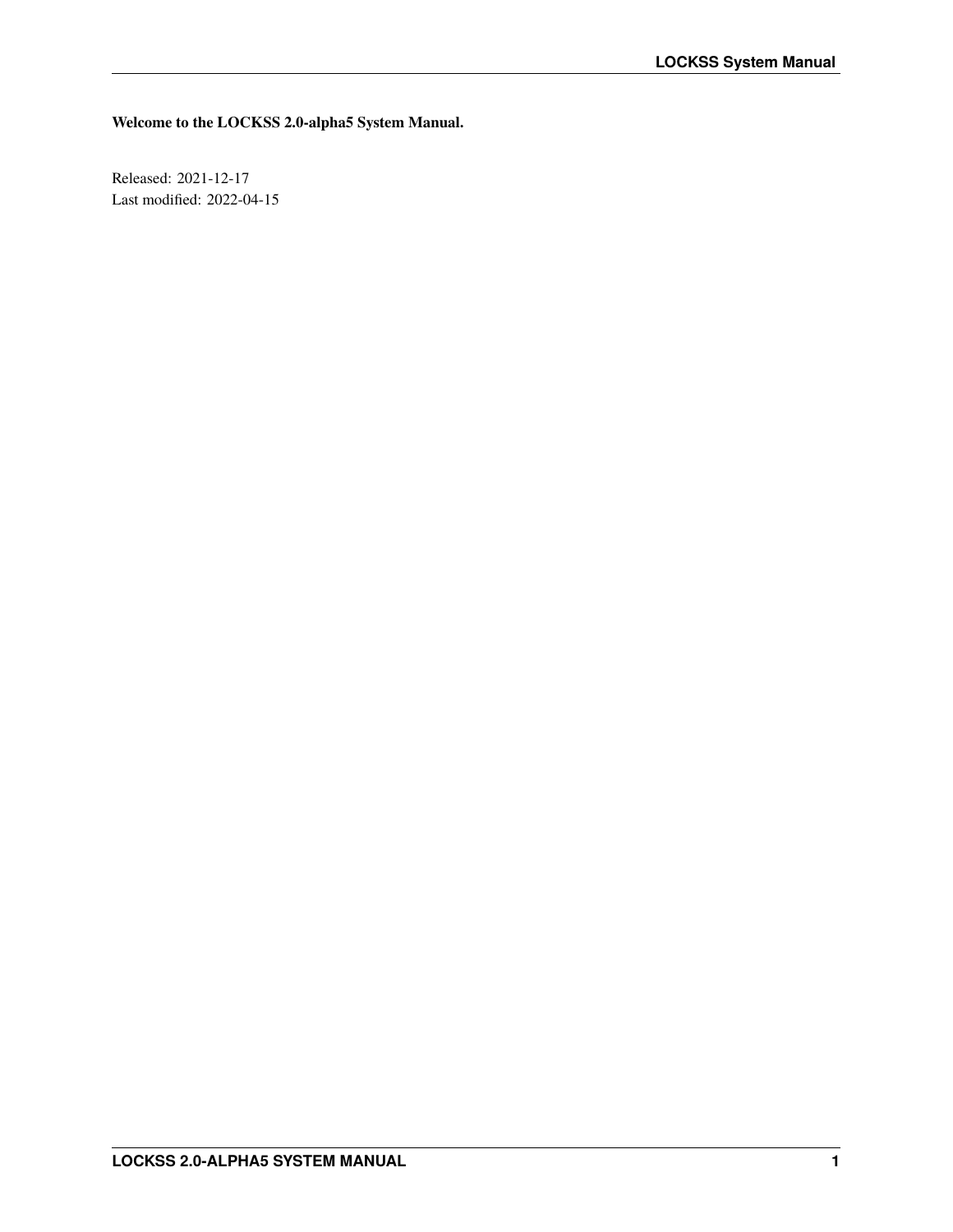**Welcome to the LOCKSS 2.0-alpha5 System Manual.**

Released: 2021-12-17 Last modified: 2022-04-15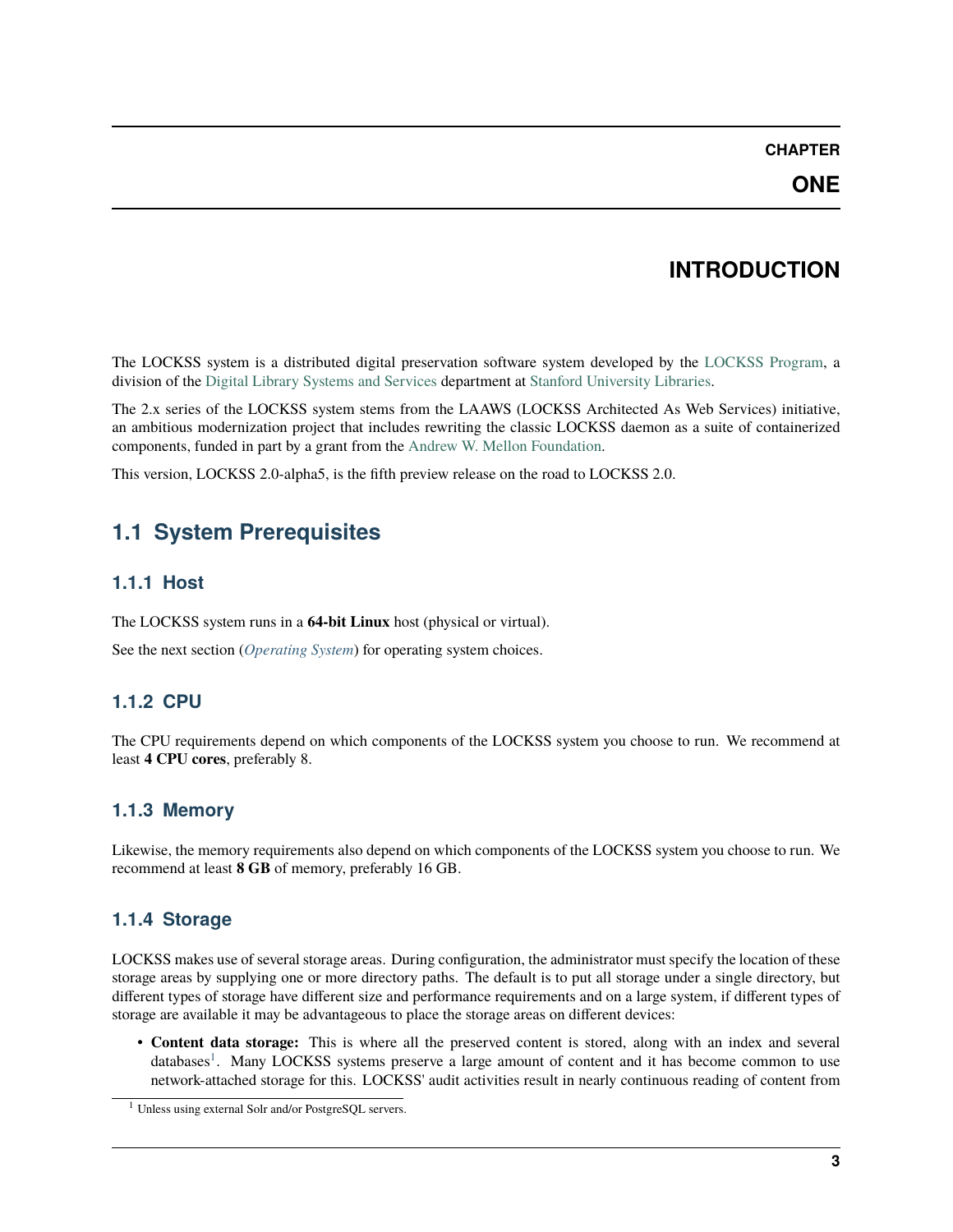### **CHAPTER**

# **INTRODUCTION**

<span id="page-6-0"></span>The LOCKSS system is a distributed digital preservation software system developed by the [LOCKSS Program,](https://www.lockss.org/) a division of the [Digital Library Systems and Services](https://library.stanford.edu/department/digital-library-systems-and-services-dlss) department at [Stanford University Libraries.](https://library.stanford.edu/)

The 2.x series of the LOCKSS system stems from the LAAWS (LOCKSS Architected As Web Services) initiative, an ambitious modernization project that includes rewriting the classic LOCKSS daemon as a suite of containerized components, funded in part by a grant from the [Andrew W. Mellon Foundation.](https://mellon.org/)

This version, LOCKSS 2.0-alpha5, is the fifth preview release on the road to LOCKSS 2.0.

# <span id="page-6-1"></span>**1.1 System Prerequisites**

# **1.1.1 Host**

The LOCKSS system runs in a **64-bit Linux** host (physical or virtual).

See the next section (*[Operating System](#page-7-0)*) for operating system choices.

# **1.1.2 CPU**

The CPU requirements depend on which components of the LOCKSS system you choose to run. We recommend at least **4 CPU cores**, preferably 8.

# **1.1.3 Memory**

Likewise, the memory requirements also depend on which components of the LOCKSS system you choose to run. We recommend at least **8 GB** of memory, preferably 16 GB.

# **1.1.4 Storage**

LOCKSS makes use of several storage areas. During configuration, the administrator must specify the location of these storage areas by supplying one or more directory paths. The default is to put all storage under a single directory, but different types of storage have different size and performance requirements and on a large system, if different types of storage are available it may be advantageous to place the storage areas on different devices:

• **Content data storage:** This is where all the preserved content is stored, along with an index and several databases<sup>[1](#page-6-2)</sup>. Many LOCKSS systems preserve a large amount of content and it has become common to use network-attached storage for this. LOCKSS' audit activities result in nearly continuous reading of content from

<span id="page-6-2"></span><sup>&</sup>lt;sup>1</sup> Unless using external Solr and/or PostgreSQL servers.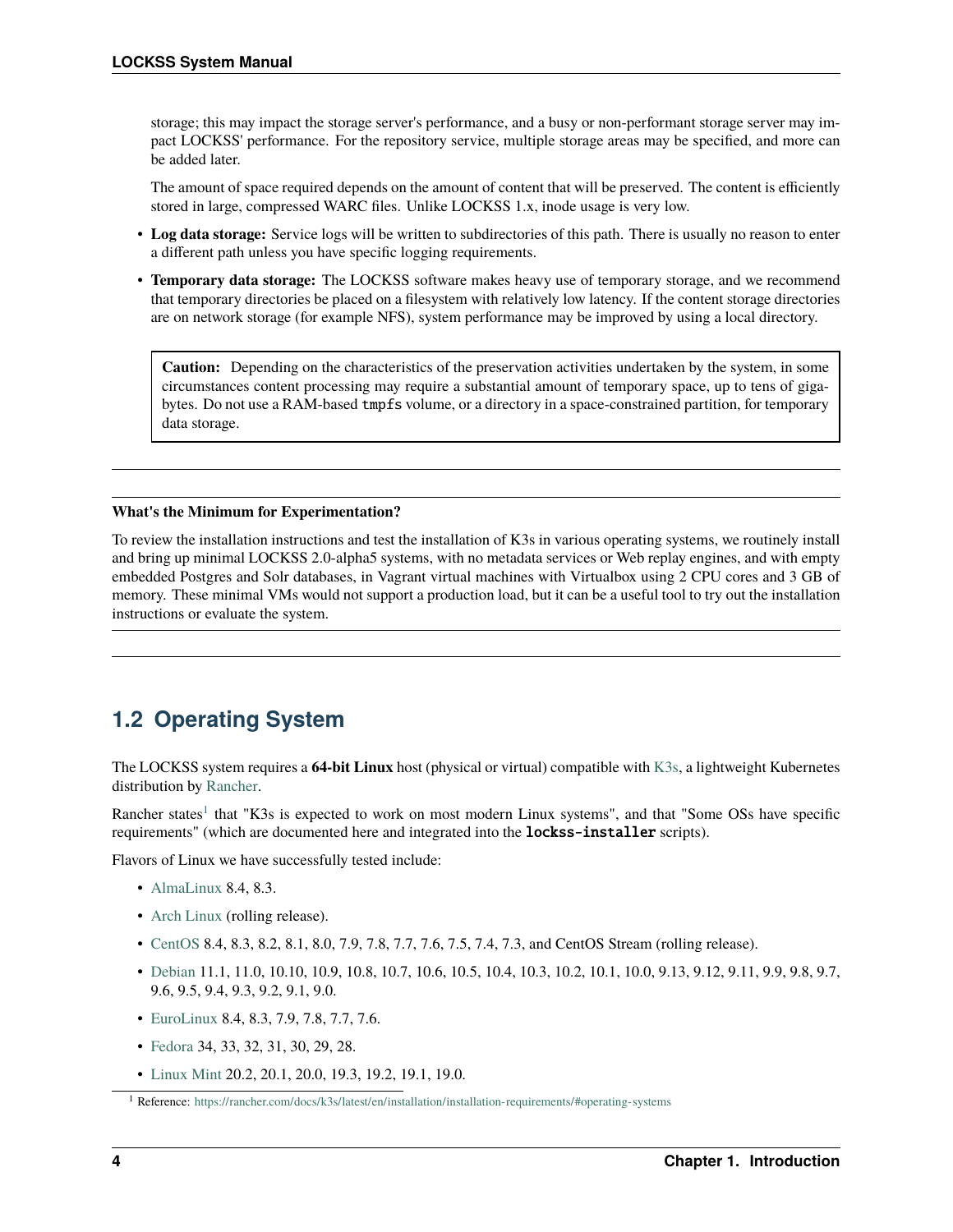storage; this may impact the storage server's performance, and a busy or non-performant storage server may impact LOCKSS' performance. For the repository service, multiple storage areas may be specified, and more can be added later.

The amount of space required depends on the amount of content that will be preserved. The content is efficiently stored in large, compressed WARC files. Unlike LOCKSS 1.x, inode usage is very low.

- **Log data storage:** Service logs will be written to subdirectories of this path. There is usually no reason to enter a different path unless you have specific logging requirements.
- **Temporary data storage:** The LOCKSS software makes heavy use of temporary storage, and we recommend that temporary directories be placed on a filesystem with relatively low latency. If the content storage directories are on network storage (for example NFS), system performance may be improved by using a local directory.

**Caution:** Depending on the characteristics of the preservation activities undertaken by the system, in some circumstances content processing may require a substantial amount of temporary space, up to tens of gigabytes. Do not use a RAM-based tmpfs volume, or a directory in a space-constrained partition, for temporary data storage.

#### **What's the Minimum for Experimentation?**

To review the installation instructions and test the installation of K3s in various operating systems, we routinely install and bring up minimal LOCKSS 2.0-alpha5 systems, with no metadata services or Web replay engines, and with empty embedded Postgres and Solr databases, in Vagrant virtual machines with Virtualbox using 2 CPU cores and 3 GB of memory. These minimal VMs would not support a production load, but it can be a useful tool to try out the installation instructions or evaluate the system.

# <span id="page-7-0"></span>**1.2 Operating System**

The LOCKSS system requires a **64-bit Linux** host (physical or virtual) compatible with [K3s,](https://k3s.io/) a lightweight Kubernetes distribution by [Rancher.](https://rancher.com/)

Rancher states<sup>[1](#page-7-1)</sup> that "K3s is expected to work on most modern Linux systems", and that "Some OSs have specific requirements" (which are documented here and integrated into the **lockss-installer** scripts).

Flavors of Linux we have successfully tested include:

- [AlmaLinux](https://almalinux.org/) 8.4, 8.3.
- [Arch Linux](https://archlinux.org/) (rolling release).
- [CentOS](https://www.centos.org/) 8.4, 8.3, 8.2, 8.1, 8.0, 7.9, 7.8, 7.7, 7.6, 7.5, 7.4, 7.3, and CentOS Stream (rolling release).
- [Debian](https://www.debian.org/) 11.1, 11.0, 10.10, 10.9, 10.8, 10.7, 10.6, 10.5, 10.4, 10.3, 10.2, 10.1, 10.0, 9.13, 9.12, 9.11, 9.9, 9.8, 9.7, 9.6, 9.5, 9.4, 9.3, 9.2, 9.1, 9.0.
- [EuroLinux](https://en.euro-linux.com/) 8.4, 8.3, 7.9, 7.8, 7.7, 7.6.
- [Fedora](https://getfedora.org/) 34, 33, 32, 31, 30, 29, 28.
- [Linux Mint](https://linuxmint.com/) 20.2, 20.1, 20.0, 19.3, 19.2, 19.1, 19.0.

<span id="page-7-1"></span><sup>1</sup> Reference: <https://rancher.com/docs/k3s/latest/en/installation/installation-requirements/#operating-systems>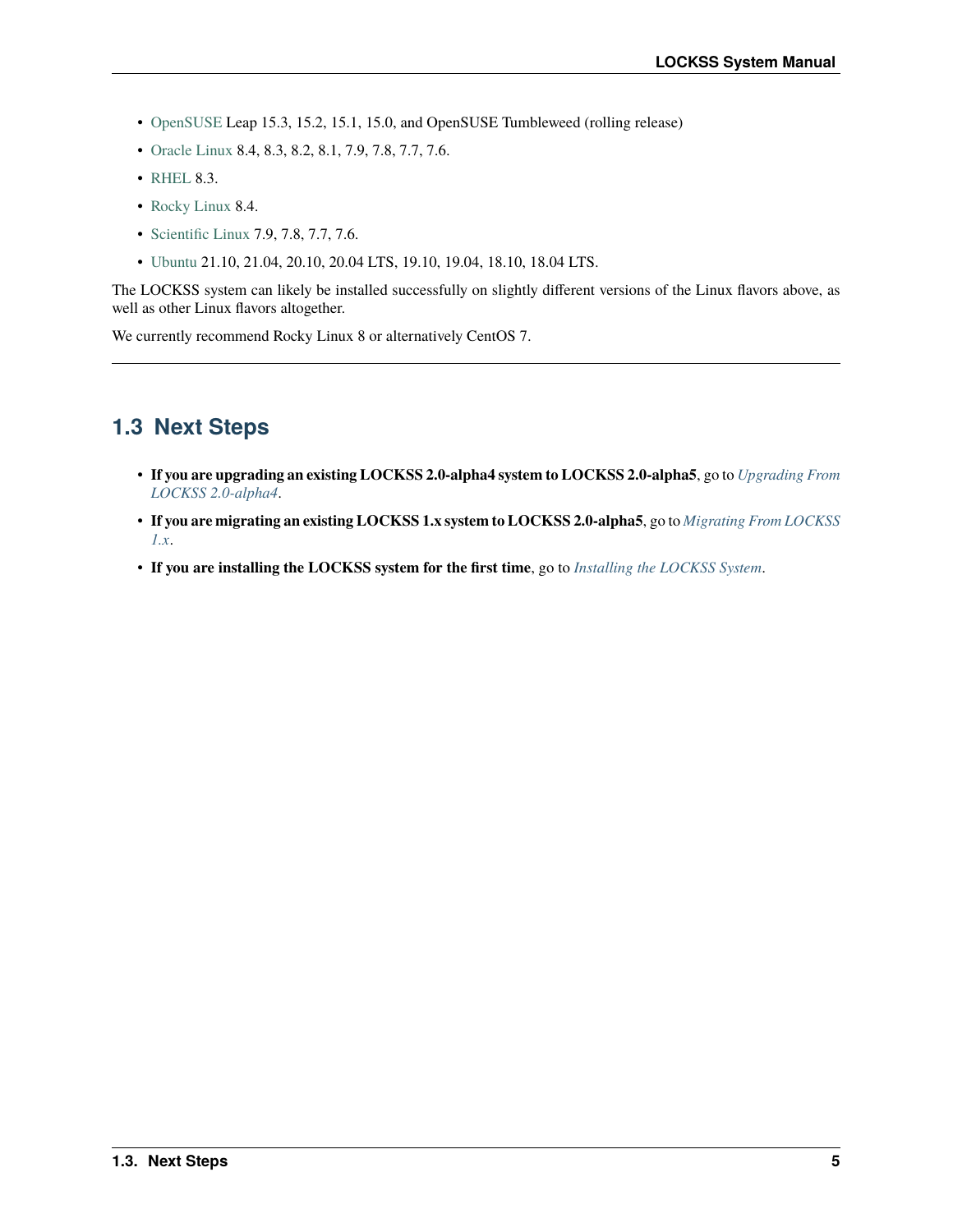- [OpenSUSE](https://www.opensuse.org/) Leap 15.3, 15.2, 15.1, 15.0, and OpenSUSE Tumbleweed (rolling release)
- [Oracle Linux](https://www.oracle.com/linux/) 8.4, 8.3, 8.2, 8.1, 7.9, 7.8, 7.7, 7.6.
- [RHEL](https://www.redhat.com/) 8.3.
- [Rocky Linux](https://rockylinux.org/) 8.4.
- [Scientific Linux](https://scientificlinux.org/) 7.9, 7.8, 7.7, 7.6.
- [Ubuntu](https://ubuntu.com/) 21.10, 21.04, 20.10, 20.04 LTS, 19.10, 19.04, 18.10, 18.04 LTS.

The LOCKSS system can likely be installed successfully on slightly different versions of the Linux flavors above, as well as other Linux flavors altogether.

We currently recommend Rocky Linux 8 or alternatively CentOS 7.

# <span id="page-8-0"></span>**1.3 Next Steps**

- **If you are upgrading an existing LOCKSS 2.0-alpha4 system to LOCKSS 2.0-alpha5**, go to *[Upgrading From](#page-10-0) [LOCKSS 2.0-alpha4](#page-10-0)*.
- **If you are migrating an existing LOCKSS 1.x system to LOCKSS 2.0-alpha5**, go to *[Migrating From LOCKSS](#page-79-0) [1.x](#page-79-0)*.
- **If you are installing the LOCKSS system for the first time**, go to *[Installing the LOCKSS System](#page-12-0)*.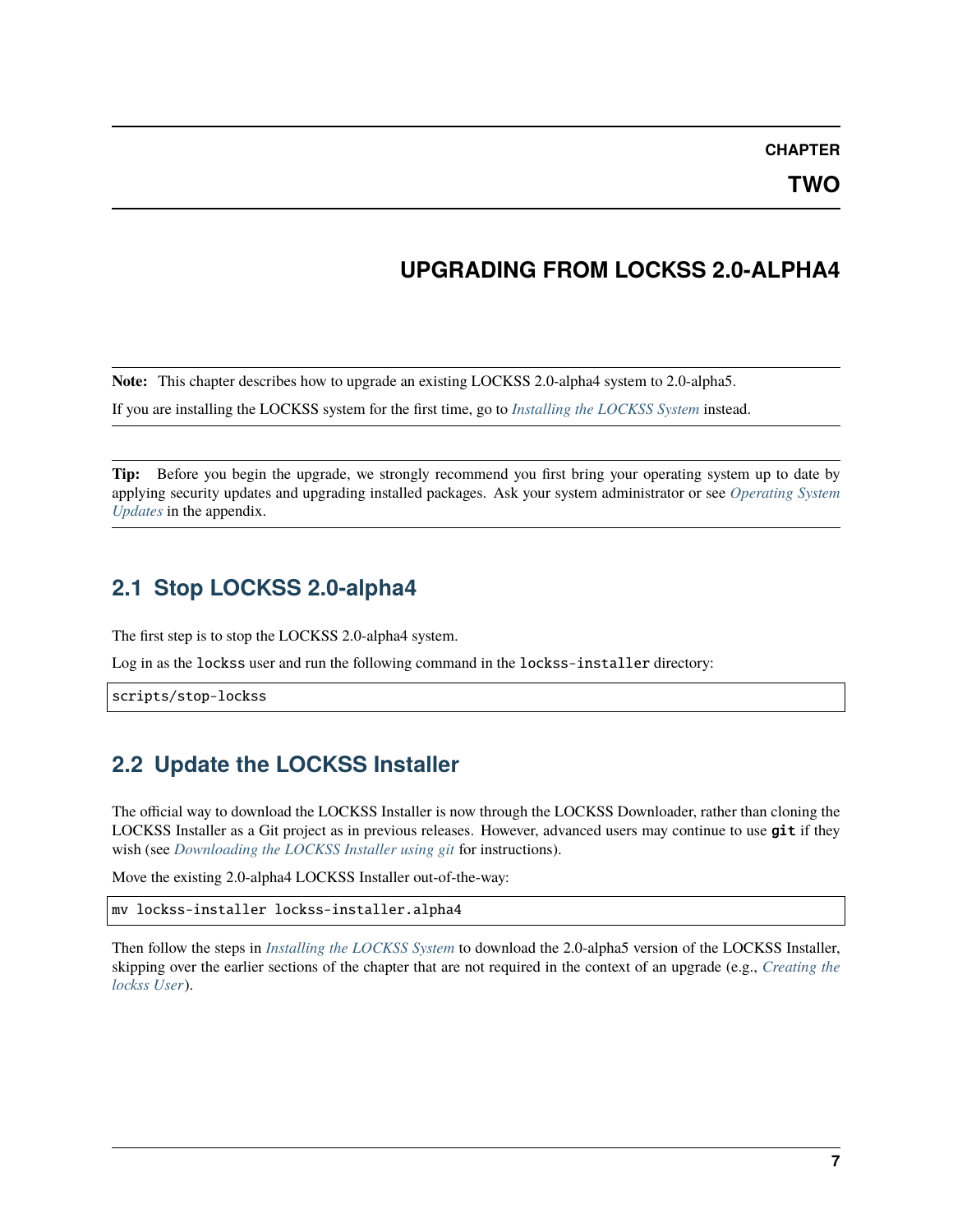**CHAPTER**

**TWO**

# **UPGRADING FROM LOCKSS 2.0-ALPHA4**

<span id="page-10-0"></span>**Note:** This chapter describes how to upgrade an existing LOCKSS 2.0-alpha4 system to 2.0-alpha5.

If you are installing the LOCKSS system for the first time, go to *[Installing the LOCKSS System](#page-12-0)* instead.

**Tip:** Before you begin the upgrade, we strongly recommend you first bring your operating system up to date by applying security updates and upgrading installed packages. Ask your system administrator or see *[Operating System](#page-60-0) [Updates](#page-60-0)* in the appendix.

# <span id="page-10-1"></span>**2.1 Stop LOCKSS 2.0-alpha4**

The first step is to stop the LOCKSS 2.0-alpha4 system.

Log in as the lockss user and run the following command in the lockss-installer directory:

scripts/stop-lockss

# <span id="page-10-2"></span>**2.2 Update the LOCKSS Installer**

The official way to download the LOCKSS Installer is now through the LOCKSS Downloader, rather than cloning the LOCKSS Installer as a Git project as in previous releases. However, advanced users may continue to use git if they wish (see *[Downloading the LOCKSS Installer using git](#page-76-1)* for instructions).

Move the existing 2.0-alpha4 LOCKSS Installer out-of-the-way:

mv lockss-installer lockss-installer.alpha4

Then follow the steps in *[Installing the LOCKSS System](#page-12-0)* to download the 2.0-alpha5 version of the LOCKSS Installer, skipping over the earlier sections of the chapter that are not required in the context of an upgrade (e.g., *[Creating the](#page-12-1) [lockss User](#page-12-1)*).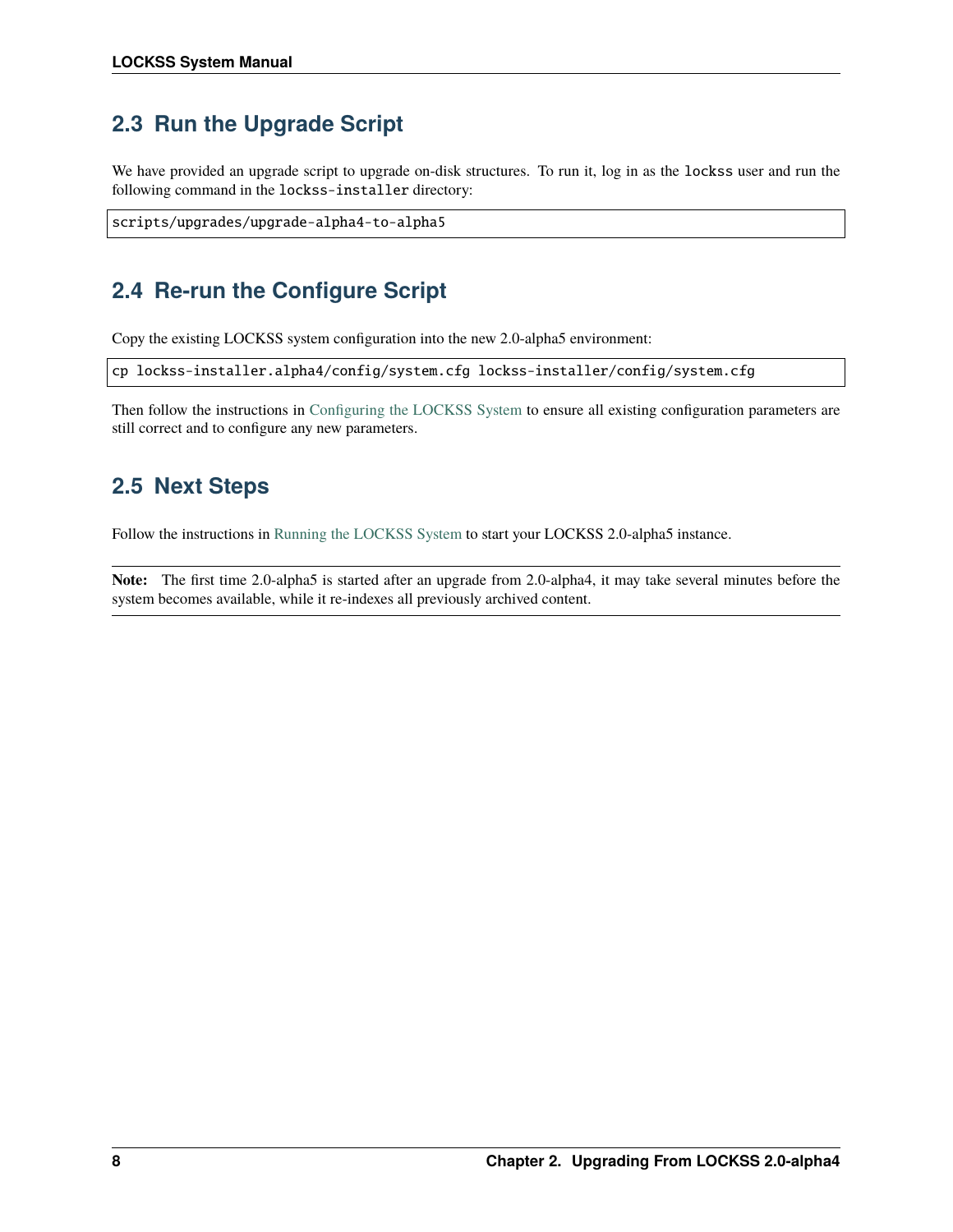# <span id="page-11-0"></span>**2.3 Run the Upgrade Script**

We have provided an upgrade script to upgrade on-disk structures. To run it, log in as the lockss user and run the following command in the lockss-installer directory:

```
scripts/upgrades/upgrade-alpha4-to-alpha5
```
# <span id="page-11-1"></span>**2.4 Re-run the Configure Script**

Copy the existing LOCKSS system configuration into the new 2.0-alpha5 environment:

cp lockss-installer.alpha4/config/system.cfg lockss-installer/config/system.cfg

Then follow the instructions in [Configuring the LOCKSS System](https://lockss.readthedocs.io/projects/manual/en/latest/configuring.html) to ensure all existing configuration parameters are still correct and to configure any new parameters.

# <span id="page-11-2"></span>**2.5 Next Steps**

Follow the instructions in [Running the LOCKSS System](https://lockss.readthedocs.io/projects/manual/en/latest/running.html) to start your LOCKSS 2.0-alpha5 instance.

**Note:** The first time 2.0-alpha5 is started after an upgrade from 2.0-alpha4, it may take several minutes before the system becomes available, while it re-indexes all previously archived content.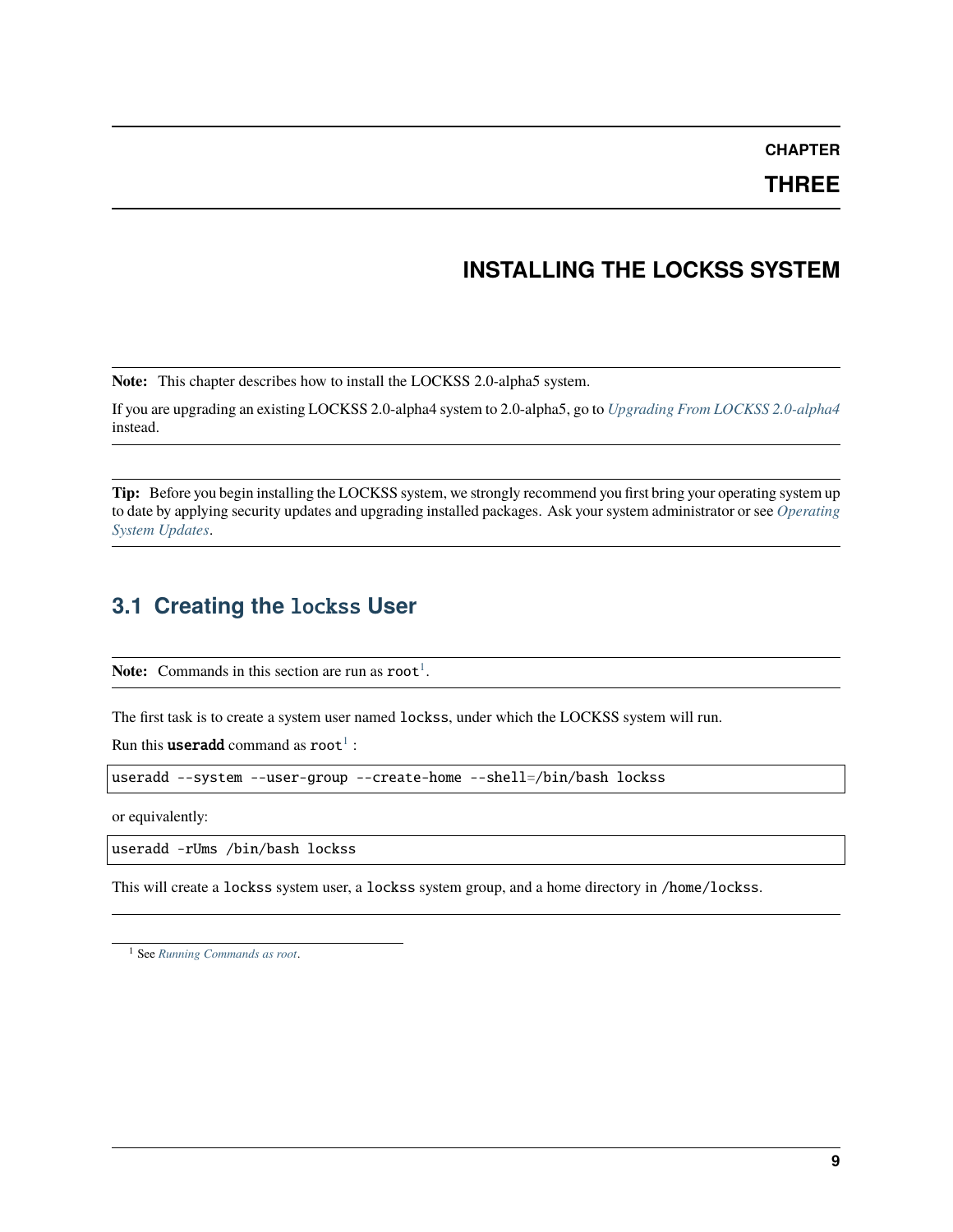**CHAPTER**

**THREE**

# **INSTALLING THE LOCKSS SYSTEM**

<span id="page-12-0"></span>**Note:** This chapter describes how to install the LOCKSS 2.0-alpha5 system.

If you are upgrading an existing LOCKSS 2.0-alpha4 system to 2.0-alpha5, go to *[Upgrading From LOCKSS 2.0-alpha4](#page-10-0)* instead.

**Tip:** Before you begin installing the LOCKSS system, we strongly recommend you first bring your operating system up to date by applying security updates and upgrading installed packages. Ask your system administrator or see *[Operating](#page-60-0) [System Updates](#page-60-0)*.

# <span id="page-12-1"></span>**3.1 Creating the** lockss **User**

**Note:** Commands in this section are run as  $root<sup>1</sup>$  $root<sup>1</sup>$  $root<sup>1</sup>$ .

The first task is to create a system user named lockss, under which the LOCKSS system will run.

Run this **useradd** command as  $root<sup>1</sup>$  $root<sup>1</sup>$  $root<sup>1</sup>$  :

useradd --system --user-group --create-home --shell=/bin/bash lockss

or equivalently:

useradd -rUms /bin/bash lockss

This will create a lockss system user, a lockss system group, and a home directory in /home/lockss.

<span id="page-12-3"></span><span id="page-12-2"></span><sup>1</sup> See *[Running Commands as root](#page-58-1)*.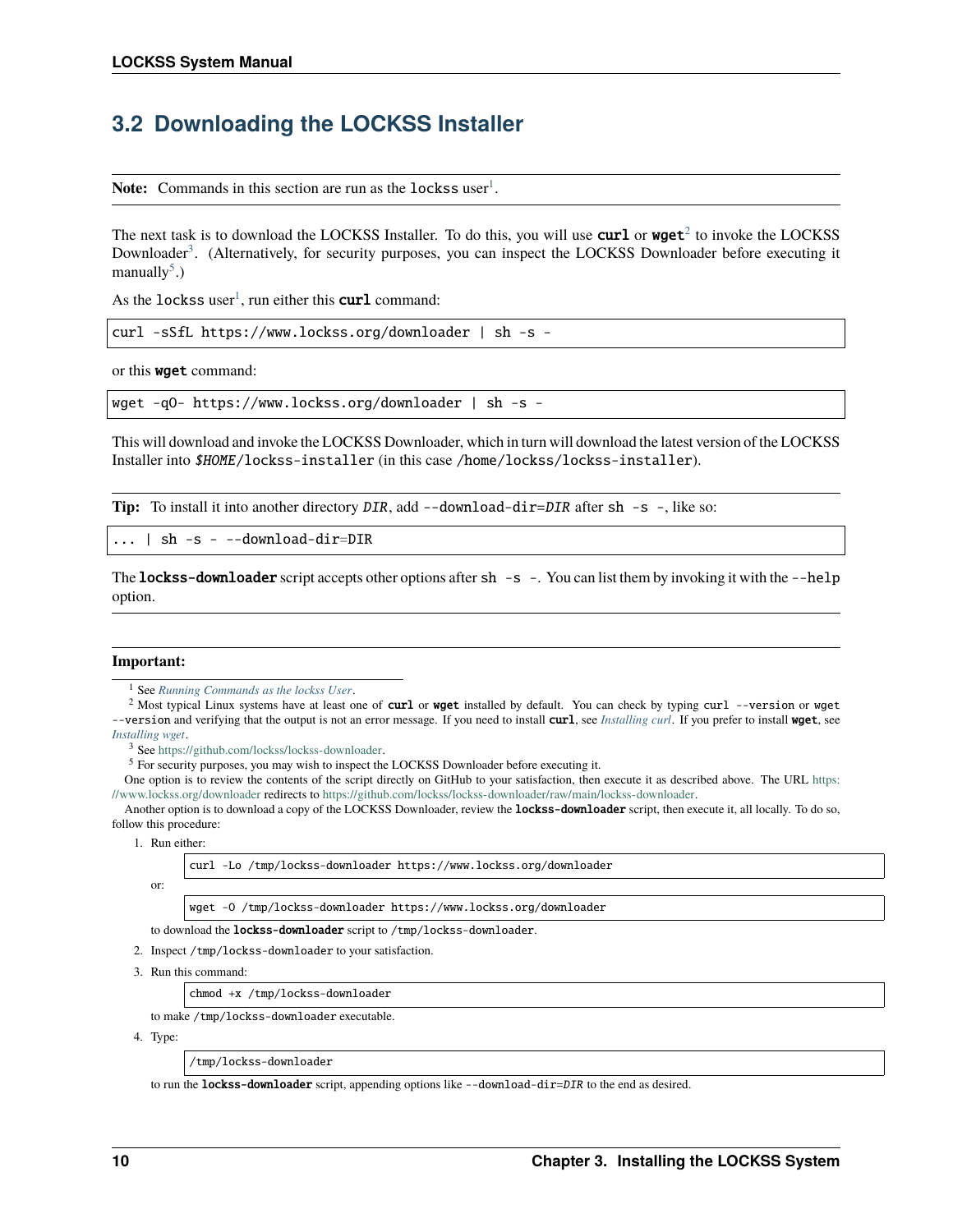# <span id="page-13-0"></span>**3.2 Downloading the LOCKSS Installer**

Note: Commands in this section are run as the lockss user<sup>[1](#page-13-1)</sup>.

The next task is to download the LOCKSS Installer. To do this, you will use **curl** or **wget**<sup>[2](#page-13-2)</sup> to invoke the LOCKSS Downloader<sup>[3](#page-13-3)</sup>. (Alternatively, for security purposes, you can inspect the LOCKSS Downloader before executing it manually $<sup>5</sup>$  $<sup>5</sup>$  $<sup>5</sup>$ .)</sup>

As the lockss user<sup>[1](#page-13-5)</sup>, run either this  $curl$  command:

curl -sSfL https://www.lockss.org/downloader | sh -s -

or this wget command:

wget -qO- https://www.lockss.org/downloader | sh -s -

This will download and invoke the LOCKSS Downloader, which in turn will download the latest version of the LOCKSS Installer into \$HOME/lockss-installer (in this case /home/lockss/lockss-installer).

**Tip:** To install it into another directory DIR, add --download-dir=DIR after sh -s -, like so:

 $| \sh -s - -download-dir=DIR$ 

The **lockss-downloader** script accepts other options after sh  $-s$  -. You can list them by invoking it with the  $-s$ -help option.

#### **Important:**

<span id="page-13-2"></span><span id="page-13-1"></span><sup>2</sup> Most typical Linux systems have at least one of curl or wget installed by default. You can check by typing curl --version or wget -version and verifying that the output is not an error message. If you need to install curl, see *[Installing curl](#page-63-0)*. If you prefer to install wget, see *[Installing wget](#page-67-0)*.

<span id="page-13-3"></span><sup>3</sup> See [https://github.com/lockss/lockss-downloader.](https://github.com/lockss/lockss-downloader)

<span id="page-13-4"></span><sup>5</sup> For security purposes, you may wish to inspect the LOCKSS Downloader before executing it.

One option is to review the contents of the script directly on GitHub to your satisfaction, then execute it as described above. The URL [https:](https://www.lockss.org/downloader) [//www.lockss.org/downloader](https://www.lockss.org/downloader) redirects to [https://github.com/lockss/lockss-downloader/raw/main/lockss-downloader.](https://github.com/lockss/lockss-downloader/raw/main/lockss-downloader)

Another option is to download a copy of the LOCKSS Downloader, review the **lockss-downloader** script, then execute it, all locally. To do so, follow this procedure:

1. Run either:

curl -Lo /tmp/lockss-downloader https://www.lockss.org/downloader

or:

wget -O /tmp/lockss-downloader https://www.lockss.org/downloader

to download the lockss-downloader script to /tmp/lockss-downloader.

- 2. Inspect /tmp/lockss-downloader to your satisfaction.
- 3. Run this command:

chmod +x /tmp/lockss-downloader

to make /tmp/lockss-downloader executable.

4. Type:

/tmp/lockss-downloader

to run the **lockss-downloader** script, appending options like --download-dir=DIR to the end as desired.

<span id="page-13-6"></span><span id="page-13-5"></span><sup>1</sup> See *[Running Commands as the lockss User](#page-59-1)*.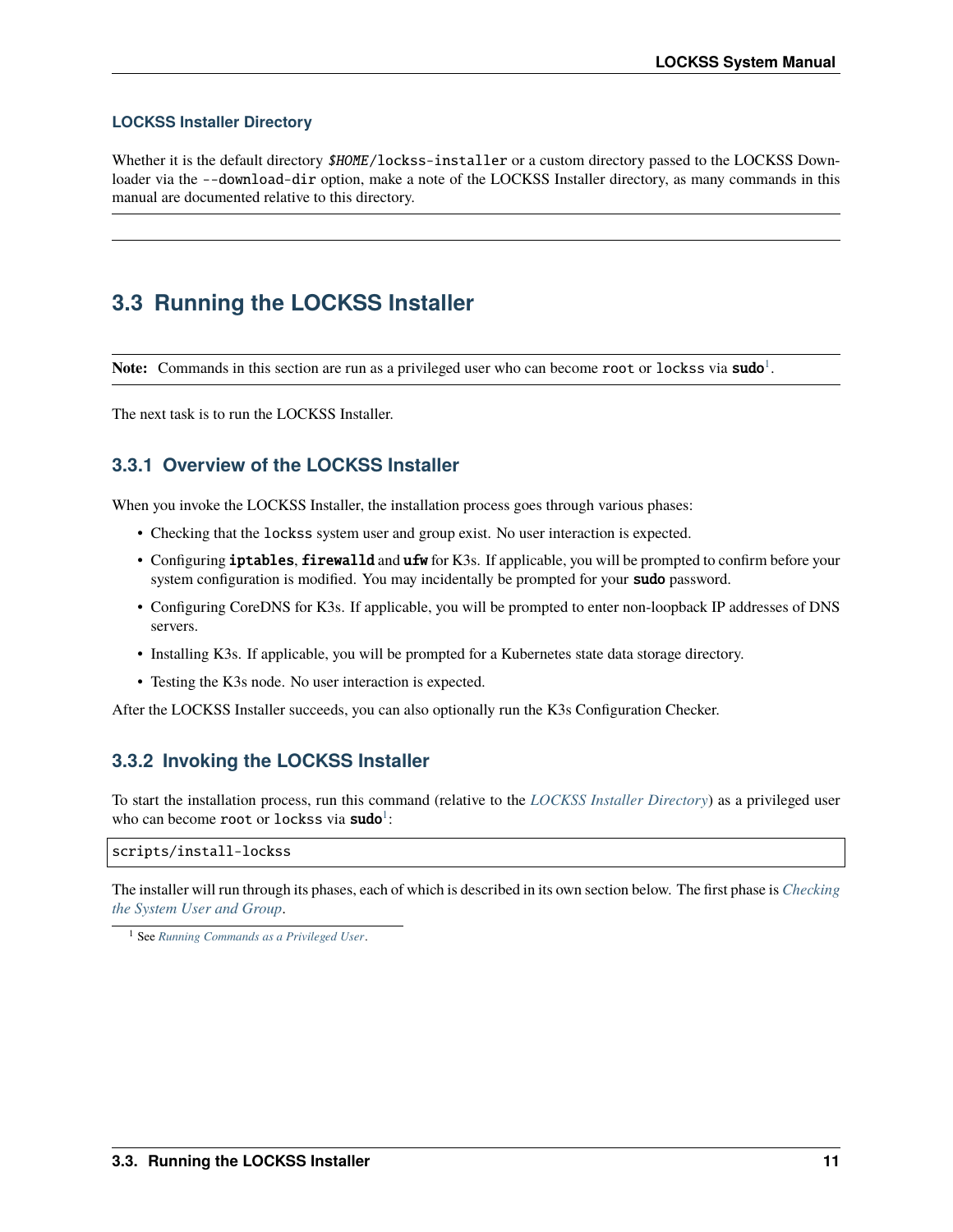### **LOCKSS Installer Directory**

Whether it is the default directory \$HOME/lockss-installer or a custom directory passed to the LOCKSS Downloader via the --download-dir option, make a note of the LOCKSS Installer directory, as many commands in this manual are documented relative to this directory.

# <span id="page-14-0"></span>**3.3 Running the LOCKSS Installer**

Note: Commands in this section are run as a privileged user who can become root or lockss via sudo<sup>[1](#page-14-1)</sup>.

The next task is to run the LOCKSS Installer.

# **3.3.1 Overview of the LOCKSS Installer**

When you invoke the LOCKSS Installer, the installation process goes through various phases:

- Checking that the lockss system user and group exist. No user interaction is expected.
- Configuring iptables, firewalld and ufw for K3s. If applicable, you will be prompted to confirm before your system configuration is modified. You may incidentally be prompted for your sudo password.
- Configuring CoreDNS for K3s. If applicable, you will be prompted to enter non-loopback IP addresses of DNS servers.
- Installing K3s. If applicable, you will be prompted for a Kubernetes state data storage directory.
- Testing the K3s node. No user interaction is expected.

After the LOCKSS Installer succeeds, you can also optionally run the K3s Configuration Checker.

# **3.3.2 Invoking the LOCKSS Installer**

To start the installation process, run this command (relative to the *[LOCKSS Installer Directory](#page-13-6)*) as a privileged user who can become root or lockss via sudo<sup>[1](#page-14-2)</sup>:

#### scripts/install-lockss

The installer will run through its phases, each of which is described in its own section below. The first phase is *[Checking](#page-15-0) [the System User and Group](#page-15-0)*.

<span id="page-14-2"></span><span id="page-14-1"></span><sup>1</sup> See *[Running Commands as a Privileged User](#page-59-0)*.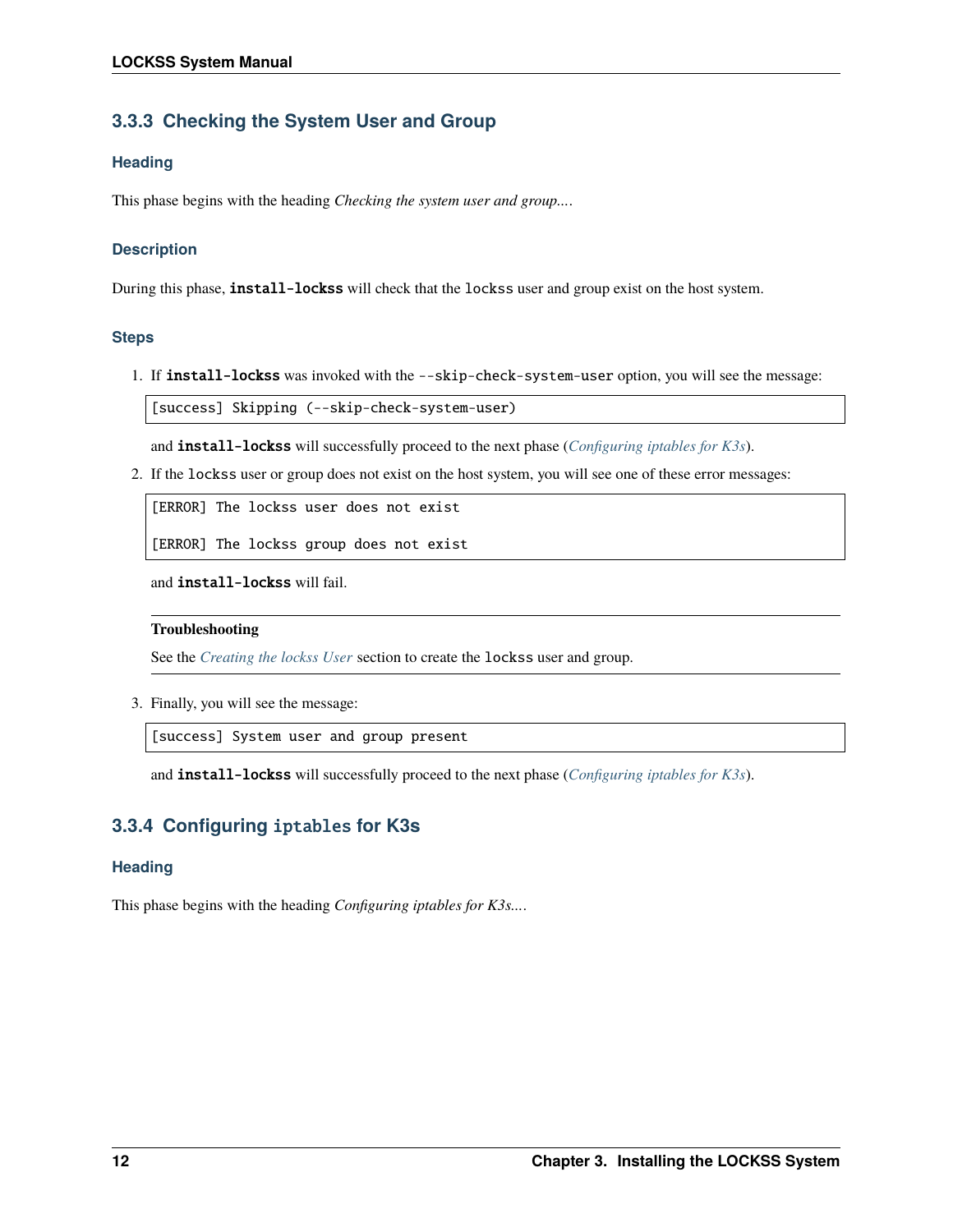# <span id="page-15-0"></span>**3.3.3 Checking the System User and Group**

### **Heading**

This phase begins with the heading *Checking the system user and group...*.

### **Description**

During this phase, **install-lockss** will check that the lockss user and group exist on the host system.

### **Steps**

1. If install-lockss was invoked with the --skip-check-system-user option, you will see the message:

[success] Skipping (--skip-check-system-user)

and install-lockss will successfully proceed to the next phase (*[Configuring iptables for K3s](#page-15-1)*).

2. If the lockss user or group does not exist on the host system, you will see one of these error messages:

[ERROR] The lockss user does not exist

[ERROR] The lockss group does not exist

and install-lockss will fail.

#### **Troubleshooting**

See the *[Creating the lockss User](#page-12-1)* section to create the lockss user and group.

3. Finally, you will see the message:

[success] System user and group present

and install-lockss will successfully proceed to the next phase (*[Configuring iptables for K3s](#page-15-1)*).

# <span id="page-15-1"></span>**3.3.4 Configuring** iptables **for K3s**

### **Heading**

This phase begins with the heading *Configuring iptables for K3s...*.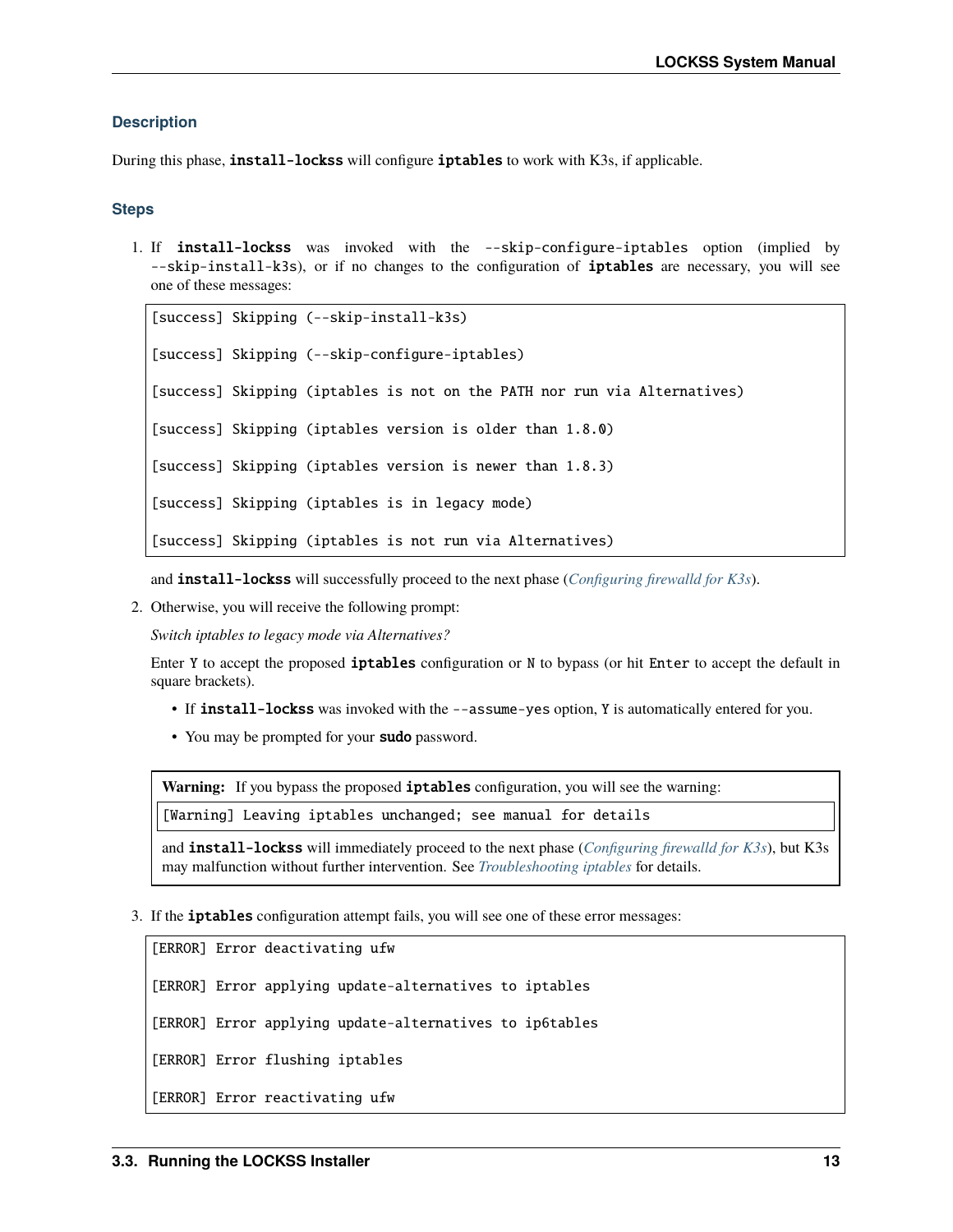#### **Description**

During this phase, install-lockss will configure iptables to work with K3s, if applicable.

#### **Steps**

1. If install-lockss was invoked with the --skip-configure-iptables option (implied by --skip-install-k3s), or if no changes to the configuration of iptables are necessary, you will see one of these messages:

```
[success] Skipping (--skip-install-k3s)
[success] Skipping (--skip-configure-iptables)
[success] Skipping (iptables is not on the PATH nor run via Alternatives)
[success] Skipping (iptables version is older than 1.8.0)
[success] Skipping (iptables version is newer than 1.8.3)
[success] Skipping (iptables is in legacy mode)
[success] Skipping (iptables is not run via Alternatives)
```
and install-lockss will successfully proceed to the next phase (*[Configuring firewalld for K3s](#page-17-0)*).

2. Otherwise, you will receive the following prompt:

*Switch iptables to legacy mode via Alternatives?*

Enter Y to accept the proposed iptables configuration or N to bypass (or hit Enter to accept the default in square brackets).

- If install-lockss was invoked with the --assume-yes option, Y is automatically entered for you.
- You may be prompted for your **sudo** password.

Warning: If you bypass the proposed iptables configuration, you will see the warning:

[Warning] Leaving iptables unchanged; see manual for details

and install-lockss will immediately proceed to the next phase (*[Configuring firewalld for K3s](#page-17-0)*), but K3s may malfunction without further intervention. See *[Troubleshooting iptables](#page-49-0)* for details.

3. If the iptables configuration attempt fails, you will see one of these error messages:

```
[ERROR] Error deactivating ufw
[ERROR] Error applying update-alternatives to iptables
[ERROR] Error applying update-alternatives to ip6tables
[ERROR] Error flushing iptables
[ERROR] Error reactivating ufw
```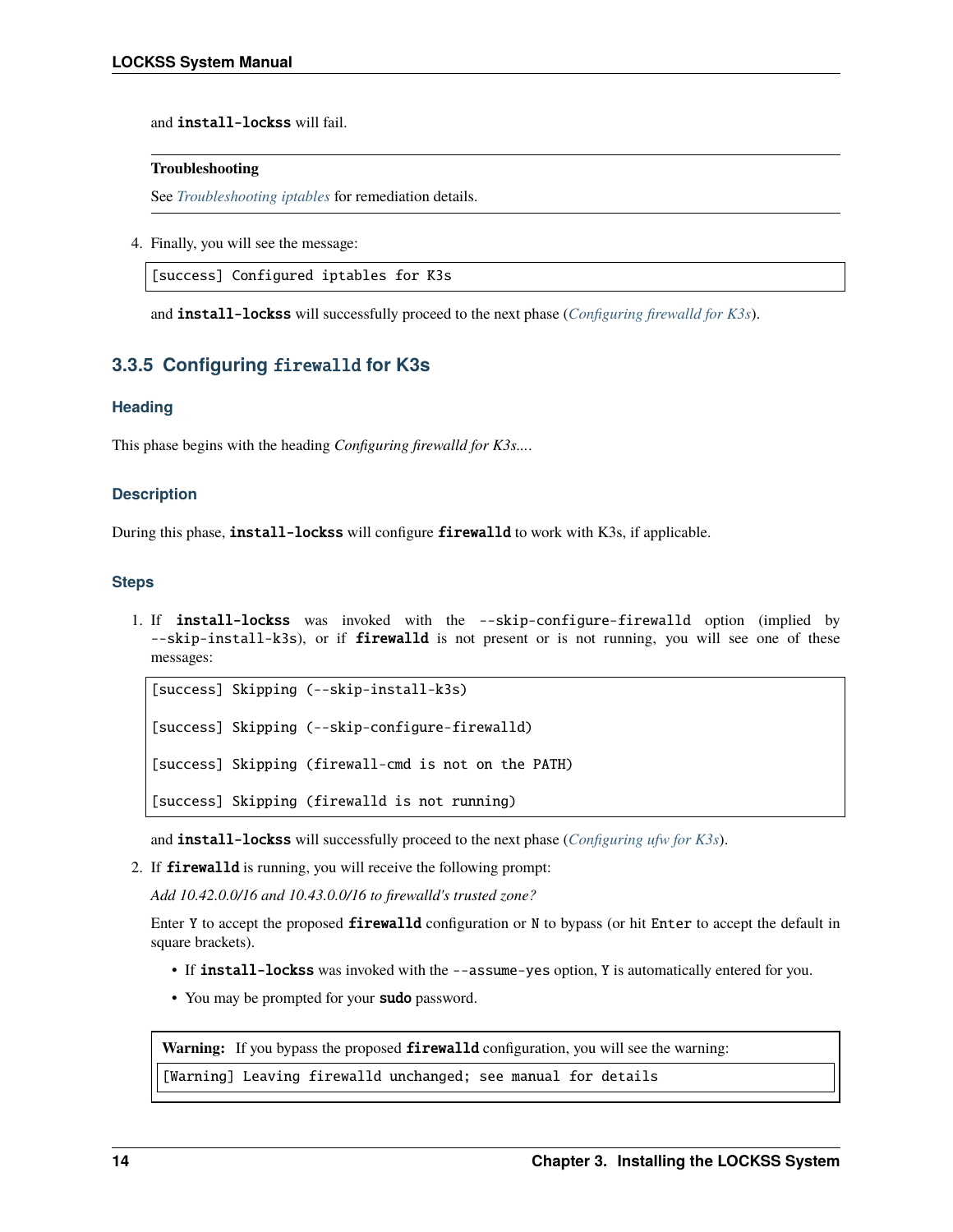and install-lockss will fail.

#### **Troubleshooting**

See *[Troubleshooting iptables](#page-49-0)* for remediation details.

4. Finally, you will see the message:

[success] Configured iptables for K3s

and install-lockss will successfully proceed to the next phase (*[Configuring firewalld for K3s](#page-17-0)*).

# <span id="page-17-0"></span>**3.3.5 Configuring** firewalld **for K3s**

### **Heading**

This phase begins with the heading *Configuring firewalld for K3s...*.

#### **Description**

During this phase, **install-lockss** will configure **firewalld** to work with K3s, if applicable.

#### **Steps**

1. If install-lockss was invoked with the --skip-configure-firewalld option (implied by --skip-install-k3s), or if **firewalld** is not present or is not running, you will see one of these messages:

```
[success] Skipping (--skip-install-k3s)
[success] Skipping (--skip-configure-firewalld)
[success] Skipping (firewall-cmd is not on the PATH)
[success] Skipping (firewalld is not running)
```
and install-lockss will successfully proceed to the next phase (*[Configuring ufw for K3s](#page-18-0)*).

2. If firewalld is running, you will receive the following prompt:

*Add 10.42.0.0/16 and 10.43.0.0/16 to firewalld's trusted zone?*

Enter Y to accept the proposed firewalld configuration or N to bypass (or hit Enter to accept the default in square brackets).

- If install-lockss was invoked with the --assume-yes option, Y is automatically entered for you.
- You may be prompted for your sudo password.

Warning: If you bypass the proposed firewalld configuration, you will see the warning:

[Warning] Leaving firewalld unchanged; see manual for details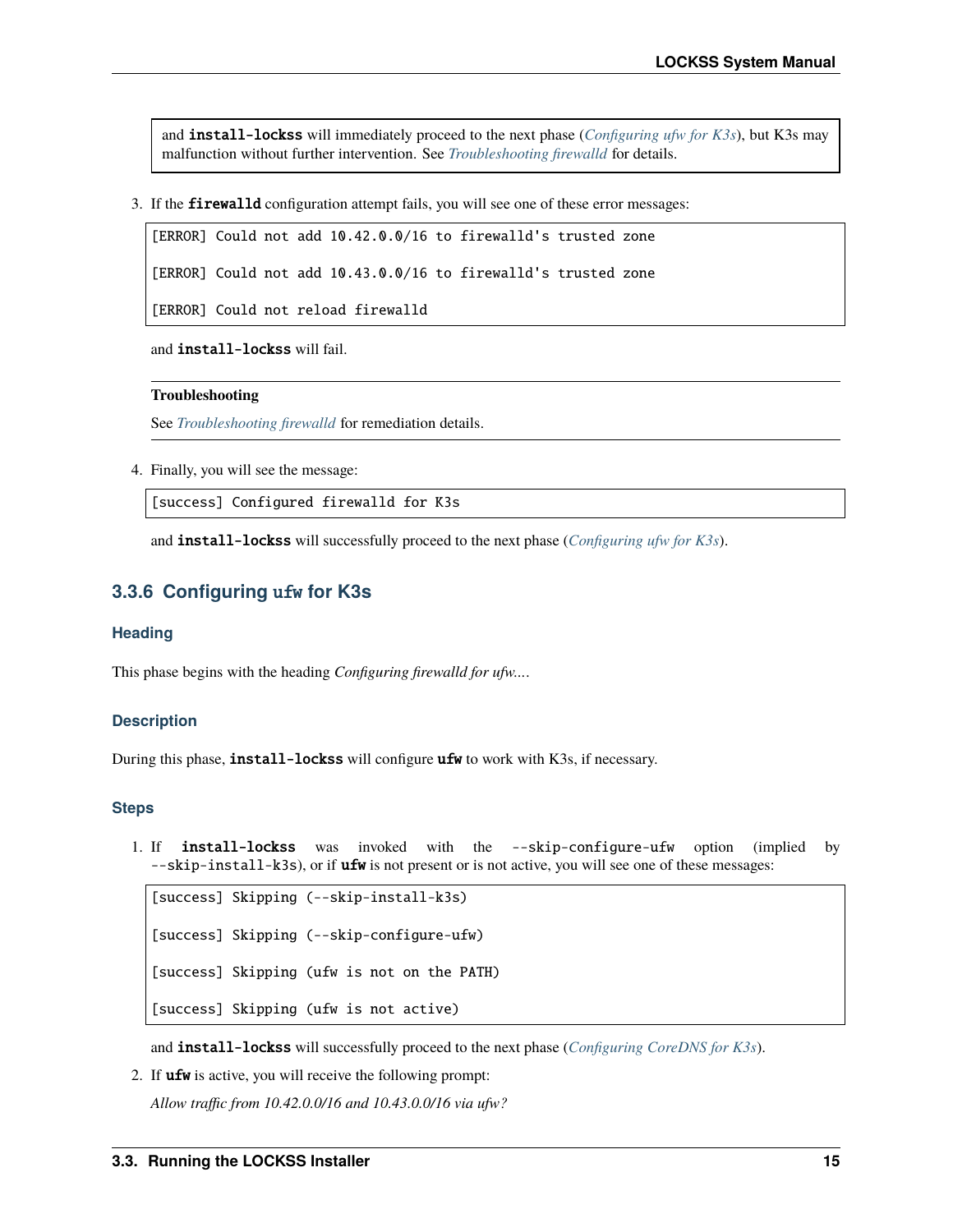and install-lockss will immediately proceed to the next phase (*[Configuring ufw for K3s](#page-18-0)*), but K3s may malfunction without further intervention. See *[Troubleshooting firewalld](#page-50-0)* for details.

3. If the firewalld configuration attempt fails, you will see one of these error messages:

[ERROR] Could not add 10.42.0.0/16 to firewalld's trusted zone

[ERROR] Could not add 10.43.0.0/16 to firewalld's trusted zone

[ERROR] Could not reload firewalld

and install-lockss will fail.

### **Troubleshooting**

See *[Troubleshooting firewalld](#page-50-0)* for remediation details.

4. Finally, you will see the message:

[success] Configured firewalld for K3s

and install-lockss will successfully proceed to the next phase (*[Configuring ufw for K3s](#page-18-0)*).

### <span id="page-18-0"></span>**3.3.6 Configuring** ufw **for K3s**

#### **Heading**

This phase begins with the heading *Configuring firewalld for ufw...*.

#### **Description**

During this phase, **install-lockss** will configure **ufw** to work with K3s, if necessary.

#### **Steps**

1. If install-lockss was invoked with the --skip-configure-ufw option (implied by --skip-install-k3s), or if **ufw** is not present or is not active, you will see one of these messages:

[success] Skipping (--skip-install-k3s) [success] Skipping (--skip-configure-ufw) [success] Skipping (ufw is not on the PATH) [success] Skipping (ufw is not active)

and install-lockss will successfully proceed to the next phase (*[Configuring CoreDNS for K3s](#page-19-0)*).

2. If ufw is active, you will receive the following prompt:

*Allow traffic from 10.42.0.0/16 and 10.43.0.0/16 via ufw?*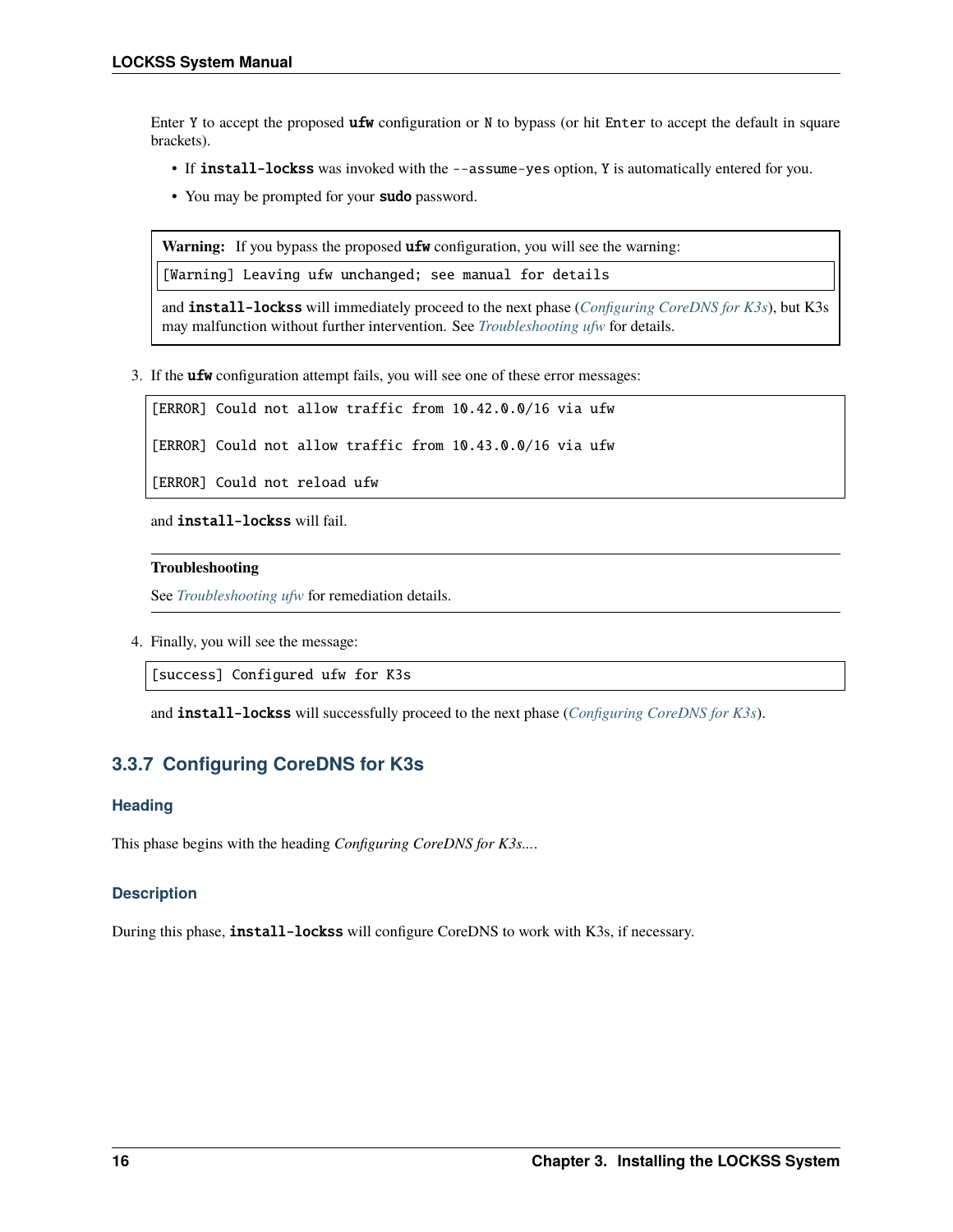Enter Y to accept the proposed **ufw** configuration or N to bypass (or hit Enter to accept the default in square brackets).

- If install-lockss was invoked with the --assume-yes option, Y is automatically entered for you.
- You may be prompted for your sudo password.

Warning: If you bypass the proposed ufw configuration, you will see the warning:

[Warning] Leaving ufw unchanged; see manual for details

and install-lockss will immediately proceed to the next phase (*[Configuring CoreDNS for K3s](#page-19-0)*), but K3s may malfunction without further intervention. See *[Troubleshooting ufw](#page-51-0)* for details.

3. If the ufw configuration attempt fails, you will see one of these error messages:

```
[ERROR] Could not allow traffic from 10.42.0.0/16 via ufw
```
[ERROR] Could not allow traffic from 10.43.0.0/16 via ufw

```
[ERROR] Could not reload ufw
```
and install-lockss will fail.

#### **Troubleshooting**

See *[Troubleshooting ufw](#page-51-0)* for remediation details.

4. Finally, you will see the message:

[success] Configured ufw for K3s

and install-lockss will successfully proceed to the next phase (*[Configuring CoreDNS for K3s](#page-19-0)*).

# <span id="page-19-0"></span>**3.3.7 Configuring CoreDNS for K3s**

#### **Heading**

This phase begins with the heading *Configuring CoreDNS for K3s...*.

#### **Description**

During this phase, install-lockss will configure CoreDNS to work with K3s, if necessary.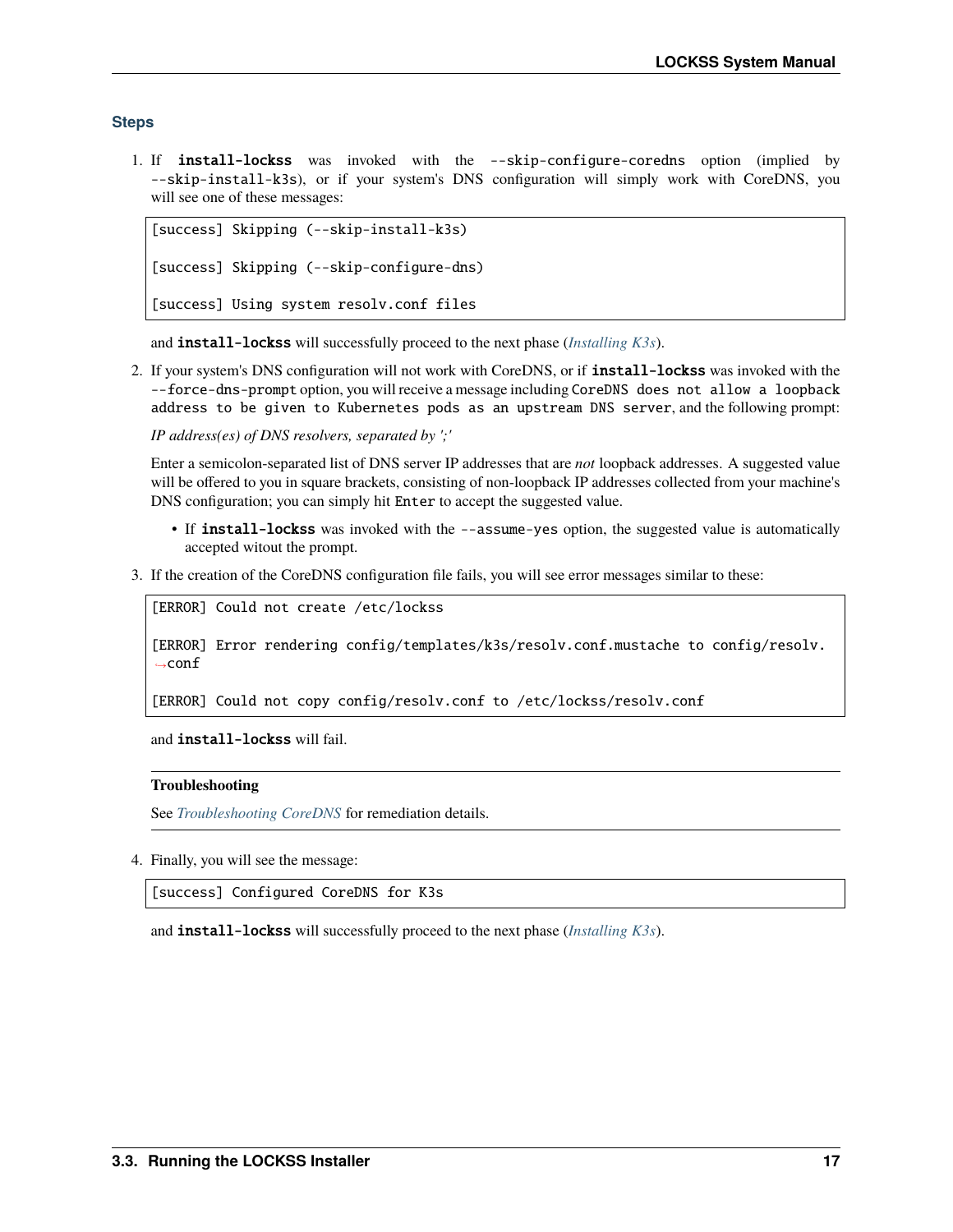#### **Steps**

1. If install-lockss was invoked with the --skip-configure-coredns option (implied by --skip-install-k3s), or if your system's DNS configuration will simply work with CoreDNS, you will see one of these messages:

```
[success] Skipping (--skip-install-k3s)
[success] Skipping (--skip-configure-dns)
[success] Using system resolv.conf files
```
and install-lockss will successfully proceed to the next phase (*[Installing K3s](#page-21-0)*).

2. If your system's DNS configuration will not work with CoreDNS, or if install-lockss was invoked with the --force-dns-prompt option, you will receive a message including CoreDNS does not allow a loopback address to be given to Kubernetes pods as an upstream DNS server, and the following prompt:

*IP address(es) of DNS resolvers, separated by ';'*

Enter a semicolon-separated list of DNS server IP addresses that are *not* loopback addresses. A suggested value will be offered to you in square brackets, consisting of non-loopback IP addresses collected from your machine's DNS configuration; you can simply hit Enter to accept the suggested value.

- If install-lockss was invoked with the --assume-yes option, the suggested value is automatically accepted witout the prompt.
- 3. If the creation of the CoreDNS configuration file fails, you will see error messages similar to these:

```
[ERROR] Could not create /etc/lockss
```
[ERROR] Error rendering config/templates/k3s/resolv.conf.mustache to config/resolv.  $\rightarrow$ conf

[ERROR] Could not copy config/resolv.conf to /etc/lockss/resolv.conf

and install-lockss will fail.

#### **Troubleshooting**

See *[Troubleshooting CoreDNS](#page-52-0)* for remediation details.

4. Finally, you will see the message:

[success] Configured CoreDNS for K3s

and install-lockss will successfully proceed to the next phase (*[Installing K3s](#page-21-0)*).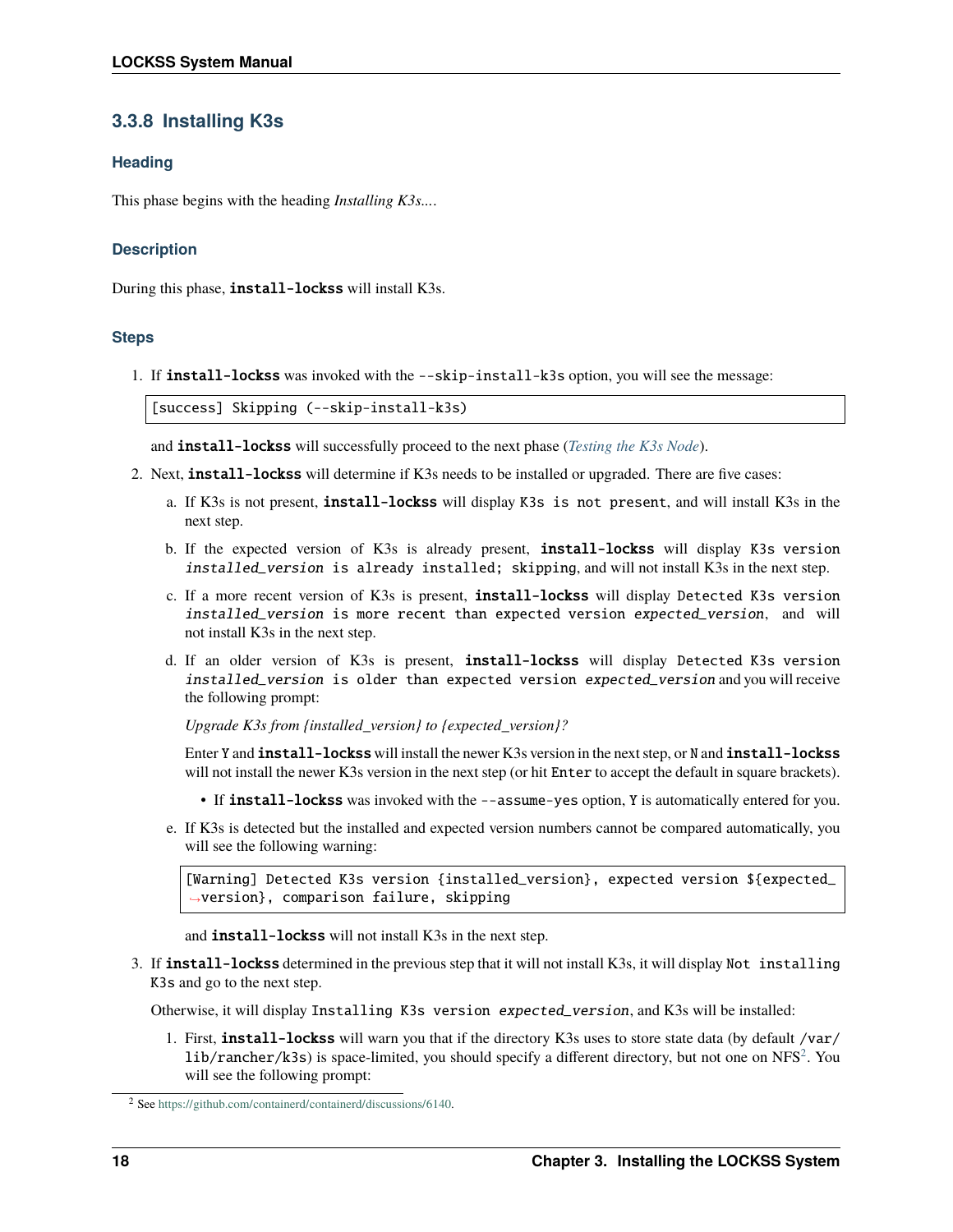# <span id="page-21-0"></span>**3.3.8 Installing K3s**

### **Heading**

This phase begins with the heading *Installing K3s...*.

### **Description**

During this phase, install-lockss will install K3s.

#### **Steps**

1. If **install-lockss** was invoked with the --skip-install-k3s option, you will see the message:

[success] Skipping (--skip-install-k3s)

and install-lockss will successfully proceed to the next phase (*[Testing the K3s Node](#page-23-0)*).

- 2. Next, install-lockss will determine if K3s needs to be installed or upgraded. There are five cases:
	- a. If K3s is not present, install-lockss will display K3s is not present, and will install K3s in the next step.
	- b. If the expected version of K3s is already present, install-lockss will display K3s version installed\_version is already installed; skipping, and will not install K3s in the next step.
	- c. If a more recent version of K3s is present, install-lockss will display Detected K3s version installed\_version is more recent than expected version expected\_version, and will not install K3s in the next step.
	- d. If an older version of K3s is present, install-lockss will display Detected K3s version installed\_version is older than expected version expected\_version and you will receive the following prompt:

*Upgrade K3s from {installed\_version} to {expected\_version}?*

Enter Y and install-lockss will install the newer K3s version in the next step, or N and install-lockss will not install the newer K3s version in the next step (or hit Enter to accept the default in square brackets).

- If install-lockss was invoked with the --assume-yes option, Y is automatically entered for you.
- e. If K3s is detected but the installed and expected version numbers cannot be compared automatically, you will see the following warning:

[Warning] Detected K3s version {installed\_version}, expected version \${expected\_ ˓<sup>→</sup>version}, comparison failure, skipping

and install-lockss will not install K3s in the next step.

3. If install-lockss determined in the previous step that it will not install K3s, it will display Not installing K3s and go to the next step.

Otherwise, it will display Installing K3s version expected\_version, and K3s will be installed:

1. First, **install-lockss** will warn you that if the directory K3s uses to store state data (by default /var/  $lib/ranker/k3s)$  is space-limited, you should specify a different directory, but not one on NFS<sup>[2](#page-21-1)</sup>. You will see the following prompt:

<span id="page-21-1"></span><sup>2</sup> See [https://github.com/containerd/containerd/discussions/6140.](https://github.com/containerd/containerd/discussions/6140)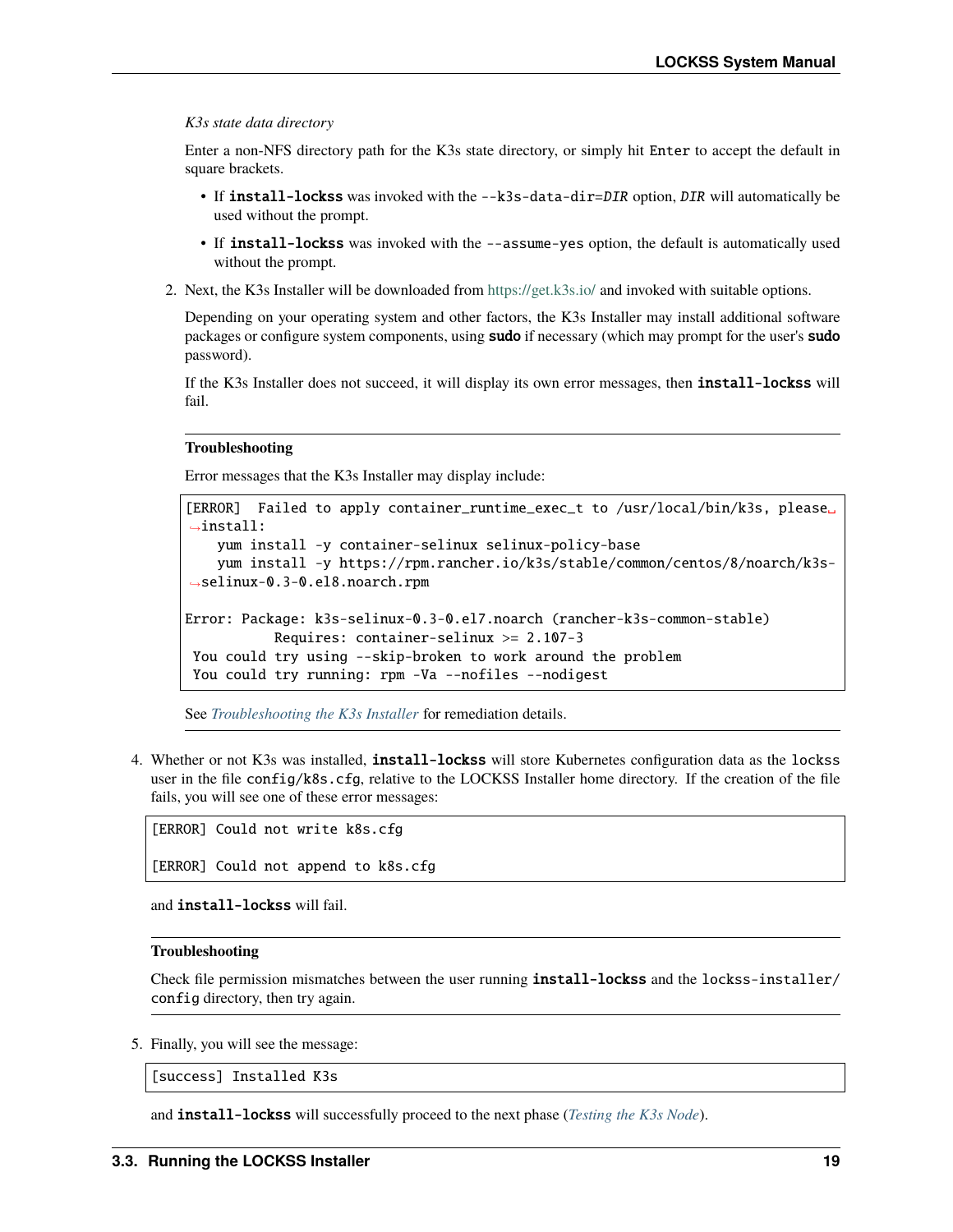*K3s state data directory*

Enter a non-NFS directory path for the K3s state directory, or simply hit Enter to accept the default in square brackets.

- If install-lockss was invoked with the --k3s-data-dir=DIR option, DIR will automatically be used without the prompt.
- If install-lockss was invoked with the --assume-yes option, the default is automatically used without the prompt.
- 2. Next, the K3s Installer will be downloaded from <https://get.k3s.io/> and invoked with suitable options.

Depending on your operating system and other factors, the K3s Installer may install additional software packages or configure system components, using **sudo** if necessary (which may prompt for the user's **sudo** password).

If the K3s Installer does not succeed, it will display its own error messages, then **install-lockss** will fail.

#### **Troubleshooting**

Error messages that the K3s Installer may display include:

```
[ERROR] Failed to apply container_runtime_exec_t to /usr/local/bin/k3s, please␣
\rightarrowinstall:
   yum install -y container-selinux selinux-policy-base
   yum install -y https://rpm.rancher.io/k3s/stable/common/centos/8/noarch/k3s-
˓→selinux-0.3-0.el8.noarch.rpm
Error: Package: k3s-selinux-0.3-0.el7.noarch (rancher-k3s-common-stable)
           Requires: container-selinux >= 2.107-3
You could try using --skip-broken to work around the problem
You could try running: rpm -Va --nofiles --nodigest
```
See *[Troubleshooting the K3s Installer](#page-52-1)* for remediation details.

4. Whether or not K3s was installed, install-lockss will store Kubernetes configuration data as the lockss user in the file config/k8s.cfg, relative to the LOCKSS Installer home directory. If the creation of the file fails, you will see one of these error messages:

```
[ERROR] Could not write k8s.cfg
```
[ERROR] Could not append to k8s.cfg

and install-lockss will fail.

#### **Troubleshooting**

Check file permission mismatches between the user running install-lockss and the lockss-installer/ config directory, then try again.

5. Finally, you will see the message:

[success] Installed K3s

and install-lockss will successfully proceed to the next phase (*[Testing the K3s Node](#page-23-0)*).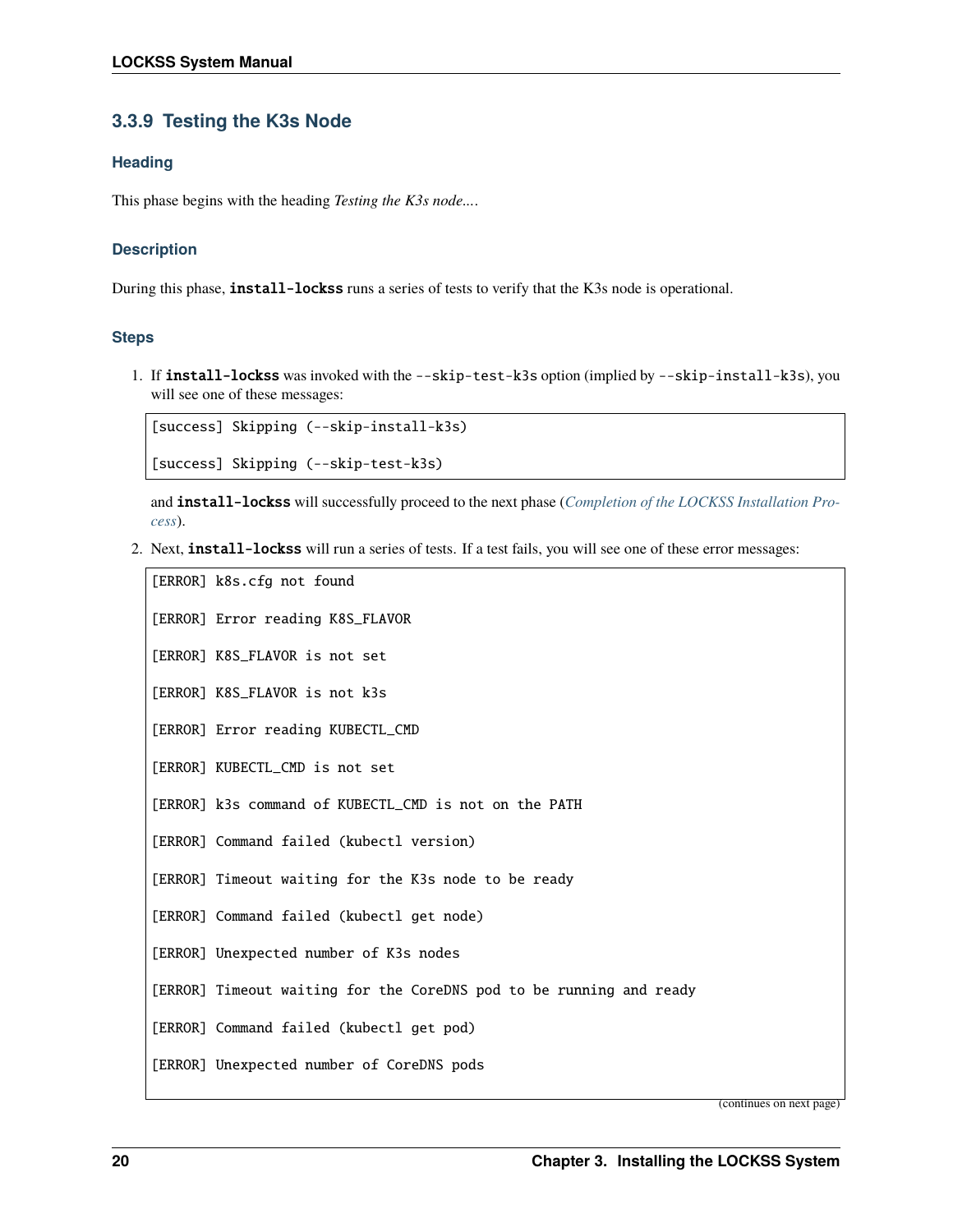# <span id="page-23-0"></span>**3.3.9 Testing the K3s Node**

### **Heading**

This phase begins with the heading *Testing the K3s node...*.

### **Description**

During this phase, **install-lockss** runs a series of tests to verify that the K3s node is operational.

#### **Steps**

1. If install-lockss was invoked with the --skip-test-k3s option (implied by --skip-install-k3s), you will see one of these messages:

[success] Skipping (--skip-install-k3s) [success] Skipping (--skip-test-k3s)

and install-lockss will successfully proceed to the next phase (*[Completion of the LOCKSS Installation Pro](#page-24-0)[cess](#page-24-0)*).

2. Next, install-lockss will run a series of tests. If a test fails, you will see one of these error messages:

```
[ERROR] k8s.cfg not found
[ERROR] Error reading K8S_FLAVOR
[ERROR] K8S_FLAVOR is not set
[ERROR] K8S_FLAVOR is not k3s
[ERROR] Error reading KUBECTL_CMD
[ERROR] KUBECTL_CMD is not set
[ERROR] k3s command of KUBECTL_CMD is not on the PATH
[ERROR] Command failed (kubectl version)
[ERROR] Timeout waiting for the K3s node to be ready
[ERROR] Command failed (kubectl get node)
[ERROR] Unexpected number of K3s nodes
[ERROR] Timeout waiting for the CoreDNS pod to be running and ready
[ERROR] Command failed (kubectl get pod)
[ERROR] Unexpected number of CoreDNS pods
```
(continues on next page)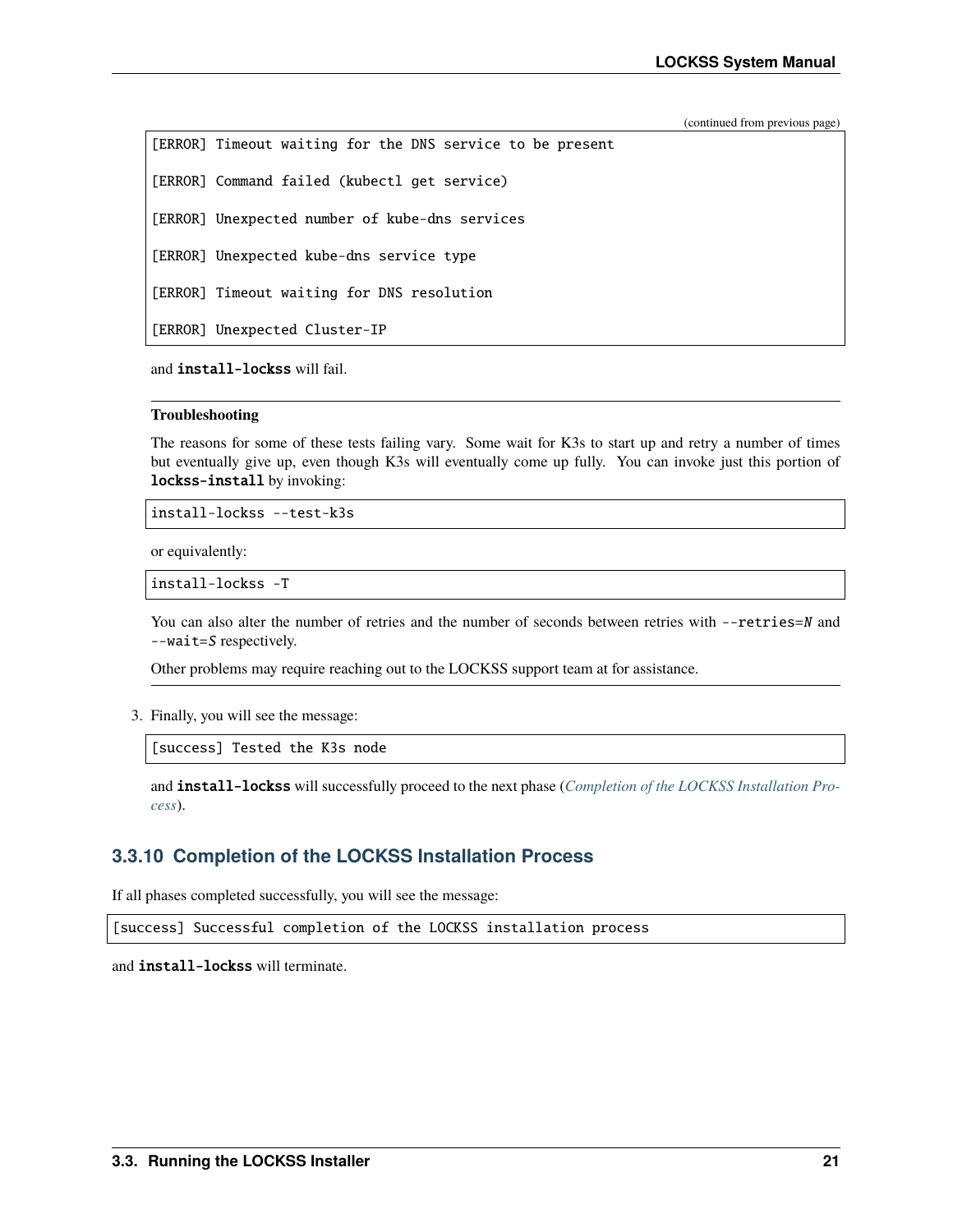(continued from previous page)

| [ERROR] Timeout waiting for the DNS service to be present |  |
|-----------------------------------------------------------|--|
| [ERROR] Command failed (kubectl get service)              |  |
| [ERROR] Unexpected number of kube-dns services            |  |
| [ERROR] Unexpected kube-dns service type                  |  |
| [ERROR] Timeout waiting for DNS resolution                |  |
| [ERROR] Unexpected Cluster-IP                             |  |

and install-lockss will fail.

#### **Troubleshooting**

The reasons for some of these tests failing vary. Some wait for K3s to start up and retry a number of times but eventually give up, even though K3s will eventually come up fully. You can invoke just this portion of lockss-install by invoking:

install-lockss --test-k3s

or equivalently:

```
install-lockss -T
```
You can also alter the number of retries and the number of seconds between retries with --retries=N and --wait=S respectively.

Other problems may require reaching out to the LOCKSS support team at for assistance.

3. Finally, you will see the message:

[success] Tested the K3s node

and install-lockss will successfully proceed to the next phase (*[Completion of the LOCKSS Installation Pro](#page-24-0)[cess](#page-24-0)*).

# <span id="page-24-0"></span>**3.3.10 Completion of the LOCKSS Installation Process**

If all phases completed successfully, you will see the message:

[success] Successful completion of the LOCKSS installation process

and install-lockss will terminate.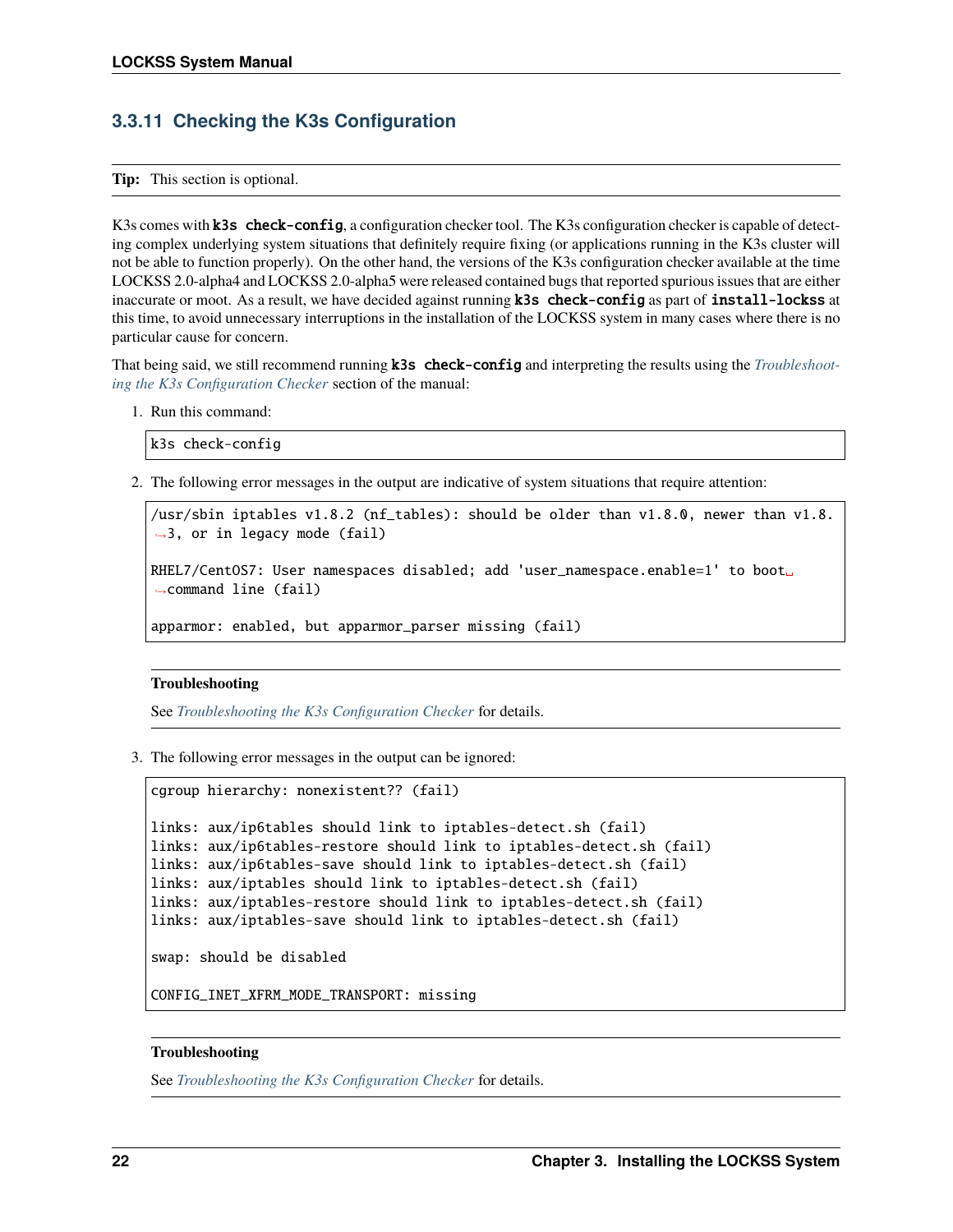# **3.3.11 Checking the K3s Configuration**

**Tip:** This section is optional.

K3s comes with **k3s** check-config, a configuration checker tool. The K3s configuration checker is capable of detecting complex underlying system situations that definitely require fixing (or applications running in the K3s cluster will not be able to function properly). On the other hand, the versions of the K3s configuration checker available at the time LOCKSS 2.0-alpha4 and LOCKSS 2.0-alpha5 were released contained bugs that reported spurious issues that are either inaccurate or moot. As a result, we have decided against running **k3s** check-config as part of install-lockss at this time, to avoid unnecessary interruptions in the installation of the LOCKSS system in many cases where there is no particular cause for concern.

That being said, we still recommend running k3s check-config and interpreting the results using the *[Troubleshoot](#page-53-0)[ing the K3s Configuration Checker](#page-53-0)* section of the manual:

1. Run this command:

```
k3s check-config
```
2. The following error messages in the output are indicative of system situations that require attention:

/usr/sbin iptables v1.8.2 (nf\_tables): should be older than v1.8.0, newer than v1.8.  $\rightarrow$ 3, or in legacy mode (fail) RHEL7/CentOS7: User namespaces disabled; add 'user\_namespace.enable=1' to boot␣ ˓<sup>→</sup>command line (fail) apparmor: enabled, but apparmor\_parser missing (fail)

#### **Troubleshooting**

See *[Troubleshooting the K3s Configuration Checker](#page-53-0)* for details.

3. The following error messages in the output can be ignored:

```
cgroup hierarchy: nonexistent?? (fail)
links: aux/ip6tables should link to iptables-detect.sh (fail)
links: aux/ip6tables-restore should link to iptables-detect.sh (fail)
links: aux/ip6tables-save should link to iptables-detect.sh (fail)
links: aux/iptables should link to iptables-detect.sh (fail)
links: aux/iptables-restore should link to iptables-detect.sh (fail)
links: aux/iptables-save should link to iptables-detect.sh (fail)
```
swap: should be disabled

CONFIG\_INET\_XFRM\_MODE\_TRANSPORT: missing

#### **Troubleshooting**

See *[Troubleshooting the K3s Configuration Checker](#page-53-0)* for details.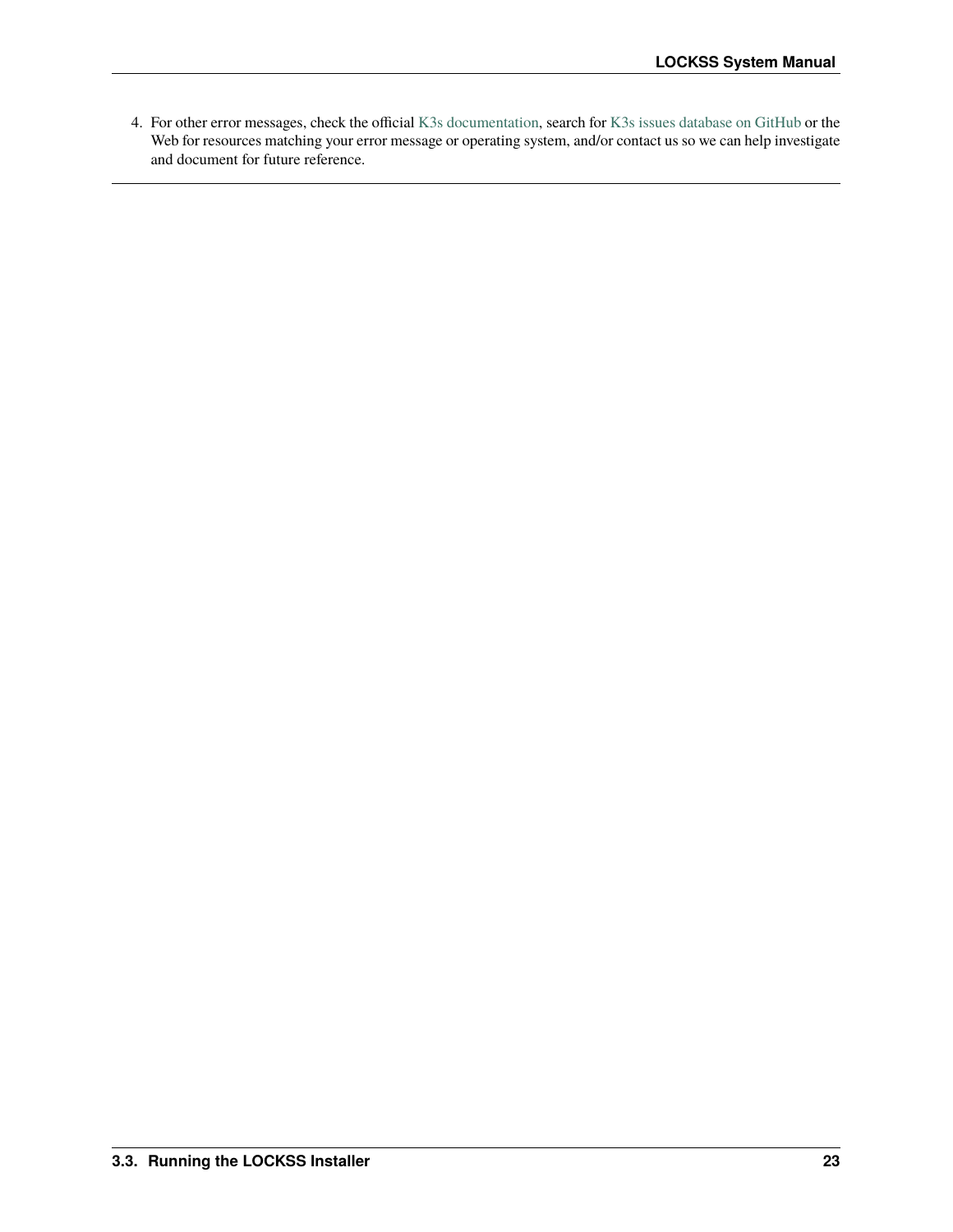4. For other error messages, check the official [K3s documentation,](https://rancher.com/docs/k3s/latest/en/) search for [K3s issues database on GitHub](https://github.com/k3s-io/k3s/issues) or the Web for resources matching your error message or operating system, and/or contact us so we can help investigate and document for future reference.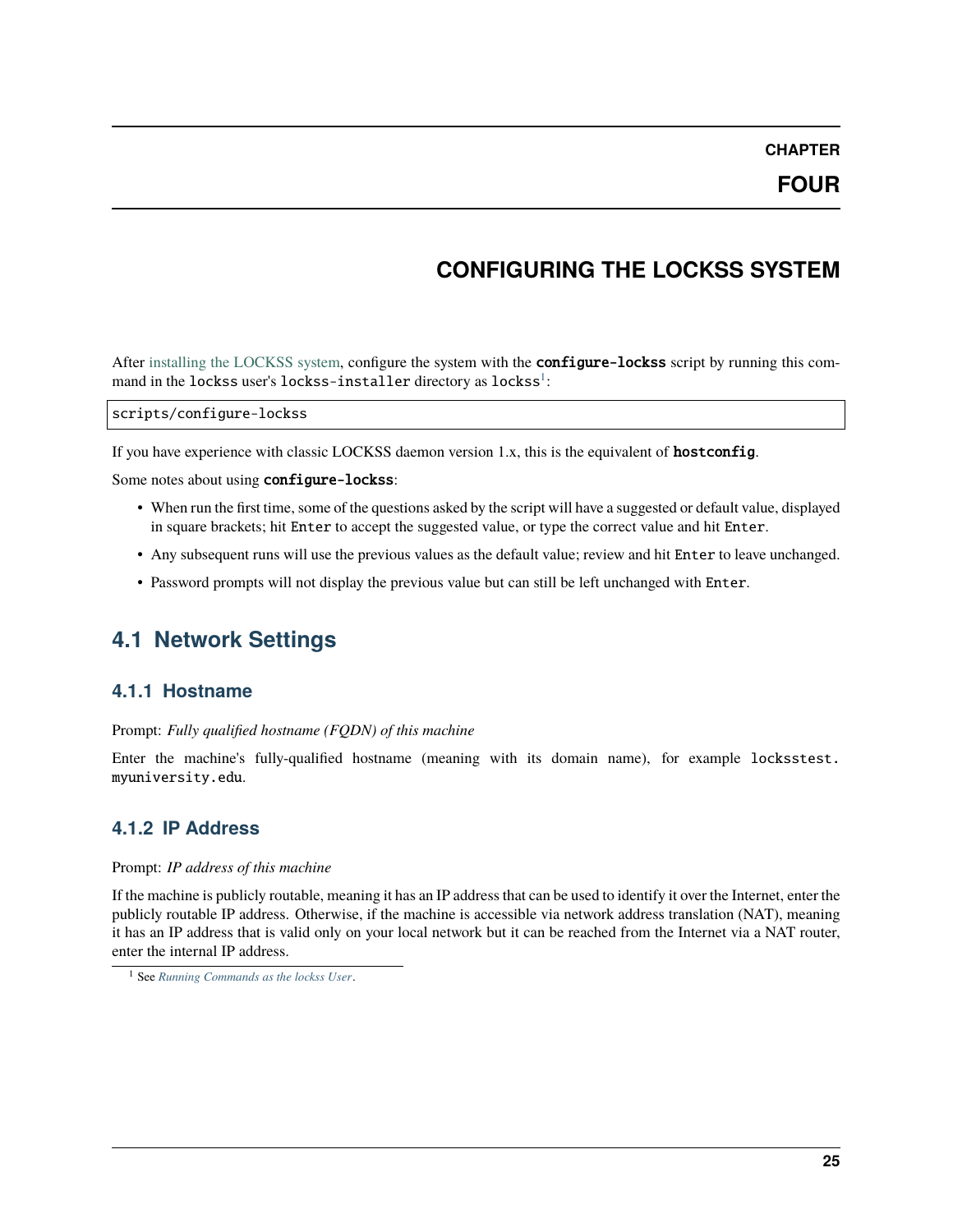**CHAPTER**

# **CONFIGURING THE LOCKSS SYSTEM**

<span id="page-28-0"></span>After [installing the LOCKSS system,](#page-0-0) configure the system with the **configure-lockss** script by running this command in the lockss user's lockss-installer directory as lockss $^{\rm l}$ :

scripts/configure-lockss

If you have experience with classic LOCKSS daemon version 1.x, this is the equivalent of **hostconfig**.

Some notes about using configure-lockss:

- When run the first time, some of the questions asked by the script will have a suggested or default value, displayed in square brackets; hit Enter to accept the suggested value, or type the correct value and hit Enter.
- Any subsequent runs will use the previous values as the default value; review and hit Enter to leave unchanged.
- Password prompts will not display the previous value but can still be left unchanged with Enter.

# <span id="page-28-1"></span>**4.1 Network Settings**

### **4.1.1 Hostname**

#### Prompt: *Fully qualified hostname (FQDN) of this machine*

Enter the machine's fully-qualified hostname (meaning with its domain name), for example locksstest. myuniversity.edu.

# **4.1.2 IP Address**

#### Prompt: *IP address of this machine*

If the machine is publicly routable, meaning it has an IP address that can be used to identify it over the Internet, enter the publicly routable IP address. Otherwise, if the machine is accessible via network address translation (NAT), meaning it has an IP address that is valid only on your local network but it can be reached from the Internet via a NAT router, enter the internal IP address.

<span id="page-28-2"></span><sup>1</sup> See *[Running Commands as the lockss User](#page-59-1)*.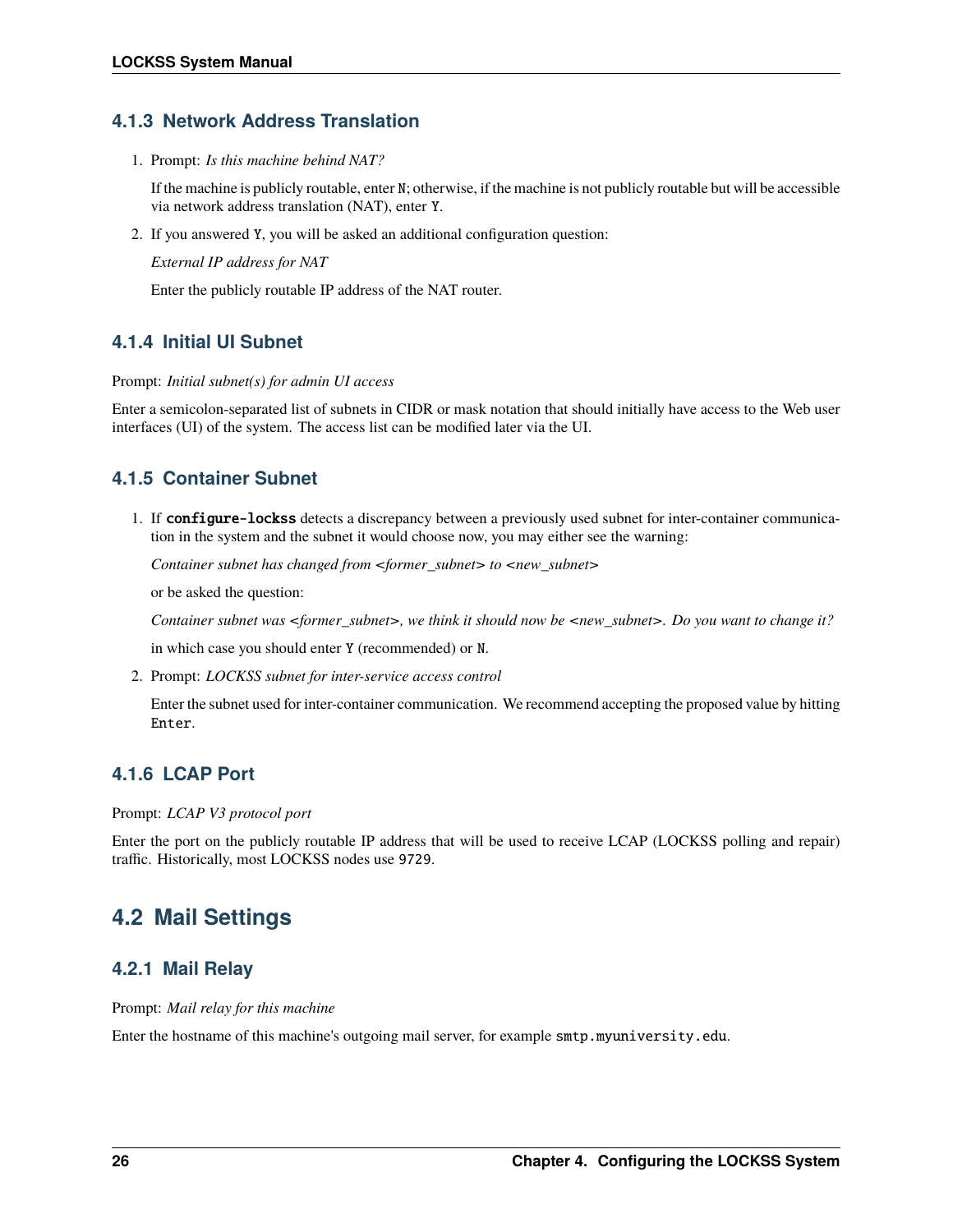# **4.1.3 Network Address Translation**

1. Prompt: *Is this machine behind NAT?*

If the machine is publicly routable, enter N; otherwise, if the machine is not publicly routable but will be accessible via network address translation (NAT), enter Y.

2. If you answered Y, you will be asked an additional configuration question:

*External IP address for NAT*

Enter the publicly routable IP address of the NAT router.

# **4.1.4 Initial UI Subnet**

#### Prompt: *Initial subnet(s) for admin UI access*

Enter a semicolon-separated list of subnets in CIDR or mask notation that should initially have access to the Web user interfaces (UI) of the system. The access list can be modified later via the UI.

# **4.1.5 Container Subnet**

1. If configure-lockss detects a discrepancy between a previously used subnet for inter-container communication in the system and the subnet it would choose now, you may either see the warning:

*Container subnet has changed from <former\_subnet> to <new\_subnet>*

or be asked the question:

*Container subnet was <former\_subnet>, we think it should now be <new\_subnet>. Do you want to change it?*

in which case you should enter Y (recommended) or N.

2. Prompt: *LOCKSS subnet for inter-service access control*

Enter the subnet used for inter-container communication. We recommend accepting the proposed value by hitting Enter.

# **4.1.6 LCAP Port**

Prompt: *LCAP V3 protocol port*

Enter the port on the publicly routable IP address that will be used to receive LCAP (LOCKSS polling and repair) traffic. Historically, most LOCKSS nodes use 9729.

# <span id="page-29-0"></span>**4.2 Mail Settings**

# **4.2.1 Mail Relay**

Prompt: *Mail relay for this machine*

Enter the hostname of this machine's outgoing mail server, for example smtp.myuniversity.edu.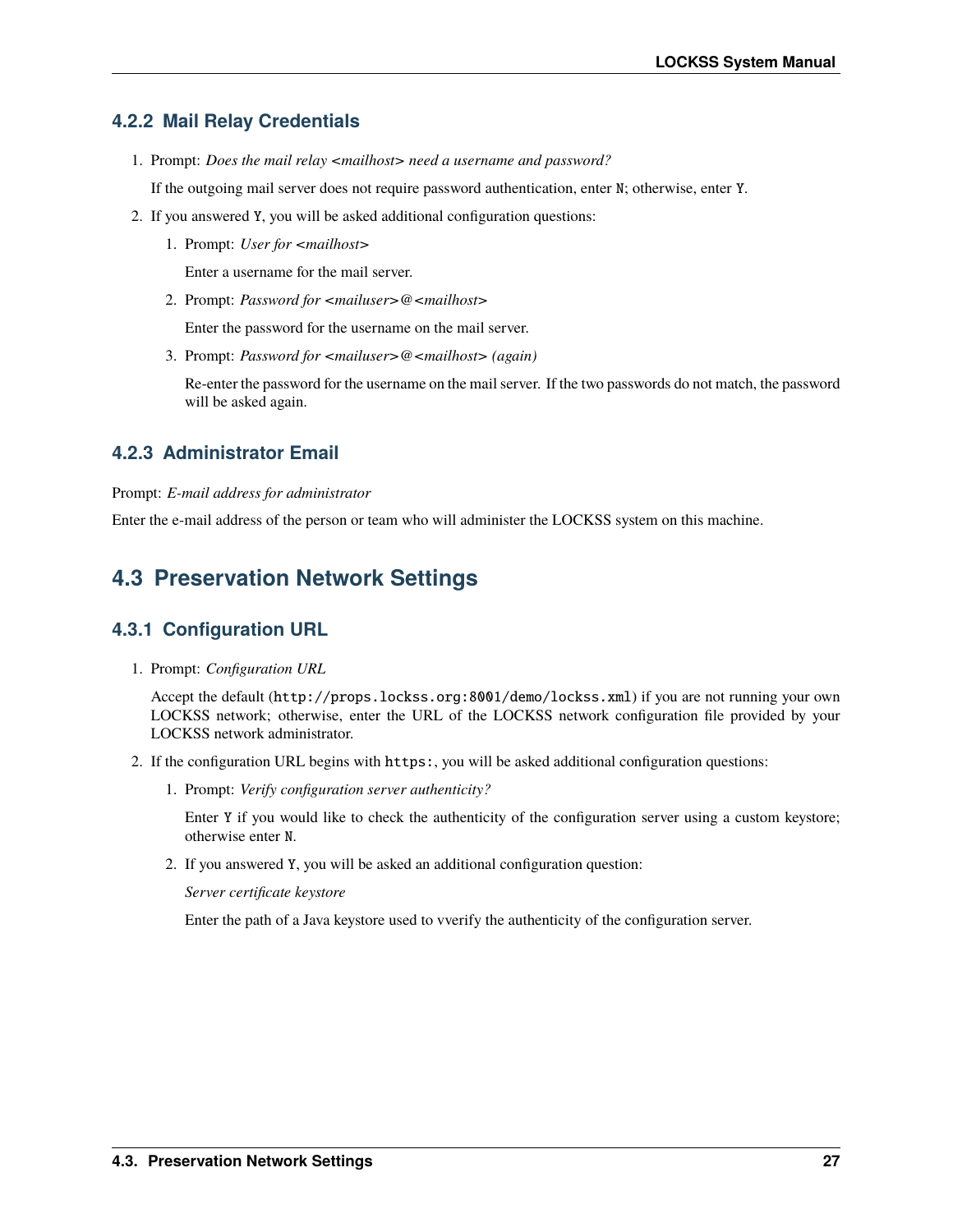# **4.2.2 Mail Relay Credentials**

1. Prompt: *Does the mail relay <mailhost> need a username and password?*

If the outgoing mail server does not require password authentication, enter N; otherwise, enter Y.

- 2. If you answered Y, you will be asked additional configuration questions:
	- 1. Prompt: *User for <mailhost>*

Enter a username for the mail server.

2. Prompt: *Password for <mailuser>@<mailhost>*

Enter the password for the username on the mail server.

3. Prompt: *Password for <mailuser>@<mailhost> (again)*

Re-enter the password for the username on the mail server. If the two passwords do not match, the password will be asked again.

# **4.2.3 Administrator Email**

Prompt: *E-mail address for administrator*

Enter the e-mail address of the person or team who will administer the LOCKSS system on this machine.

# <span id="page-30-0"></span>**4.3 Preservation Network Settings**

# **4.3.1 Configuration URL**

1. Prompt: *Configuration URL*

Accept the default (http://props.lockss.org:8001/demo/lockss.xml) if you are not running your own LOCKSS network; otherwise, enter the URL of the LOCKSS network configuration file provided by your LOCKSS network administrator.

- 2. If the configuration URL begins with https:, you will be asked additional configuration questions:
	- 1. Prompt: *Verify configuration server authenticity?*

Enter Y if you would like to check the authenticity of the configuration server using a custom keystore; otherwise enter N.

2. If you answered Y, you will be asked an additional configuration question:

*Server certificate keystore*

Enter the path of a Java keystore used to vverify the authenticity of the configuration server.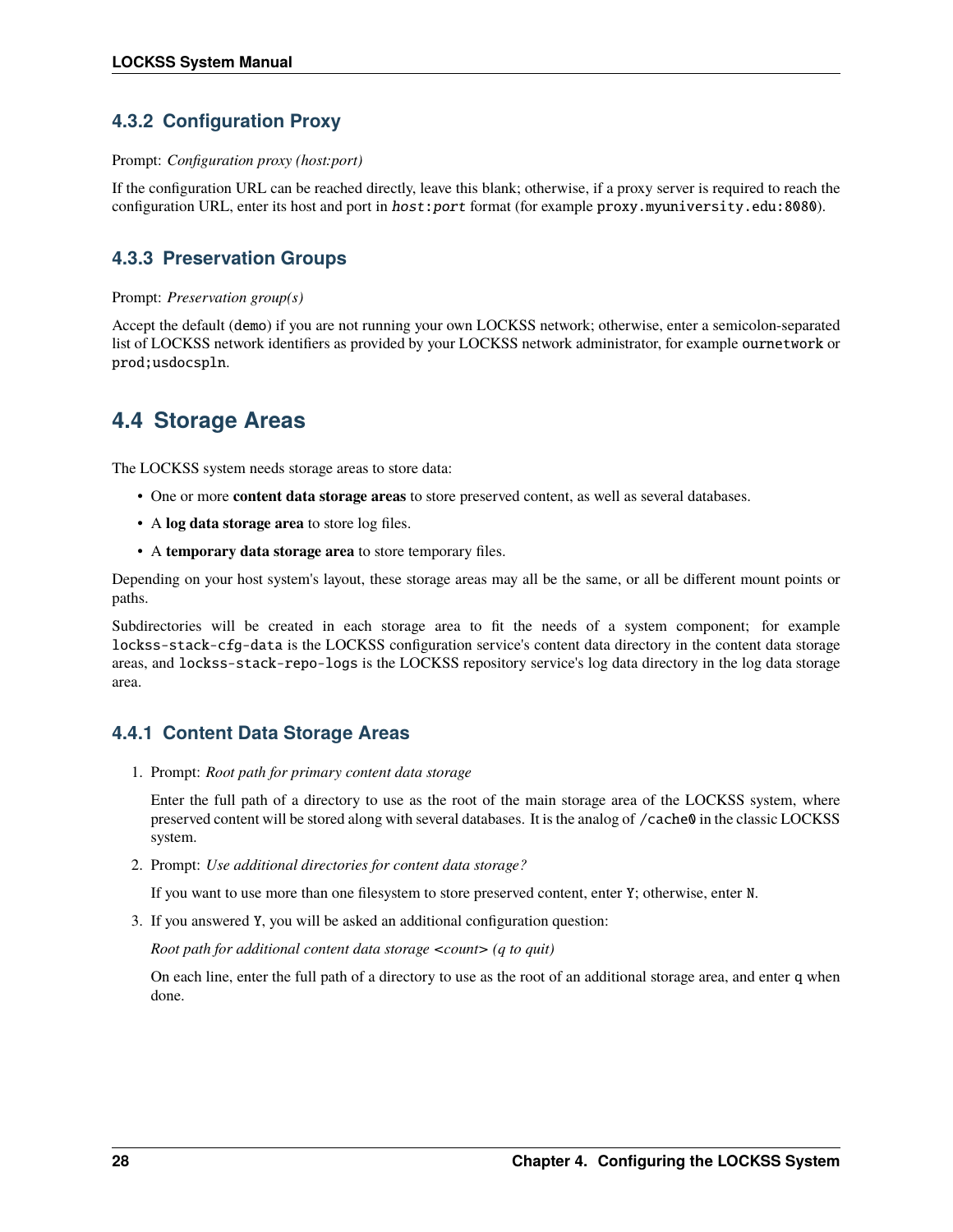# **4.3.2 Configuration Proxy**

#### Prompt: *Configuration proxy (host:port)*

If the configuration URL can be reached directly, leave this blank; otherwise, if a proxy server is required to reach the configuration URL, enter its host and port in host:port format (for example proxy.myuniversity.edu:8080).

# **4.3.3 Preservation Groups**

### Prompt: *Preservation group(s)*

Accept the default (demo) if you are not running your own LOCKSS network; otherwise, enter a semicolon-separated list of LOCKSS network identifiers as provided by your LOCKSS network administrator, for example ournetwork or prod;usdocspln.

# <span id="page-31-0"></span>**4.4 Storage Areas**

The LOCKSS system needs storage areas to store data:

- One or more **content data storage areas** to store preserved content, as well as several databases.
- A **log data storage area** to store log files.
- A **temporary data storage area** to store temporary files.

Depending on your host system's layout, these storage areas may all be the same, or all be different mount points or paths.

Subdirectories will be created in each storage area to fit the needs of a system component; for example lockss-stack-cfg-data is the LOCKSS configuration service's content data directory in the content data storage areas, and lockss-stack-repo-logs is the LOCKSS repository service's log data directory in the log data storage area.

# **4.4.1 Content Data Storage Areas**

1. Prompt: *Root path for primary content data storage*

Enter the full path of a directory to use as the root of the main storage area of the LOCKSS system, where preserved content will be stored along with several databases. It is the analog of /cache0 in the classic LOCKSS system.

2. Prompt: *Use additional directories for content data storage?*

If you want to use more than one filesystem to store preserved content, enter Y; otherwise, enter N.

3. If you answered Y, you will be asked an additional configuration question:

*Root path for additional content data storage <count> (q to quit)*

On each line, enter the full path of a directory to use as the root of an additional storage area, and enter q when done.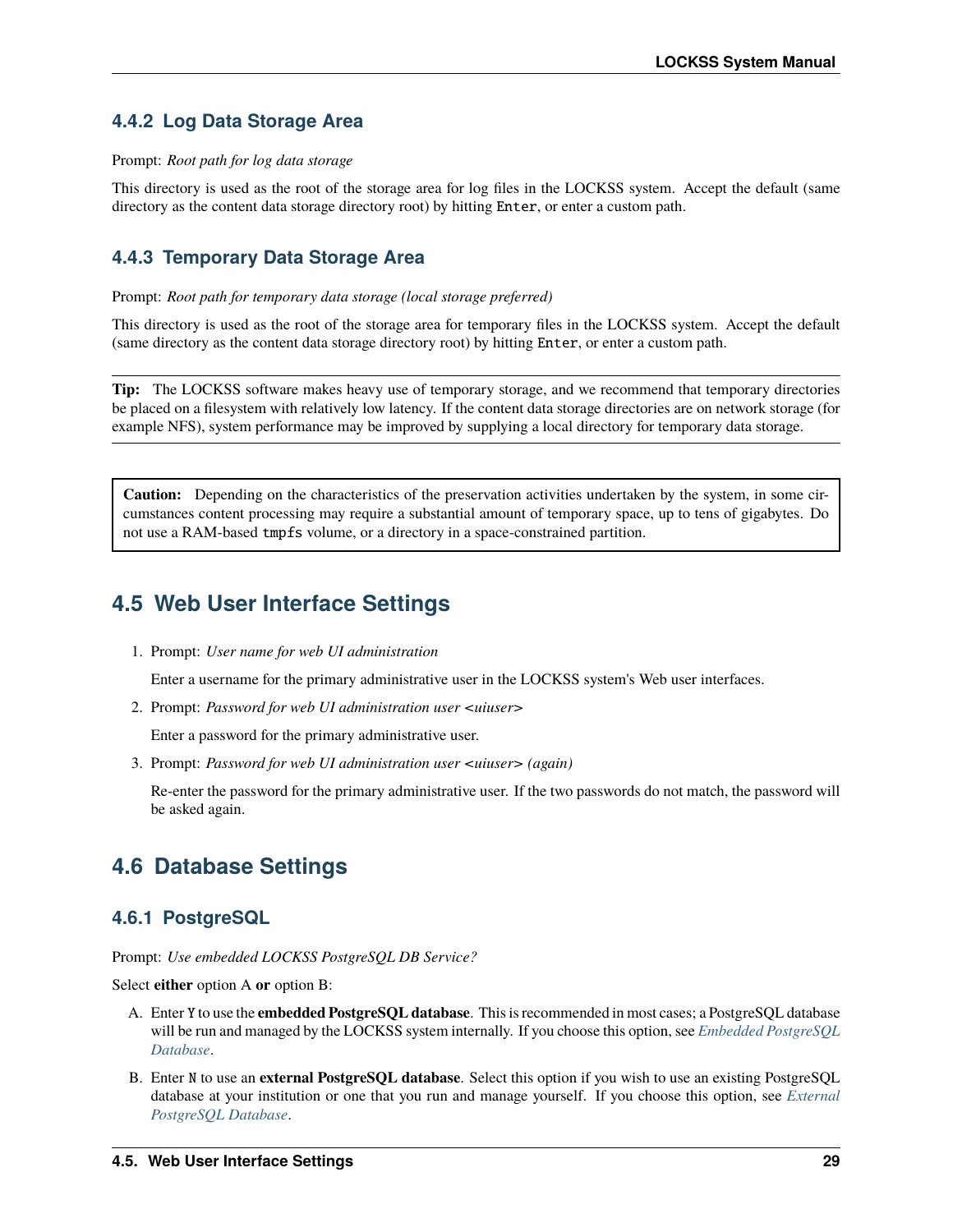# **4.4.2 Log Data Storage Area**

#### Prompt: *Root path for log data storage*

This directory is used as the root of the storage area for log files in the LOCKSS system. Accept the default (same directory as the content data storage directory root) by hitting Enter, or enter a custom path.

# **4.4.3 Temporary Data Storage Area**

#### Prompt: *Root path for temporary data storage (local storage preferred)*

This directory is used as the root of the storage area for temporary files in the LOCKSS system. Accept the default (same directory as the content data storage directory root) by hitting Enter, or enter a custom path.

**Tip:** The LOCKSS software makes heavy use of temporary storage, and we recommend that temporary directories be placed on a filesystem with relatively low latency. If the content data storage directories are on network storage (for example NFS), system performance may be improved by supplying a local directory for temporary data storage.

**Caution:** Depending on the characteristics of the preservation activities undertaken by the system, in some circumstances content processing may require a substantial amount of temporary space, up to tens of gigabytes. Do not use a RAM-based tmpfs volume, or a directory in a space-constrained partition.

# <span id="page-32-0"></span>**4.5 Web User Interface Settings**

1. Prompt: *User name for web UI administration*

Enter a username for the primary administrative user in the LOCKSS system's Web user interfaces.

2. Prompt: *Password for web UI administration user <uiuser>*

Enter a password for the primary administrative user.

3. Prompt: *Password for web UI administration user <uiuser> (again)*

Re-enter the password for the primary administrative user. If the two passwords do not match, the password will be asked again.

# <span id="page-32-1"></span>**4.6 Database Settings**

# **4.6.1 PostgreSQL**

Prompt: *Use embedded LOCKSS PostgreSQL DB Service?*

Select **either** option A **or** option B:

- A. Enter Y to use the **embedded PostgreSQL database**. This is recommended in most cases; a PostgreSQL database will be run and managed by the LOCKSS system internally. If you choose this option, see *[Embedded PostgreSQL](#page-33-0) [Database](#page-33-0)*.
- B. Enter N to use an **external PostgreSQL database**. Select this option if you wish to use an existing PostgreSQL database at your institution or one that you run and manage yourself. If you choose this option, see *[External](#page-33-1) [PostgreSQL Database](#page-33-1)*.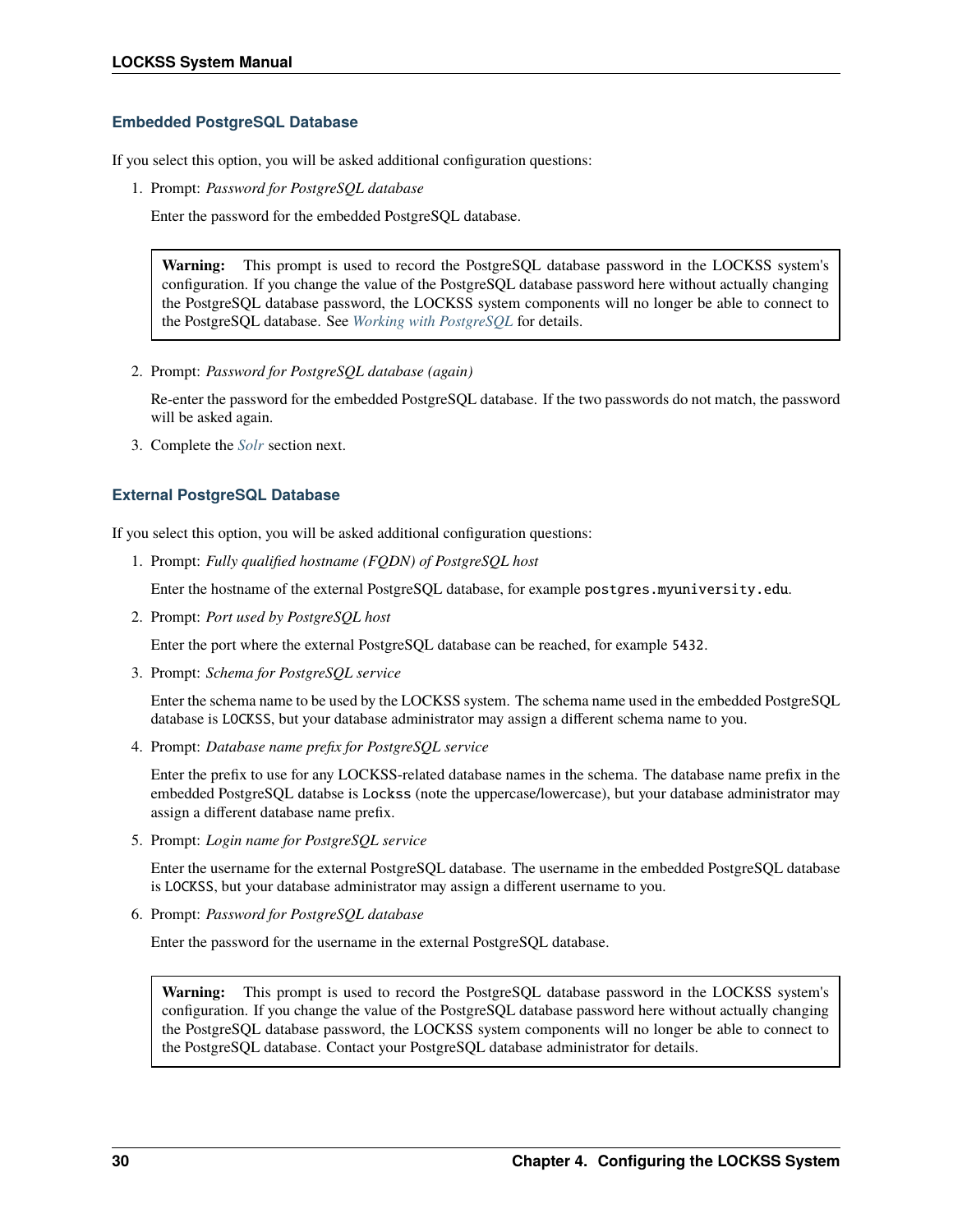### <span id="page-33-0"></span>**Embedded PostgreSQL Database**

If you select this option, you will be asked additional configuration questions:

1. Prompt: *Password for PostgreSQL database*

Enter the password for the embedded PostgreSQL database.

**Warning:** This prompt is used to record the PostgreSQL database password in the LOCKSS system's configuration. If you change the value of the PostgreSQL database password here without actually changing the PostgreSQL database password, the LOCKSS system components will no longer be able to connect to the PostgreSQL database. See *[Working with PostgreSQL](#page-77-0)* for details.

2. Prompt: *Password for PostgreSQL database (again)*

Re-enter the password for the embedded PostgreSQL database. If the two passwords do not match, the password will be asked again.

3. Complete the *[Solr](#page-34-0)* section next.

### <span id="page-33-1"></span>**External PostgreSQL Database**

If you select this option, you will be asked additional configuration questions:

1. Prompt: *Fully qualified hostname (FQDN) of PostgreSQL host*

Enter the hostname of the external PostgreSQL database, for example postgres.myuniversity.edu.

2. Prompt: *Port used by PostgreSQL host*

Enter the port where the external PostgreSQL database can be reached, for example 5432.

3. Prompt: *Schema for PostgreSQL service*

Enter the schema name to be used by the LOCKSS system. The schema name used in the embedded PostgreSQL database is LOCKSS, but your database administrator may assign a different schema name to you.

4. Prompt: *Database name prefix for PostgreSQL service*

Enter the prefix to use for any LOCKSS-related database names in the schema. The database name prefix in the embedded PostgreSQL databse is Lockss (note the uppercase/lowercase), but your database administrator may assign a different database name prefix.

5. Prompt: *Login name for PostgreSQL service*

Enter the username for the external PostgreSQL database. The username in the embedded PostgreSQL database is LOCKSS, but your database administrator may assign a different username to you.

6. Prompt: *Password for PostgreSQL database*

Enter the password for the username in the external PostgreSQL database.

**Warning:** This prompt is used to record the PostgreSQL database password in the LOCKSS system's configuration. If you change the value of the PostgreSQL database password here without actually changing the PostgreSQL database password, the LOCKSS system components will no longer be able to connect to the PostgreSQL database. Contact your PostgreSQL database administrator for details.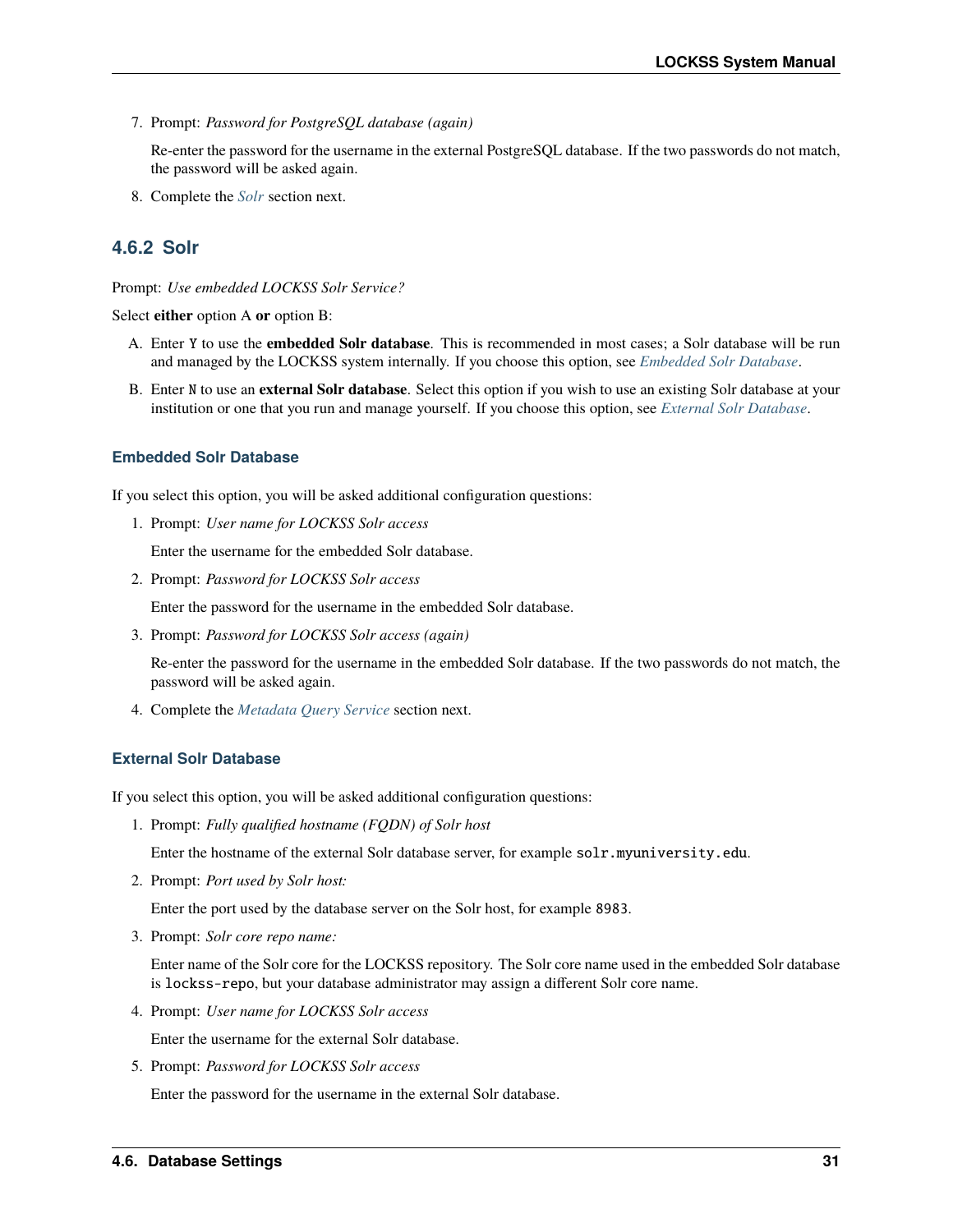7. Prompt: *Password for PostgreSQL database (again)*

Re-enter the password for the username in the external PostgreSQL database. If the two passwords do not match, the password will be asked again.

8. Complete the *[Solr](#page-34-0)* section next.

# <span id="page-34-0"></span>**4.6.2 Solr**

#### Prompt: *Use embedded LOCKSS Solr Service?*

Select **either** option A **or** option B:

- A. Enter Y to use the **embedded Solr database**. This is recommended in most cases; a Solr database will be run and managed by the LOCKSS system internally. If you choose this option, see *[Embedded Solr Database](#page-34-1)*.
- B. Enter N to use an **external Solr database**. Select this option if you wish to use an existing Solr database at your institution or one that you run and manage yourself. If you choose this option, see *[External Solr Database](#page-34-2)*.

#### <span id="page-34-1"></span>**Embedded Solr Database**

If you select this option, you will be asked additional configuration questions:

1. Prompt: *User name for LOCKSS Solr access*

Enter the username for the embedded Solr database.

2. Prompt: *Password for LOCKSS Solr access*

Enter the password for the username in the embedded Solr database.

3. Prompt: *Password for LOCKSS Solr access (again)*

Re-enter the password for the username in the embedded Solr database. If the two passwords do not match, the password will be asked again.

4. Complete the *[Metadata Query Service](#page-35-2)* section next.

#### <span id="page-34-2"></span>**External Solr Database**

If you select this option, you will be asked additional configuration questions:

1. Prompt: *Fully qualified hostname (FQDN) of Solr host*

Enter the hostname of the external Solr database server, for example solr.myuniversity.edu.

2. Prompt: *Port used by Solr host:*

Enter the port used by the database server on the Solr host, for example 8983.

3. Prompt: *Solr core repo name:*

Enter name of the Solr core for the LOCKSS repository. The Solr core name used in the embedded Solr database is lockss-repo, but your database administrator may assign a different Solr core name.

4. Prompt: *User name for LOCKSS Solr access*

Enter the username for the external Solr database.

5. Prompt: *Password for LOCKSS Solr access*

Enter the password for the username in the external Solr database.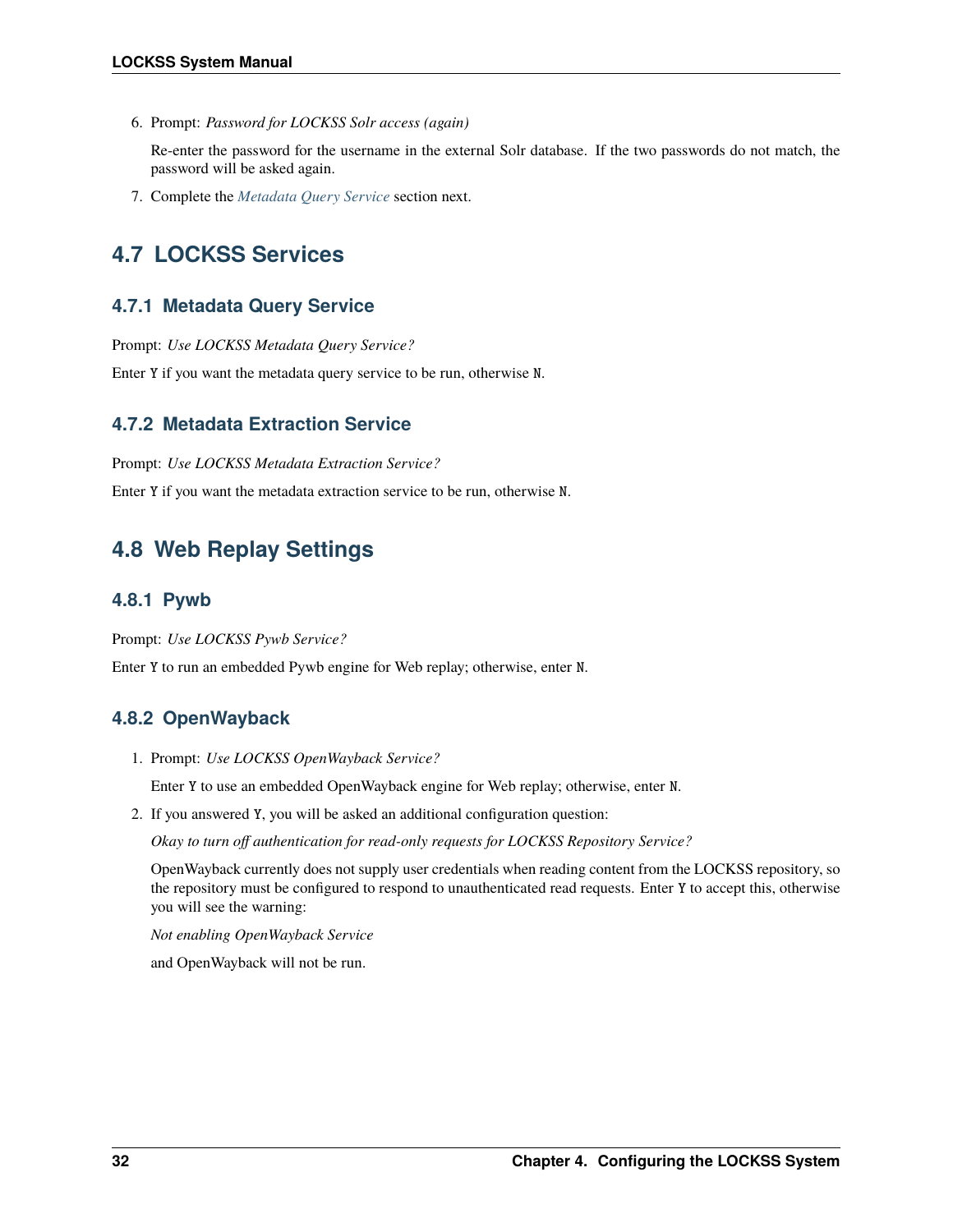6. Prompt: *Password for LOCKSS Solr access (again)*

Re-enter the password for the username in the external Solr database. If the two passwords do not match, the password will be asked again.

7. Complete the *[Metadata Query Service](#page-35-2)* section next.

# <span id="page-35-0"></span>**4.7 LOCKSS Services**

### <span id="page-35-2"></span>**4.7.1 Metadata Query Service**

Prompt: *Use LOCKSS Metadata Query Service?*

Enter Y if you want the metadata query service to be run, otherwise N.

### **4.7.2 Metadata Extraction Service**

Prompt: *Use LOCKSS Metadata Extraction Service?*

Enter Y if you want the metadata extraction service to be run, otherwise N.

# <span id="page-35-1"></span>**4.8 Web Replay Settings**

### **4.8.1 Pywb**

Prompt: *Use LOCKSS Pywb Service?*

Enter Y to run an embedded Pywb engine for Web replay; otherwise, enter N.

# **4.8.2 OpenWayback**

1. Prompt: *Use LOCKSS OpenWayback Service?*

Enter Y to use an embedded OpenWayback engine for Web replay; otherwise, enter N.

2. If you answered Y, you will be asked an additional configuration question:

*Okay to turn off authentication for read-only requests for LOCKSS Repository Service?*

OpenWayback currently does not supply user credentials when reading content from the LOCKSS repository, so the repository must be configured to respond to unauthenticated read requests. Enter Y to accept this, otherwise you will see the warning:

*Not enabling OpenWayback Service*

and OpenWayback will not be run.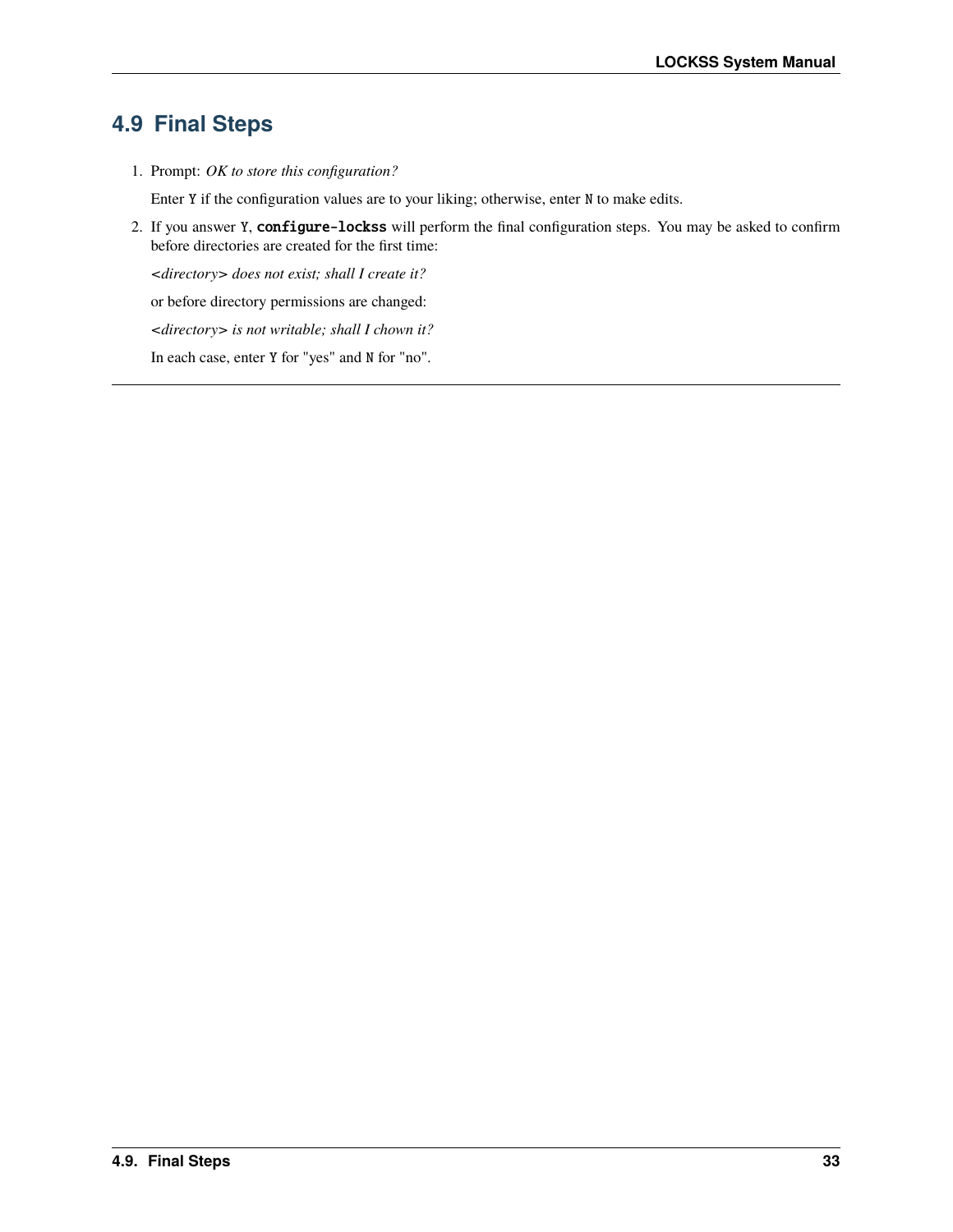# **4.9 Final Steps**

1. Prompt: *OK to store this configuration?*

Enter Y if the configuration values are to your liking; otherwise, enter N to make edits.

2. If you answer Y, configure-lockss will perform the final configuration steps. You may be asked to confirm before directories are created for the first time:

*<directory> does not exist; shall I create it?*

or before directory permissions are changed:

*<directory> is not writable; shall I chown it?*

In each case, enter Y for "yes" and N for "no".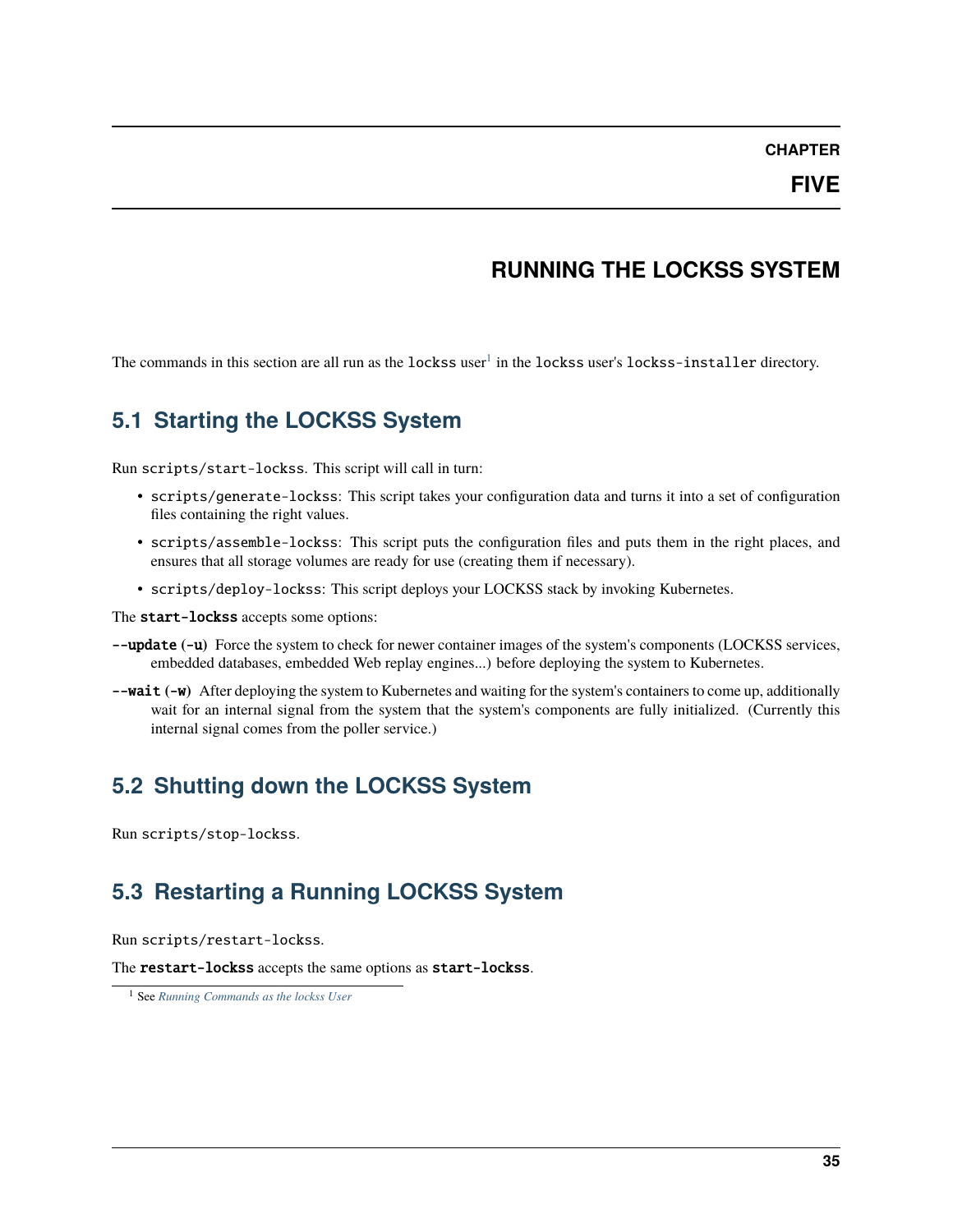### **CHAPTER**

# **RUNNING THE LOCKSS SYSTEM**

The commands in this section are all run as the  ${\tt lockss}$  user $^1$  $^1$  in the  ${\tt lockss}$  user's  ${\tt lockss-installer}$  directory.

# **5.1 Starting the LOCKSS System**

Run scripts/start-lockss. This script will call in turn:

- scripts/generate-lockss: This script takes your configuration data and turns it into a set of configuration files containing the right values.
- scripts/assemble-lockss: This script puts the configuration files and puts them in the right places, and ensures that all storage volumes are ready for use (creating them if necessary).
- scripts/deploy-lockss: This script deploys your LOCKSS stack by invoking Kubernetes.

The start-lockss accepts some options:

- --update **(**-u**)** Force the system to check for newer container images of the system's components (LOCKSS services, embedded databases, embedded Web replay engines...) before deploying the system to Kubernetes.
- --wait **(**-w**)** After deploying the system to Kubernetes and waiting for the system's containers to come up, additionally wait for an internal signal from the system that the system's components are fully initialized. (Currently this internal signal comes from the poller service.)

# **5.2 Shutting down the LOCKSS System**

Run scripts/stop-lockss.

# **5.3 Restarting a Running LOCKSS System**

Run scripts/restart-lockss.

The restart-lockss accepts the same options as start-lockss.

<span id="page-38-0"></span><sup>1</sup> See *[Running Commands as the lockss User](#page-59-0)*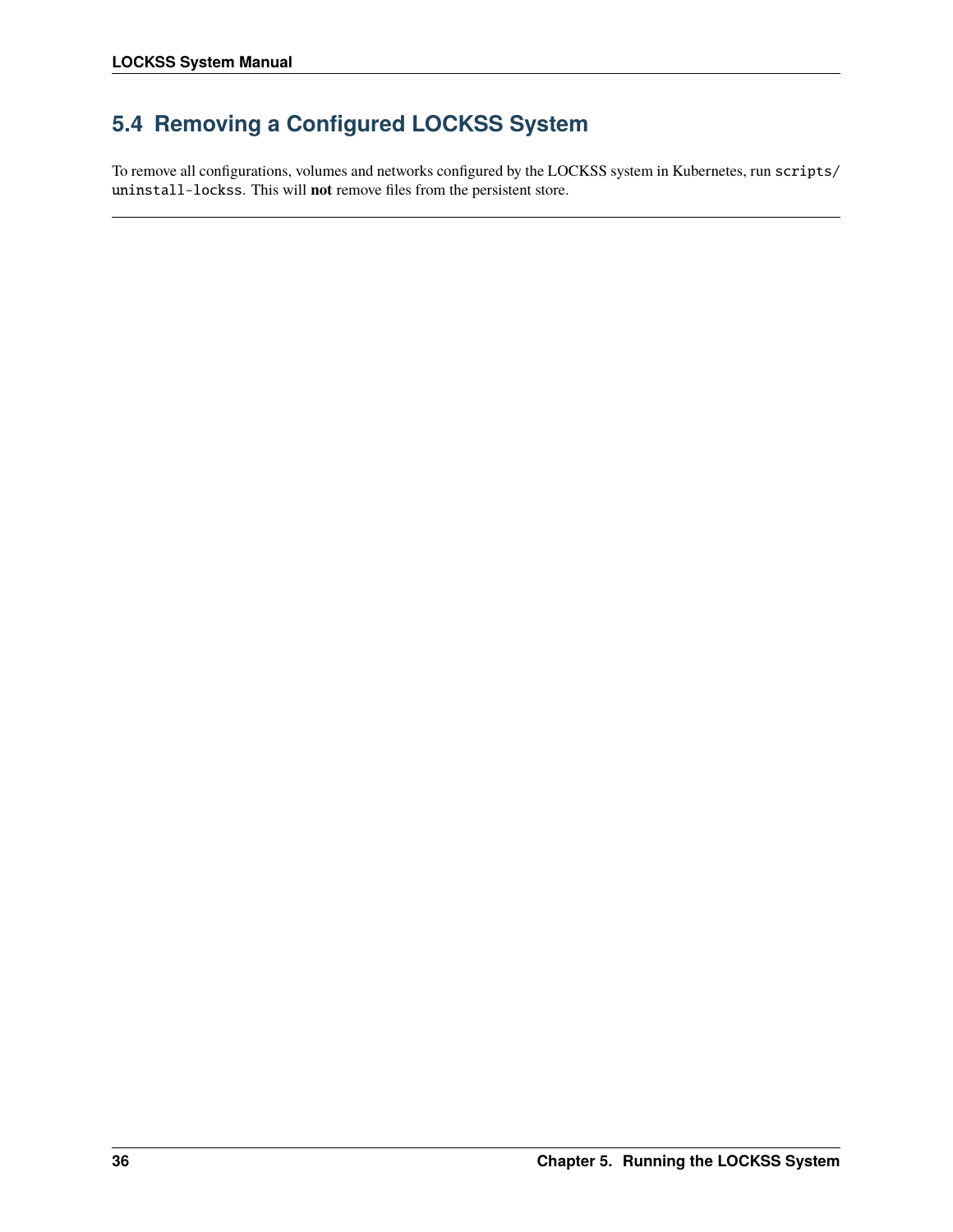# **5.4 Removing a Configured LOCKSS System**

To remove all configurations, volumes and networks configured by the LOCKSS system in Kubernetes, run scripts/ uninstall-lockss. This will **not** remove files from the persistent store.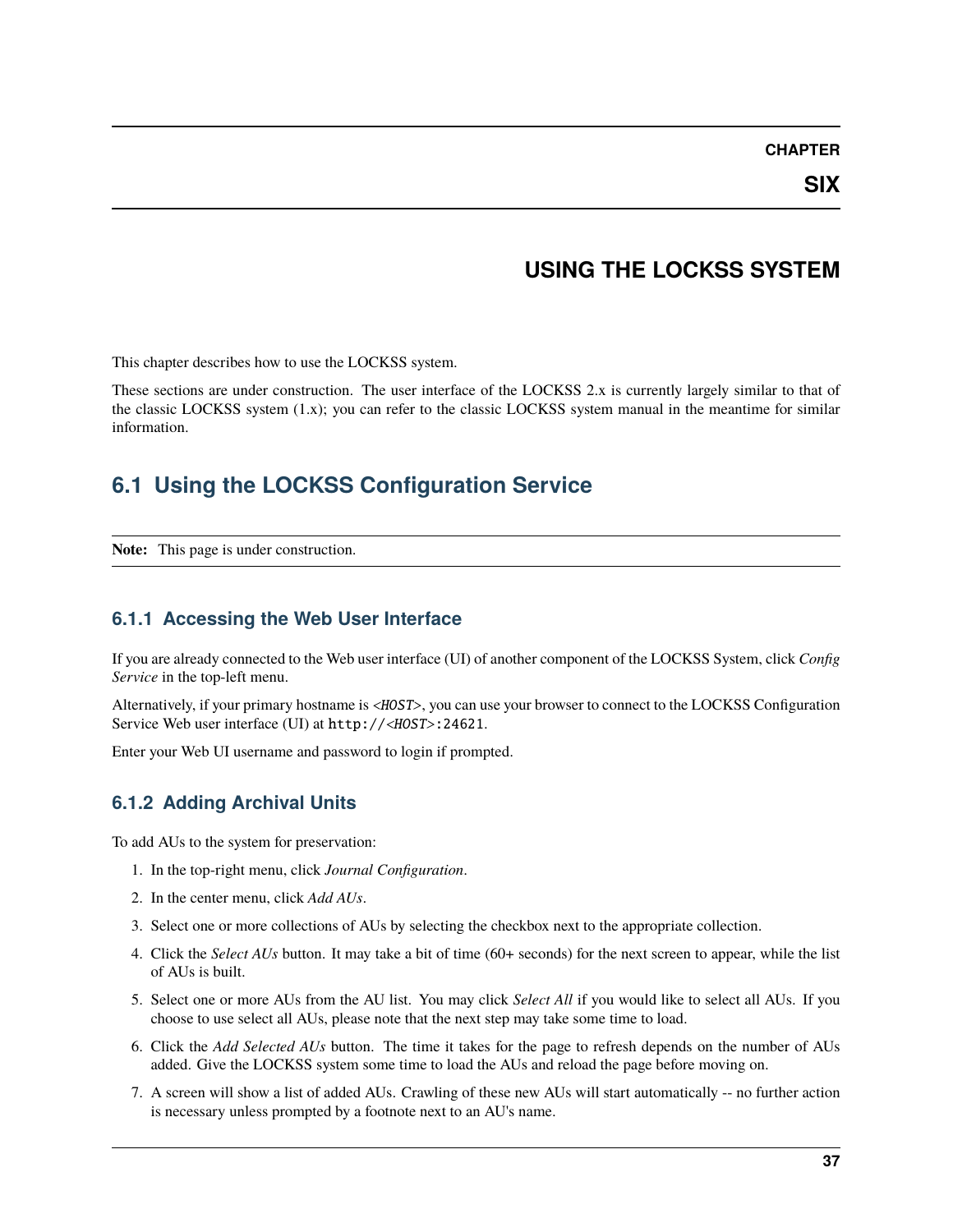#### **CHAPTER**

## **USING THE LOCKSS SYSTEM**

This chapter describes how to use the LOCKSS system.

These sections are under construction. The user interface of the LOCKSS 2.x is currently largely similar to that of the classic LOCKSS system (1.x); you can refer to the classic LOCKSS system manual in the meantime for similar information.

## **6.1 Using the LOCKSS Configuration Service**

**Note:** This page is under construction.

### **6.1.1 Accessing the Web User Interface**

If you are already connected to the Web user interface (UI) of another component of the LOCKSS System, click *Config Service* in the top-left menu.

Alternatively, if your primary hostname is <HOST>, you can use your browser to connect to the LOCKSS Configuration Service Web user interface (UI) at http://<HOST>:24621.

Enter your Web UI username and password to login if prompted.

### **6.1.2 Adding Archival Units**

To add AUs to the system for preservation:

- 1. In the top-right menu, click *Journal Configuration*.
- 2. In the center menu, click *Add AUs*.
- 3. Select one or more collections of AUs by selecting the checkbox next to the appropriate collection.
- 4. Click the *Select AUs* button. It may take a bit of time (60+ seconds) for the next screen to appear, while the list of AUs is built.
- 5. Select one or more AUs from the AU list. You may click *Select All* if you would like to select all AUs. If you choose to use select all AUs, please note that the next step may take some time to load.
- 6. Click the *Add Selected AUs* button. The time it takes for the page to refresh depends on the number of AUs added. Give the LOCKSS system some time to load the AUs and reload the page before moving on.
- 7. A screen will show a list of added AUs. Crawling of these new AUs will start automatically -- no further action is necessary unless prompted by a footnote next to an AU's name.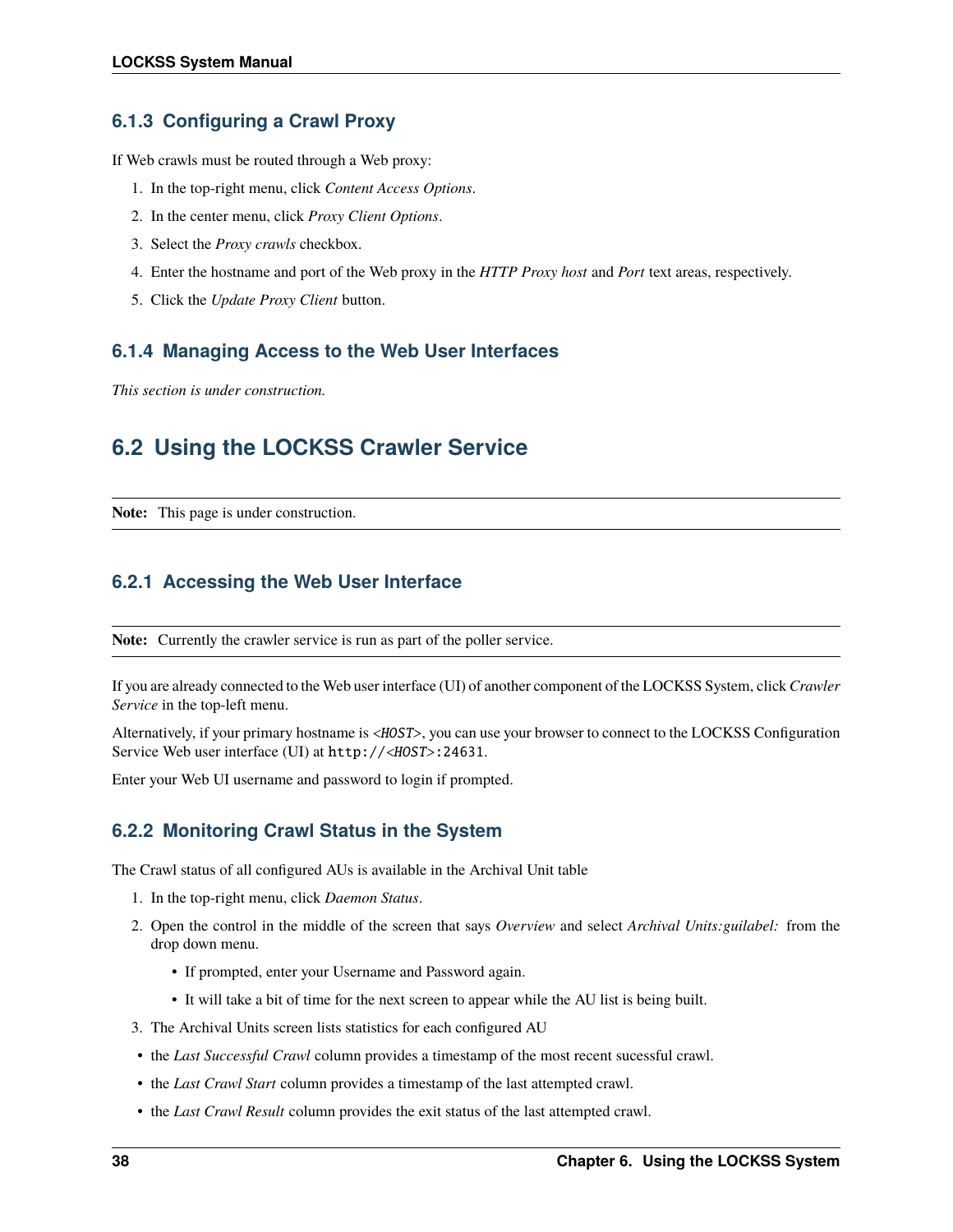## **6.1.3 Configuring a Crawl Proxy**

If Web crawls must be routed through a Web proxy:

- 1. In the top-right menu, click *Content Access Options*.
- 2. In the center menu, click *Proxy Client Options*.
- 3. Select the *Proxy crawls* checkbox.
- 4. Enter the hostname and port of the Web proxy in the *HTTP Proxy host* and *Port* text areas, respectively.
- 5. Click the *Update Proxy Client* button.

### **6.1.4 Managing Access to the Web User Interfaces**

*This section is under construction.*

## **6.2 Using the LOCKSS Crawler Service**

**Note:** This page is under construction.

## **6.2.1 Accessing the Web User Interface**

**Note:** Currently the crawler service is run as part of the poller service.

If you are already connected to the Web user interface (UI) of another component of the LOCKSS System, click *Crawler Service* in the top-left menu.

Alternatively, if your primary hostname is <HOST>, you can use your browser to connect to the LOCKSS Configuration Service Web user interface (UI) at http://<HOST>:24631.

Enter your Web UI username and password to login if prompted.

## **6.2.2 Monitoring Crawl Status in the System**

The Crawl status of all configured AUs is available in the Archival Unit table

- 1. In the top-right menu, click *Daemon Status*.
- 2. Open the control in the middle of the screen that says *Overview* and select *Archival Units:guilabel:* from the drop down menu.
	- If prompted, enter your Username and Password again.
	- It will take a bit of time for the next screen to appear while the AU list is being built.
- 3. The Archival Units screen lists statistics for each configured AU
- the *Last Successful Crawl* column provides a timestamp of the most recent sucessful crawl.
- the *Last Crawl Start* column provides a timestamp of the last attempted crawl.
- the *Last Crawl Result* column provides the exit status of the last attempted crawl.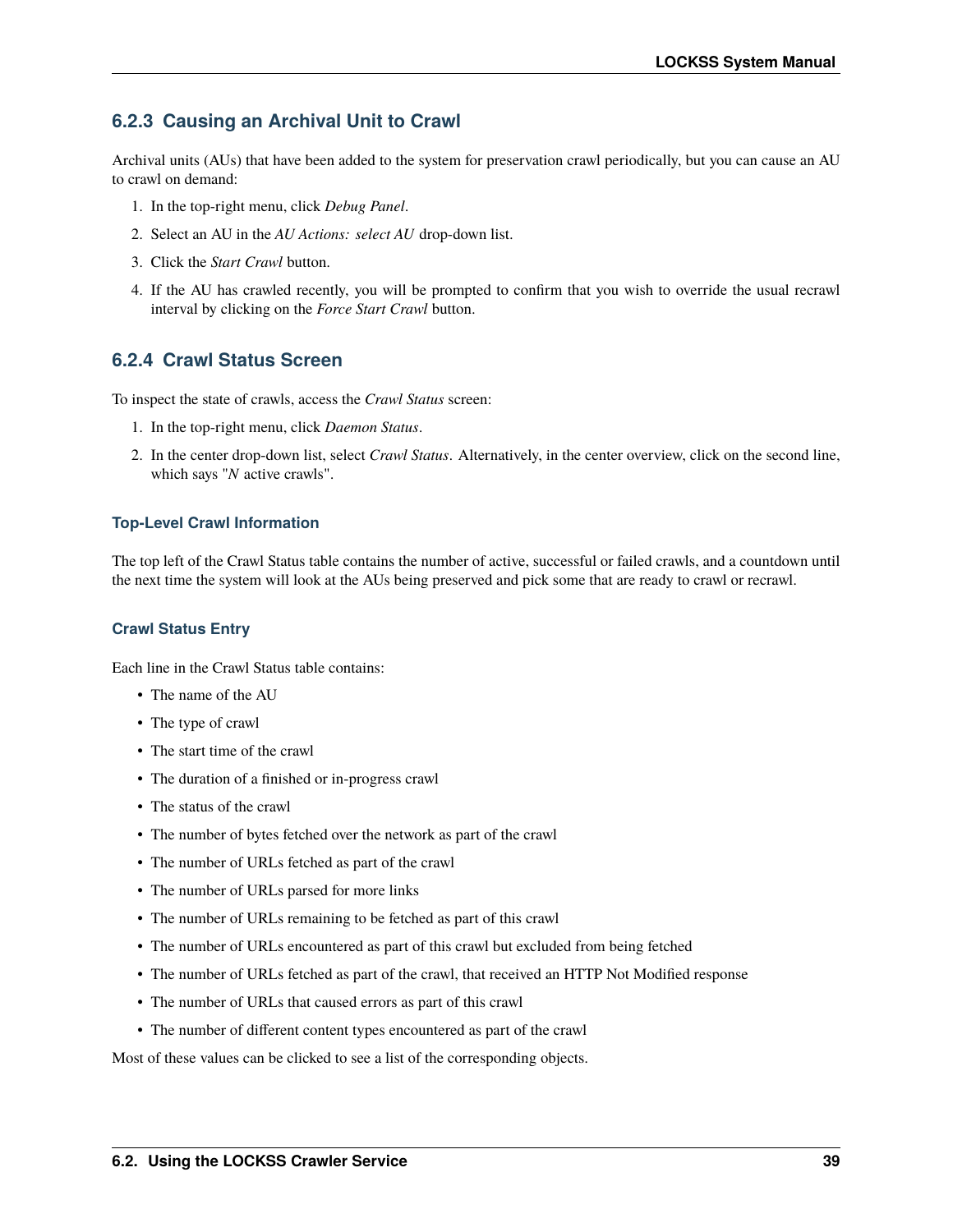## **6.2.3 Causing an Archival Unit to Crawl**

Archival units (AUs) that have been added to the system for preservation crawl periodically, but you can cause an AU to crawl on demand:

- 1. In the top-right menu, click *Debug Panel*.
- 2. Select an AU in the *AU Actions: select AU* drop-down list.
- 3. Click the *Start Crawl* button.
- 4. If the AU has crawled recently, you will be prompted to confirm that you wish to override the usual recrawl interval by clicking on the *Force Start Crawl* button.

### **6.2.4 Crawl Status Screen**

To inspect the state of crawls, access the *Crawl Status* screen:

- 1. In the top-right menu, click *Daemon Status*.
- 2. In the center drop-down list, select *Crawl Status*. Alternatively, in the center overview, click on the second line, which says "*N* active crawls".

#### **Top-Level Crawl Information**

The top left of the Crawl Status table contains the number of active, successful or failed crawls, and a countdown until the next time the system will look at the AUs being preserved and pick some that are ready to crawl or recrawl.

#### **Crawl Status Entry**

Each line in the Crawl Status table contains:

- The name of the AU
- The type of crawl
- The start time of the crawl
- The duration of a finished or in-progress crawl
- The status of the crawl
- The number of bytes fetched over the network as part of the crawl
- The number of URLs fetched as part of the crawl
- The number of URLs parsed for more links
- The number of URLs remaining to be fetched as part of this crawl
- The number of URLs encountered as part of this crawl but excluded from being fetched
- The number of URLs fetched as part of the crawl, that received an HTTP Not Modified response
- The number of URLs that caused errors as part of this crawl
- The number of different content types encountered as part of the crawl

Most of these values can be clicked to see a list of the corresponding objects.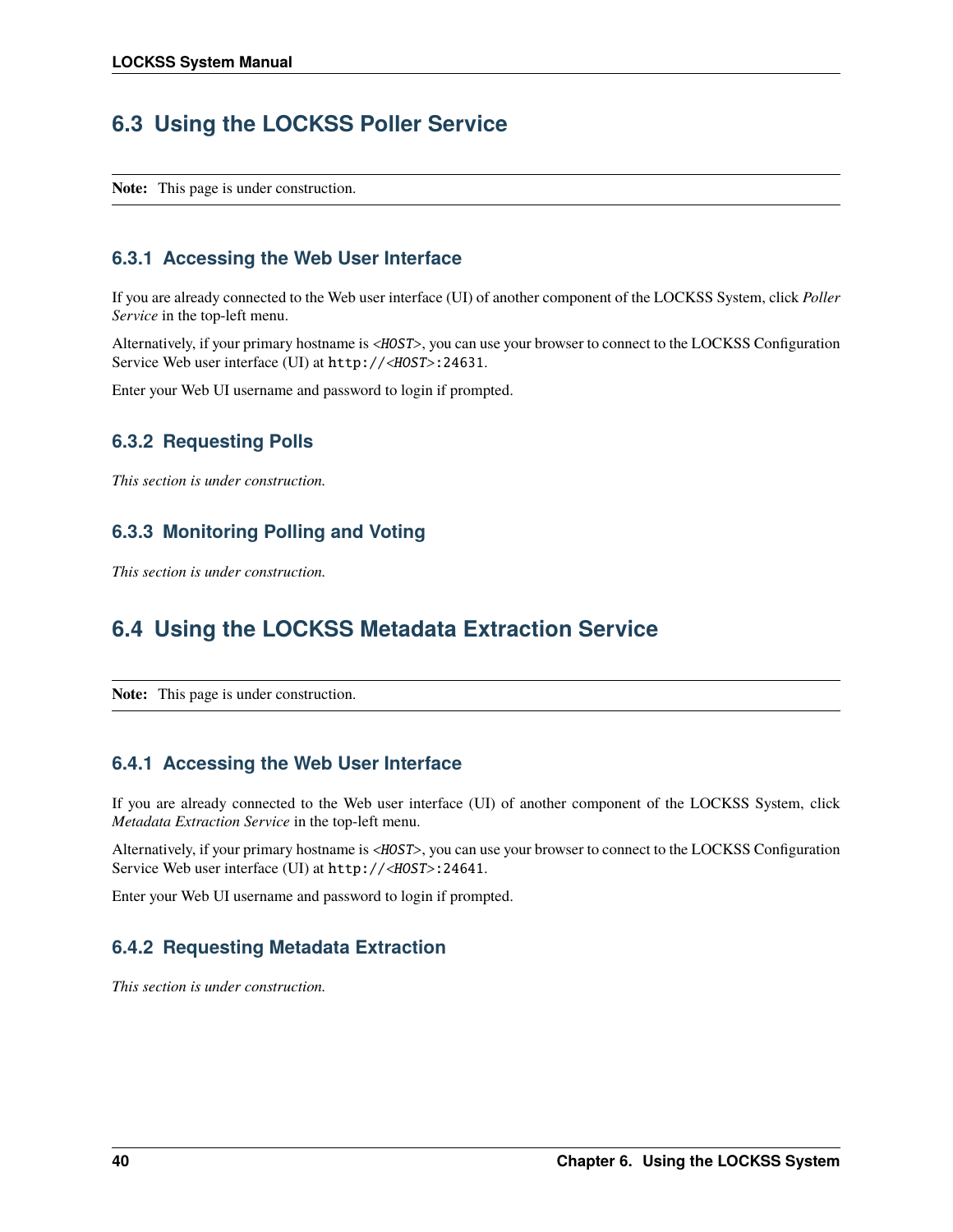## **6.3 Using the LOCKSS Poller Service**

**Note:** This page is under construction.

## **6.3.1 Accessing the Web User Interface**

If you are already connected to the Web user interface (UI) of another component of the LOCKSS System, click *Poller Service* in the top-left menu.

Alternatively, if your primary hostname is <*HOST*>, you can use your browser to connect to the LOCKSS Configuration Service Web user interface (UI) at http://<HOST>:24631.

Enter your Web UI username and password to login if prompted.

## **6.3.2 Requesting Polls**

*This section is under construction.*

## **6.3.3 Monitoring Polling and Voting**

*This section is under construction.*

## **6.4 Using the LOCKSS Metadata Extraction Service**

**Note:** This page is under construction.

## **6.4.1 Accessing the Web User Interface**

If you are already connected to the Web user interface (UI) of another component of the LOCKSS System, click *Metadata Extraction Service* in the top-left menu.

Alternatively, if your primary hostname is <HOST>, you can use your browser to connect to the LOCKSS Configuration Service Web user interface (UI) at http://<HOST>:24641.

Enter your Web UI username and password to login if prompted.

## **6.4.2 Requesting Metadata Extraction**

*This section is under construction.*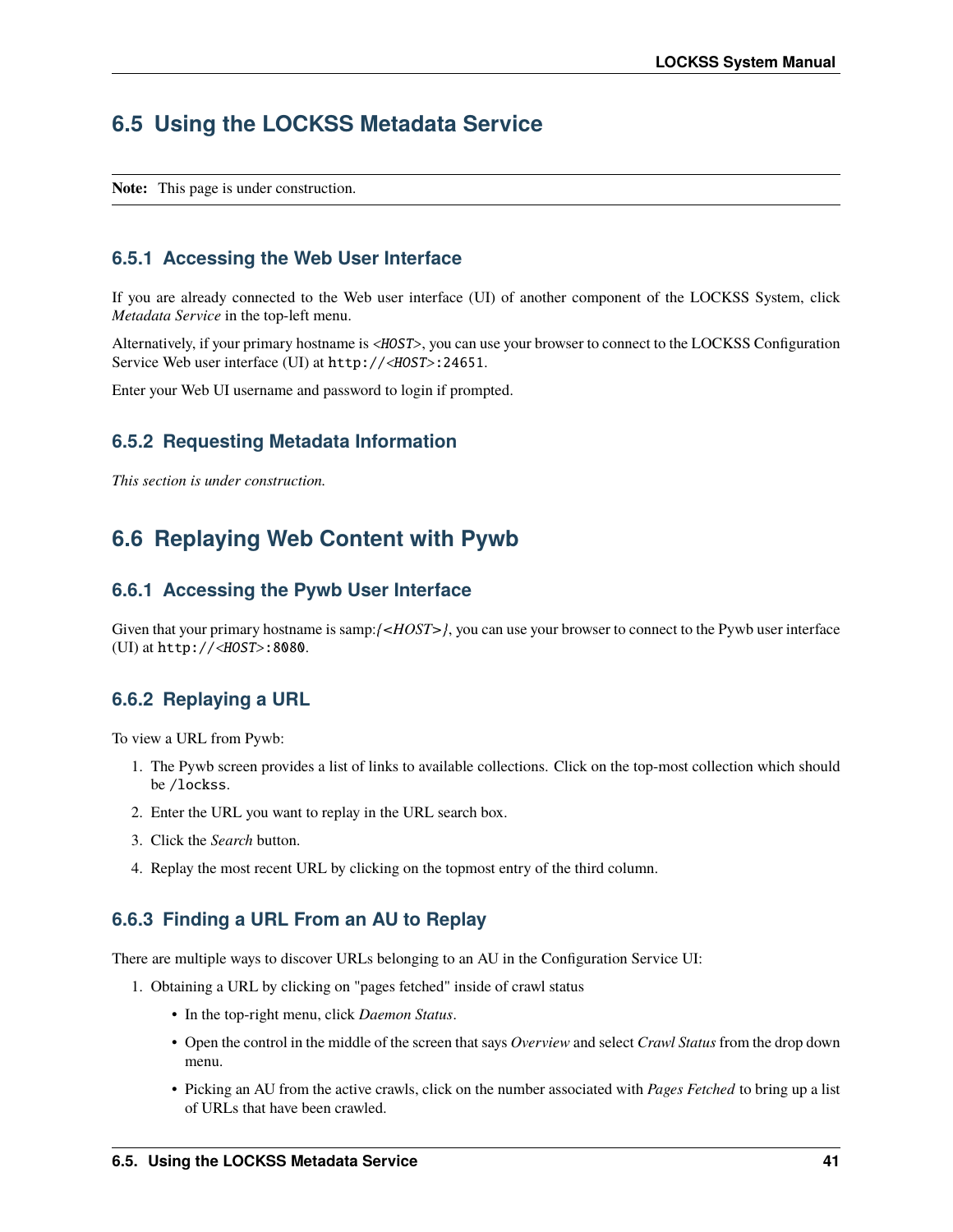## **6.5 Using the LOCKSS Metadata Service**

**Note:** This page is under construction.

### **6.5.1 Accessing the Web User Interface**

If you are already connected to the Web user interface (UI) of another component of the LOCKSS System, click *Metadata Service* in the top-left menu.

Alternatively, if your primary hostname is <HOST>, you can use your browser to connect to the LOCKSS Configuration Service Web user interface (UI) at http://<HOST>:24651.

Enter your Web UI username and password to login if prompted.

### **6.5.2 Requesting Metadata Information**

*This section is under construction.*

## **6.6 Replaying Web Content with Pywb**

#### **6.6.1 Accessing the Pywb User Interface**

Given that your primary hostname is samp:/ $\langle \angle HOST \rangle$ , you can use your browser to connect to the Pywb user interface (UI) at http://<HOST>:8080.

### **6.6.2 Replaying a URL**

To view a URL from Pywb:

- 1. The Pywb screen provides a list of links to available collections. Click on the top-most collection which should be /lockss.
- 2. Enter the URL you want to replay in the URL search box.
- 3. Click the *Search* button.
- 4. Replay the most recent URL by clicking on the topmost entry of the third column.

#### **6.6.3 Finding a URL From an AU to Replay**

There are multiple ways to discover URLs belonging to an AU in the Configuration Service UI:

- 1. Obtaining a URL by clicking on "pages fetched" inside of crawl status
	- In the top-right menu, click *Daemon Status*.
	- Open the control in the middle of the screen that says *Overview* and select *Crawl Status* from the drop down menu.
	- Picking an AU from the active crawls, click on the number associated with *Pages Fetched* to bring up a list of URLs that have been crawled.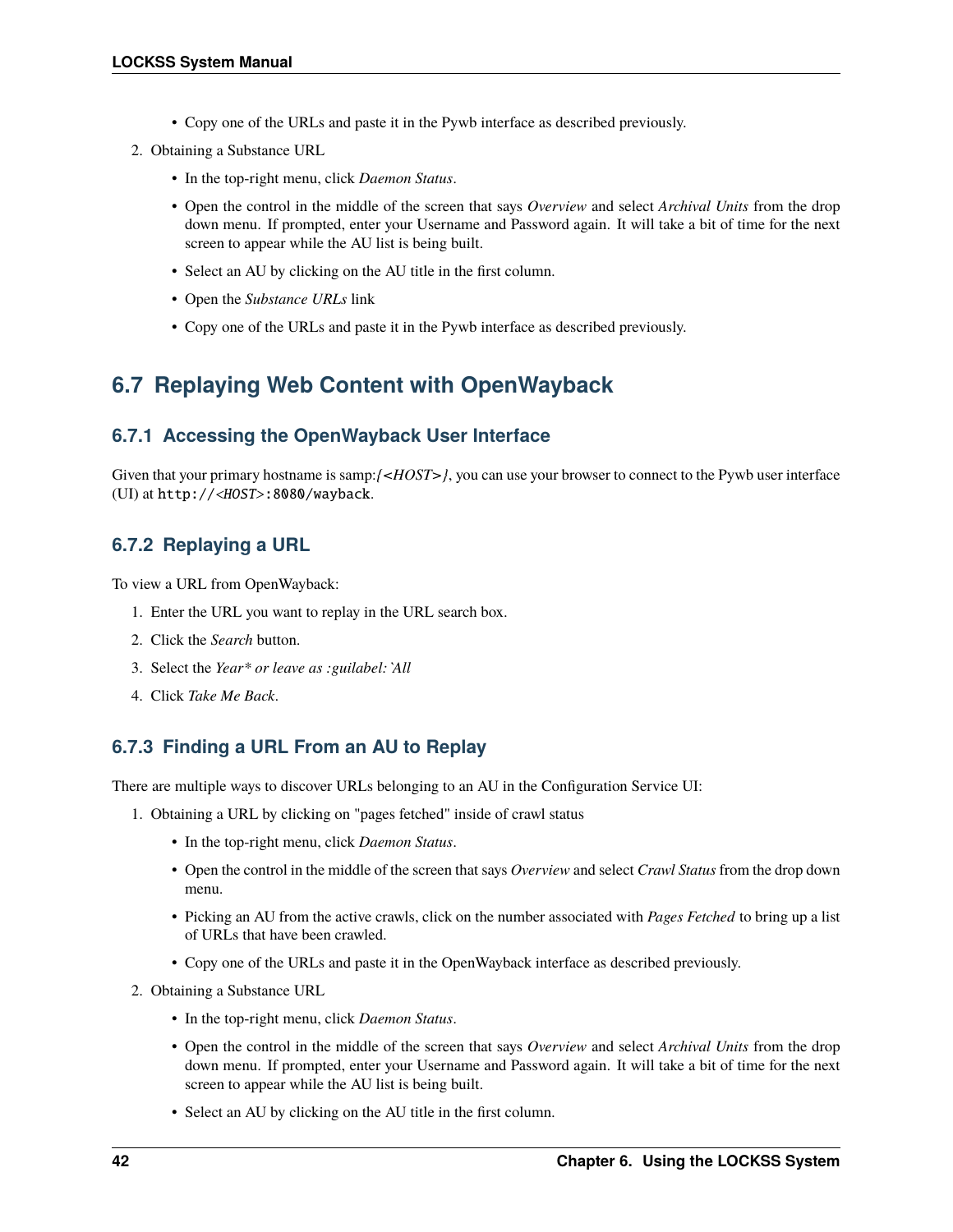- Copy one of the URLs and paste it in the Pywb interface as described previously.
- 2. Obtaining a Substance URL
	- In the top-right menu, click *Daemon Status*.
	- Open the control in the middle of the screen that says *Overview* and select *Archival Units* from the drop down menu. If prompted, enter your Username and Password again. It will take a bit of time for the next screen to appear while the AU list is being built.
	- Select an AU by clicking on the AU title in the first column.
	- Open the *Substance URLs* link
	- Copy one of the URLs and paste it in the Pywb interface as described previously.

## **6.7 Replaying Web Content with OpenWayback**

### **6.7.1 Accessing the OpenWayback User Interface**

Given that your primary hostname is samp:*{<HOST>}*, you can use your browser to connect to the Pywb user interface (UI) at http://<HOST>:8080/wayback.

## **6.7.2 Replaying a URL**

To view a URL from OpenWayback:

- 1. Enter the URL you want to replay in the URL search box.
- 2. Click the *Search* button.
- 3. Select the *Year\* or leave as :guilabel:`All*
- 4. Click *Take Me Back*.

## **6.7.3 Finding a URL From an AU to Replay**

There are multiple ways to discover URLs belonging to an AU in the Configuration Service UI:

- 1. Obtaining a URL by clicking on "pages fetched" inside of crawl status
	- In the top-right menu, click *Daemon Status*.
	- Open the control in the middle of the screen that says *Overview* and select *Crawl Status* from the drop down menu.
	- Picking an AU from the active crawls, click on the number associated with *Pages Fetched* to bring up a list of URLs that have been crawled.
	- Copy one of the URLs and paste it in the OpenWayback interface as described previously.
- 2. Obtaining a Substance URL
	- In the top-right menu, click *Daemon Status*.
	- Open the control in the middle of the screen that says *Overview* and select *Archival Units* from the drop down menu. If prompted, enter your Username and Password again. It will take a bit of time for the next screen to appear while the AU list is being built.
	- Select an AU by clicking on the AU title in the first column.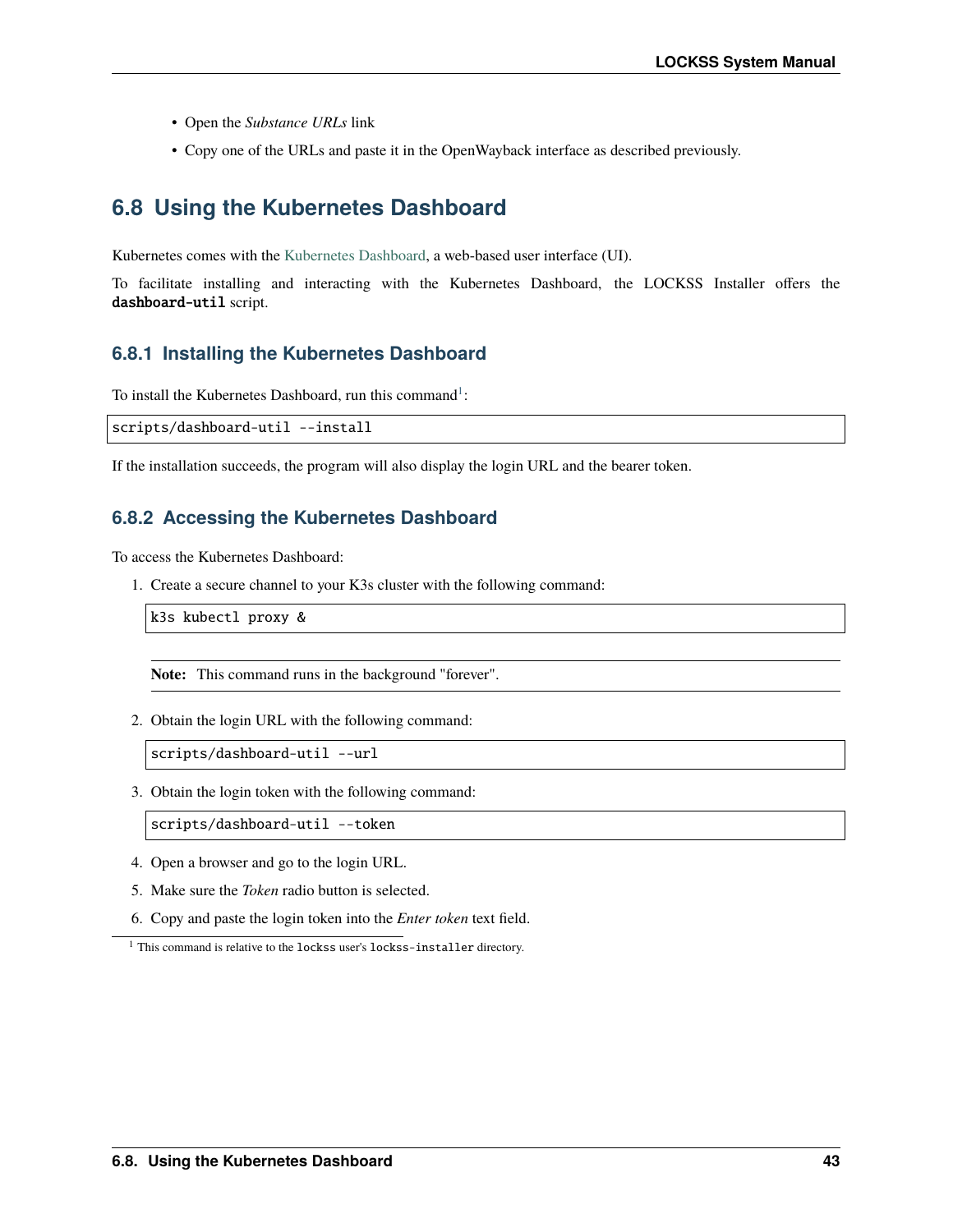- Open the *Substance URLs* link
- Copy one of the URLs and paste it in the OpenWayback interface as described previously.

## **6.8 Using the Kubernetes Dashboard**

Kubernetes comes with the [Kubernetes Dashboard,](https://kubernetes.io/docs/tasks/access-application-cluster/web-ui-dashboard/) a web-based user interface (UI).

To facilitate installing and interacting with the Kubernetes Dashboard, the LOCKSS Installer offers the dashboard-util script.

#### **6.8.1 Installing the Kubernetes Dashboard**

To install the Kubernetes Dashboard, run this command<sup>[1](#page-46-0)</sup>:

scripts/dashboard-util --install

If the installation succeeds, the program will also display the login URL and the bearer token.

#### **6.8.2 Accessing the Kubernetes Dashboard**

To access the Kubernetes Dashboard:

1. Create a secure channel to your K3s cluster with the following command:

k3s kubectl proxy &

**Note:** This command runs in the background "forever".

2. Obtain the login URL with the following command:

scripts/dashboard-util --url

3. Obtain the login token with the following command:

scripts/dashboard-util --token

- 4. Open a browser and go to the login URL.
- 5. Make sure the *Token* radio button is selected.
- 6. Copy and paste the login token into the *Enter token* text field.

<span id="page-46-1"></span><span id="page-46-0"></span> $^{\rm 1}$  This command is relative to the <code>lockss</code> user's <code>lockss-installer</code> directory.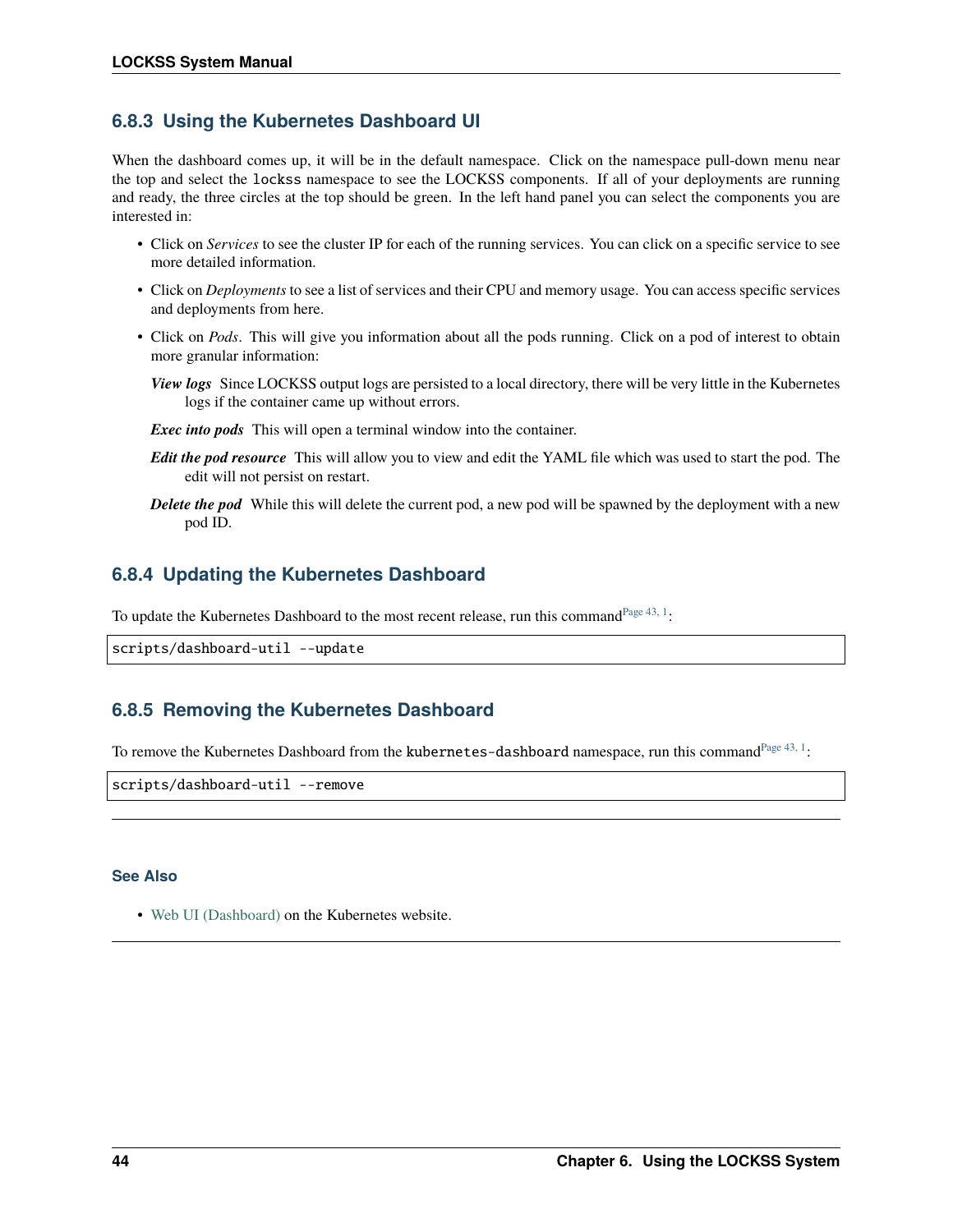## **6.8.3 Using the Kubernetes Dashboard UI**

When the dashboard comes up, it will be in the default namespace. Click on the namespace pull-down menu near the top and select the lockss namespace to see the LOCKSS components. If all of your deployments are running and ready, the three circles at the top should be green. In the left hand panel you can select the components you are interested in:

- Click on *Services* to see the cluster IP for each of the running services. You can click on a specific service to see more detailed information.
- Click on *Deployments* to see a list of services and their CPU and memory usage. You can access specific services and deployments from here.
- Click on *Pods*. This will give you information about all the pods running. Click on a pod of interest to obtain more granular information:
	- *View logs* Since LOCKSS output logs are persisted to a local directory, there will be very little in the Kubernetes logs if the container came up without errors.

*Exec into pods* This will open a terminal window into the container.

- *Edit the pod resource* This will allow you to view and edit the YAML file which was used to start the pod. The edit will not persist on restart.
- *Delete the pod* While this will delete the current pod, a new pod will be spawned by the deployment with a new pod ID.

### **6.8.4 Updating the Kubernetes Dashboard**

To update the Kubernetes Dashboard to the most recent release, run this command<sup>[Page 43, 1](#page-46-1)</sup>:

```
scripts/dashboard-util --update
```
## **6.8.5 Removing the Kubernetes Dashboard**

To remove the Kubernetes Dashboard from the kubernetes-dashboard namespace, run this command<sup>[Page 43, 1](#page-46-1)</sup>:

scripts/dashboard-util --remove

#### **See Also**

• [Web UI \(Dashboard\)](https://kubernetes.io/docs/tasks/access-application-cluster/web-ui-dashboard/) on the Kubernetes website.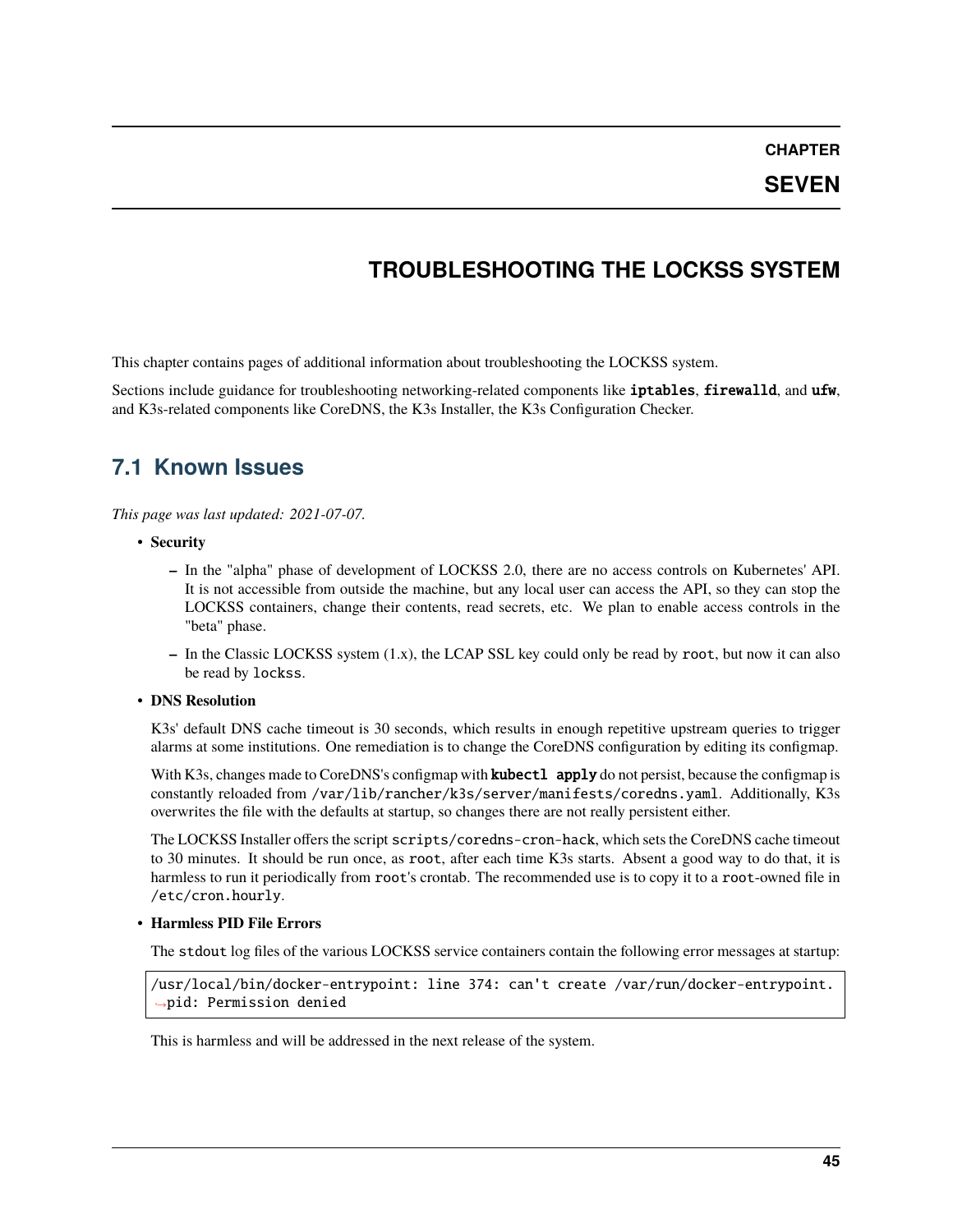**CHAPTER**

**SEVEN**

## **TROUBLESHOOTING THE LOCKSS SYSTEM**

This chapter contains pages of additional information about troubleshooting the LOCKSS system.

Sections include guidance for troubleshooting networking-related components like iptables, firewalld, and ufw, and K3s-related components like CoreDNS, the K3s Installer, the K3s Configuration Checker.

## **7.1 Known Issues**

*This page was last updated: 2021-07-07.*

- **Security**
	- **–** In the "alpha" phase of development of LOCKSS 2.0, there are no access controls on Kubernetes' API. It is not accessible from outside the machine, but any local user can access the API, so they can stop the LOCKSS containers, change their contents, read secrets, etc. We plan to enable access controls in the "beta" phase.
	- **–** In the Classic LOCKSS system (1.x), the LCAP SSL key could only be read by root, but now it can also be read by lockss.

#### • **DNS Resolution**

K3s' default DNS cache timeout is 30 seconds, which results in enough repetitive upstream queries to trigger alarms at some institutions. One remediation is to change the CoreDNS configuration by editing its configmap.

With K3s, changes made to CoreDNS's configmap with **kubectl apply** do not persist, because the configmap is constantly reloaded from /var/lib/rancher/k3s/server/manifests/coredns.yaml. Additionally, K3s overwrites the file with the defaults at startup, so changes there are not really persistent either.

The LOCKSS Installer offers the script scripts/coredns-cron-hack, which sets the CoreDNS cache timeout to 30 minutes. It should be run once, as root, after each time K3s starts. Absent a good way to do that, it is harmless to run it periodically from root's crontab. The recommended use is to copy it to a root-owned file in /etc/cron.hourly.

#### • **Harmless PID File Errors**

The stdout log files of the various LOCKSS service containers contain the following error messages at startup:

/usr/local/bin/docker-entrypoint: line 374: can't create /var/run/docker-entrypoint. ˓<sup>→</sup>pid: Permission denied

This is harmless and will be addressed in the next release of the system.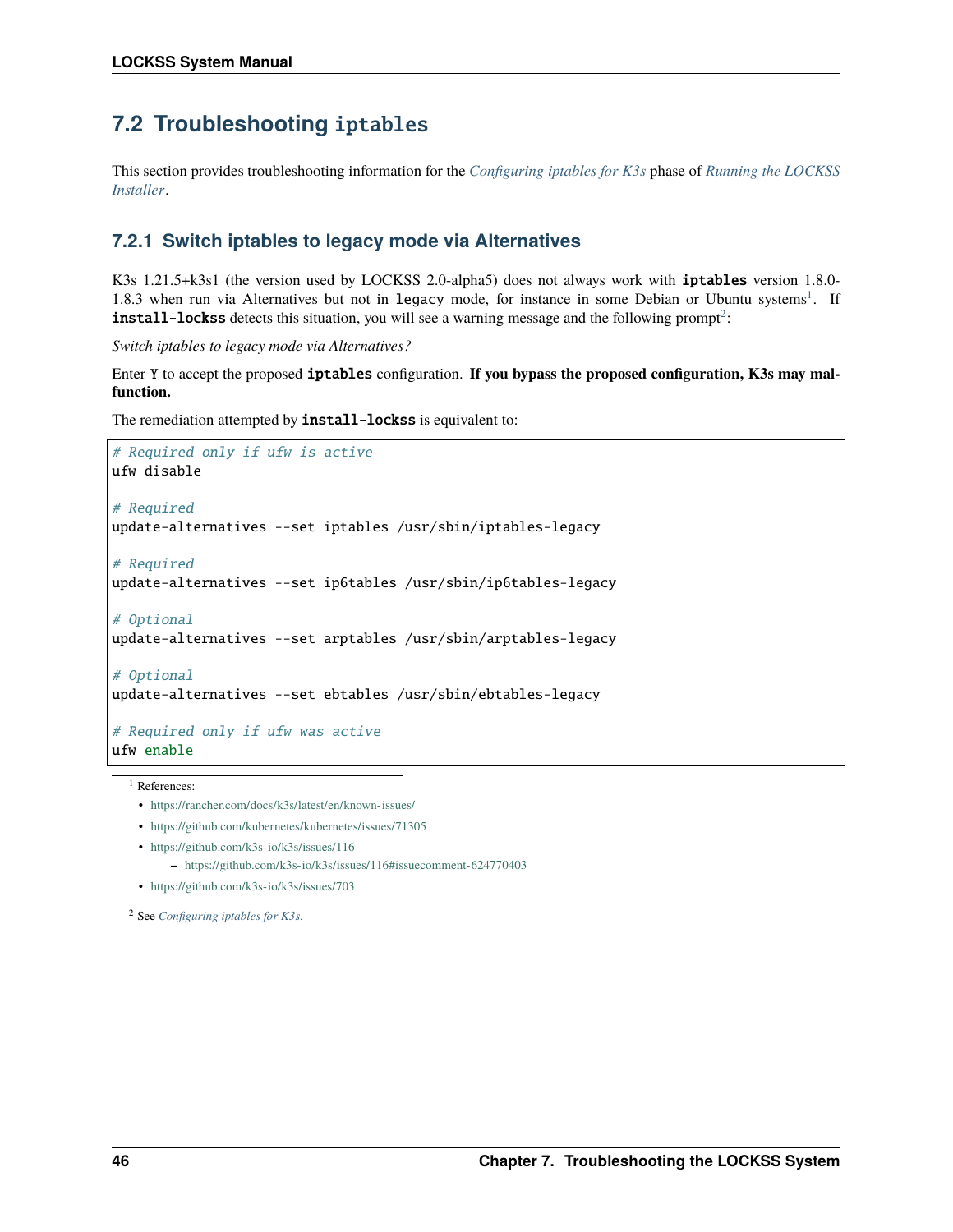## <span id="page-49-2"></span>**7.2 Troubleshooting** iptables

This section provides troubleshooting information for the *[Configuring iptables for K3s](#page-15-0)* phase of *[Running the LOCKSS](#page-14-0) [Installer](#page-14-0)*.

## **7.2.1 Switch iptables to legacy mode via Alternatives**

K3s 1.21.5+k3s1 (the version used by LOCKSS 2.0-alpha5) does not always work with **iptables** version 1.8.0-[1](#page-49-0).8.3 when run via Alternatives but not in legacy mode, for instance in some Debian or Ubuntu systems<sup>1</sup>. If **install-lockss** detects this situation, you will see a warning message and the following prompt<sup>[2](#page-49-1)</sup>:

*Switch iptables to legacy mode via Alternatives?*

Enter Y to accept the proposed iptables configuration. **If you bypass the proposed configuration, K3s may malfunction.**

The remediation attempted by **install-lockss** is equivalent to:

```
# Required only if ufw is active
ufw disable
# Required
update-alternatives --set iptables /usr/sbin/iptables-legacy
# Required
update-alternatives --set ip6tables /usr/sbin/ip6tables-legacy
# Optional
update-alternatives --set arptables /usr/sbin/arptables-legacy
# Optional
update-alternatives --set ebtables /usr/sbin/ebtables-legacy
# Required only if ufw was active
ufw enable
```
<span id="page-49-0"></span><sup>1</sup> References:

- <https://rancher.com/docs/k3s/latest/en/known-issues/>
- <https://github.com/kubernetes/kubernetes/issues/71305>
- <https://github.com/k3s-io/k3s/issues/116>
	- **–** <https://github.com/k3s-io/k3s/issues/116#issuecomment-624770403>
- <https://github.com/k3s-io/k3s/issues/703>

<span id="page-49-1"></span><sup>2</sup> See *[Configuring iptables for K3s](#page-15-0)*.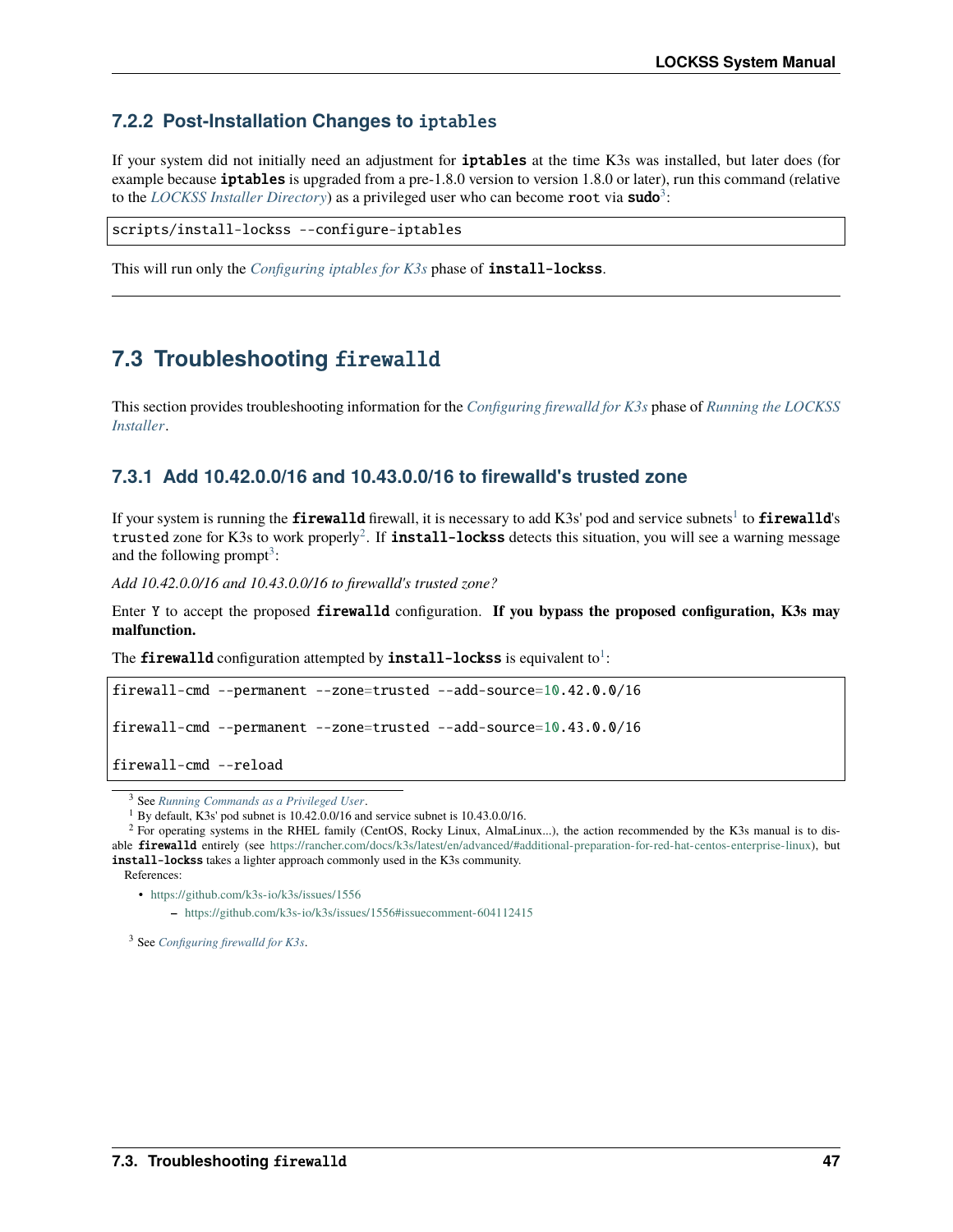## **7.2.2 Post-Installation Changes to** iptables

If your system did not initially need an adjustment for iptables at the time K3s was installed, but later does (for example because **iptables** is upgraded from a pre-1.8.0 version to version 1.8.0 or later), run this command (relative to the *[LOCKSS Installer Directory](#page-13-0)*) as a privileged user who can become root via sudo<sup>[3](#page-50-0)</sup>:

scripts/install-lockss --configure-iptables

This will run only the *[Configuring iptables for K3s](#page-15-0)* phase of install-lockss.

## **7.3 Troubleshooting** firewalld

This section provides troubleshooting information for the *[Configuring firewalld for K3s](#page-17-0)* phase of *[Running the LOCKSS](#page-14-0) [Installer](#page-14-0)*.

### **7.3.1 Add 10.42.0.0/16 and 10.43.0.0/16 to firewalld's trusted zone**

If your system is running the  ${\rm firewall}$ d firewall, it is necessary to add K3s' pod and service subnets $^1$  $^1$  to  ${\rm firewall}$ d's trusted zone for K3s to work properly<sup>[2](#page-50-2)</sup>. If **install-lockss** detects this situation, you will see a warning message and the following prompt<sup>[3](#page-50-3)</sup>:

*Add 10.42.0.0/16 and 10.43.0.0/16 to firewalld's trusted zone?*

Enter Y to accept the proposed firewalld configuration. **If you bypass the proposed configuration, K3s may malfunction.**

The firewalld configuration attempted by install-lockss is equivalent to  $^{\text{!}}$  :

```
firewall-cmd --permanent --zone=trusted --add-source=10.42.0.0/16
firewall-cmd --permanent --zone=trusted --add-source=10.43.0.0/16
firewall-cmd --reload
```
• <https://github.com/k3s-io/k3s/issues/1556>

**–** <https://github.com/k3s-io/k3s/issues/1556#issuecomment-604112415>

<span id="page-50-3"></span><sup>3</sup> See *[Configuring firewalld for K3s](#page-17-0)*.

<span id="page-50-0"></span><sup>3</sup> See *[Running Commands as a Privileged User](#page-59-1)*.

<span id="page-50-4"></span><span id="page-50-1"></span><sup>1</sup> By default, K3s' pod subnet is 10.42.0.0/16 and service subnet is 10.43.0.0/16.

<span id="page-50-2"></span><sup>&</sup>lt;sup>2</sup> For operating systems in the RHEL family (CentOS, Rocky Linux, AlmaLinux...), the action recommended by the K3s manual is to disable firewalld entirely (see [https://rancher.com/docs/k3s/latest/en/advanced/#additional-preparation-for-red-hat-centos-enterprise-linux\)](https://rancher.com/docs/k3s/latest/en/advanced/#additional-preparation-for-red-hat-centos-enterprise-linux), but install-lockss takes a lighter approach commonly used in the K3s community. References: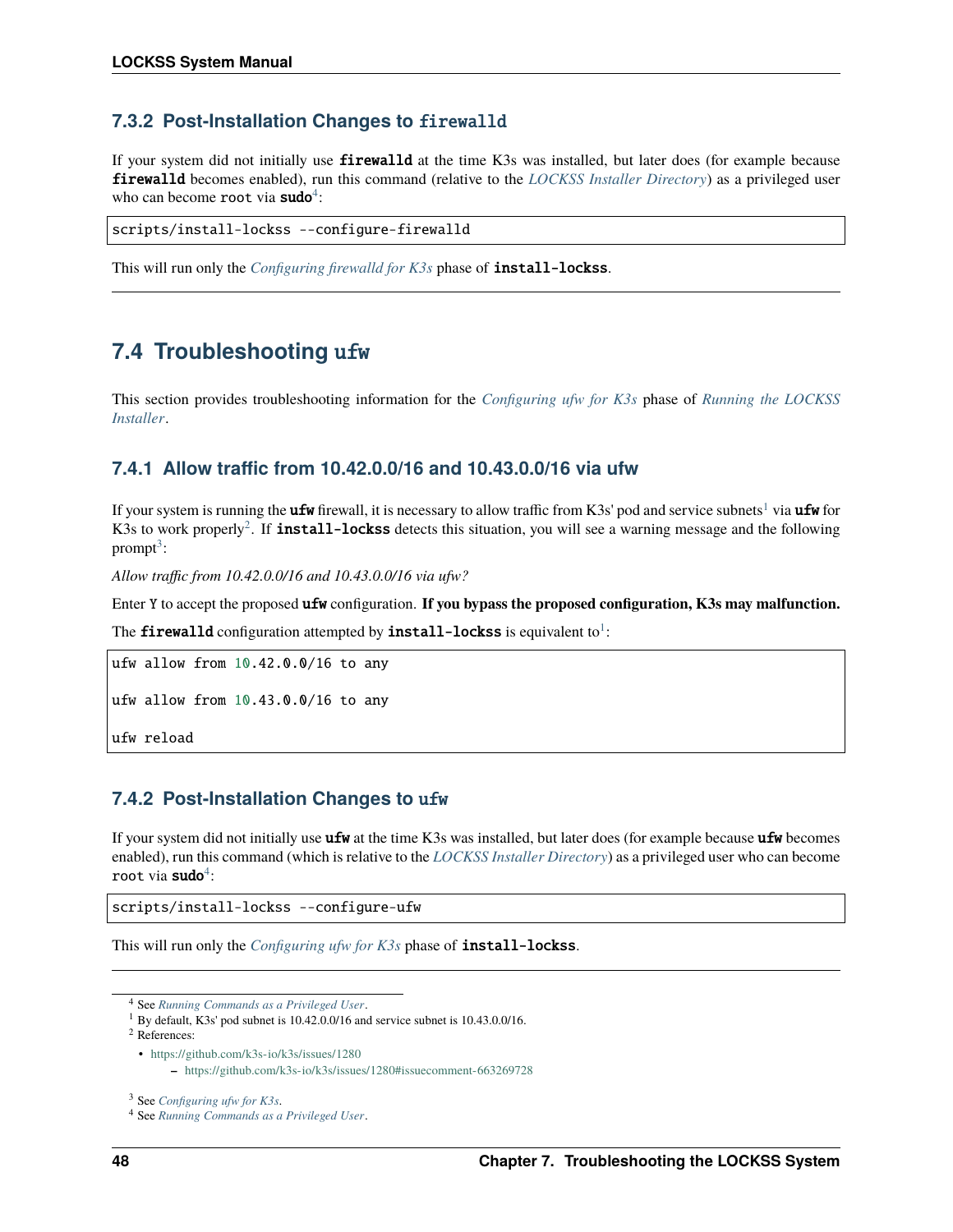### **7.3.2 Post-Installation Changes to** firewalld

If your system did not initially use **firewalld** at the time K3s was installed, but later does (for example because firewalld becomes enabled), run this command (relative to the *[LOCKSS Installer Directory](#page-13-0)*) as a privileged user who can become root via sudo<sup>[4](#page-51-0)</sup>:

scripts/install-lockss --configure-firewalld

This will run only the *[Configuring firewalld for K3s](#page-17-0)* phase of install-lockss.

## **7.4 Troubleshooting** ufw

This section provides troubleshooting information for the *[Configuring ufw for K3s](#page-18-0)* phase of *[Running the LOCKSS](#page-14-0) [Installer](#page-14-0)*.

### **7.4.1 Allow traffic from 10.42.0.0/16 and 10.43.0.0/16 via ufw**

If your system is running the **ufw** firewall, it is necessary to allow traffic from K3s' pod and service subnets<sup>[1](#page-51-1)</sup> via **ufw** for K3s to work properly<sup>[2](#page-51-2)</sup>. If **install-lockss** detects this situation, you will see a warning message and the following  $prompt<sup>3</sup>$  $prompt<sup>3</sup>$  $prompt<sup>3</sup>$ :

*Allow traffic from 10.42.0.0/16 and 10.43.0.0/16 via ufw?*

Enter Y to accept the proposed ufw configuration. **If you bypass the proposed configuration, K3s may malfunction.**

The firewalld configuration attempted by install-lockss is equivalent to  $l$ :

ufw allow from 10.42.0.0/16 to any

ufw allow from 10.43.0.0/16 to any

ufw reload

### **7.4.2 Post-Installation Changes to** ufw

If your system did not initially use ufw at the time K3s was installed, but later does (for example because ufw becomes enabled), run this command (which is relative to the *[LOCKSS Installer Directory](#page-13-0)*) as a privileged user who can become root via **sudo**<sup>[4](#page-51-5)</sup>:

scripts/install-lockss --configure-ufw

This will run only the *[Configuring ufw for K3s](#page-18-0)* phase of install-lockss.

<span id="page-51-2"></span><sup>2</sup> References:

<span id="page-51-0"></span><sup>4</sup> See *[Running Commands as a Privileged User](#page-59-1)*.

<span id="page-51-4"></span><span id="page-51-1"></span><sup>1</sup> By default, K3s' pod subnet is 10.42.0.0/16 and service subnet is 10.43.0.0/16.

<sup>•</sup> <https://github.com/k3s-io/k3s/issues/1280>

**<sup>–</sup>** <https://github.com/k3s-io/k3s/issues/1280#issuecomment-663269728>

<span id="page-51-3"></span><sup>3</sup> See *[Configuring ufw for K3s](#page-18-0)*.

<span id="page-51-5"></span><sup>4</sup> See *[Running Commands as a Privileged User](#page-59-1)*.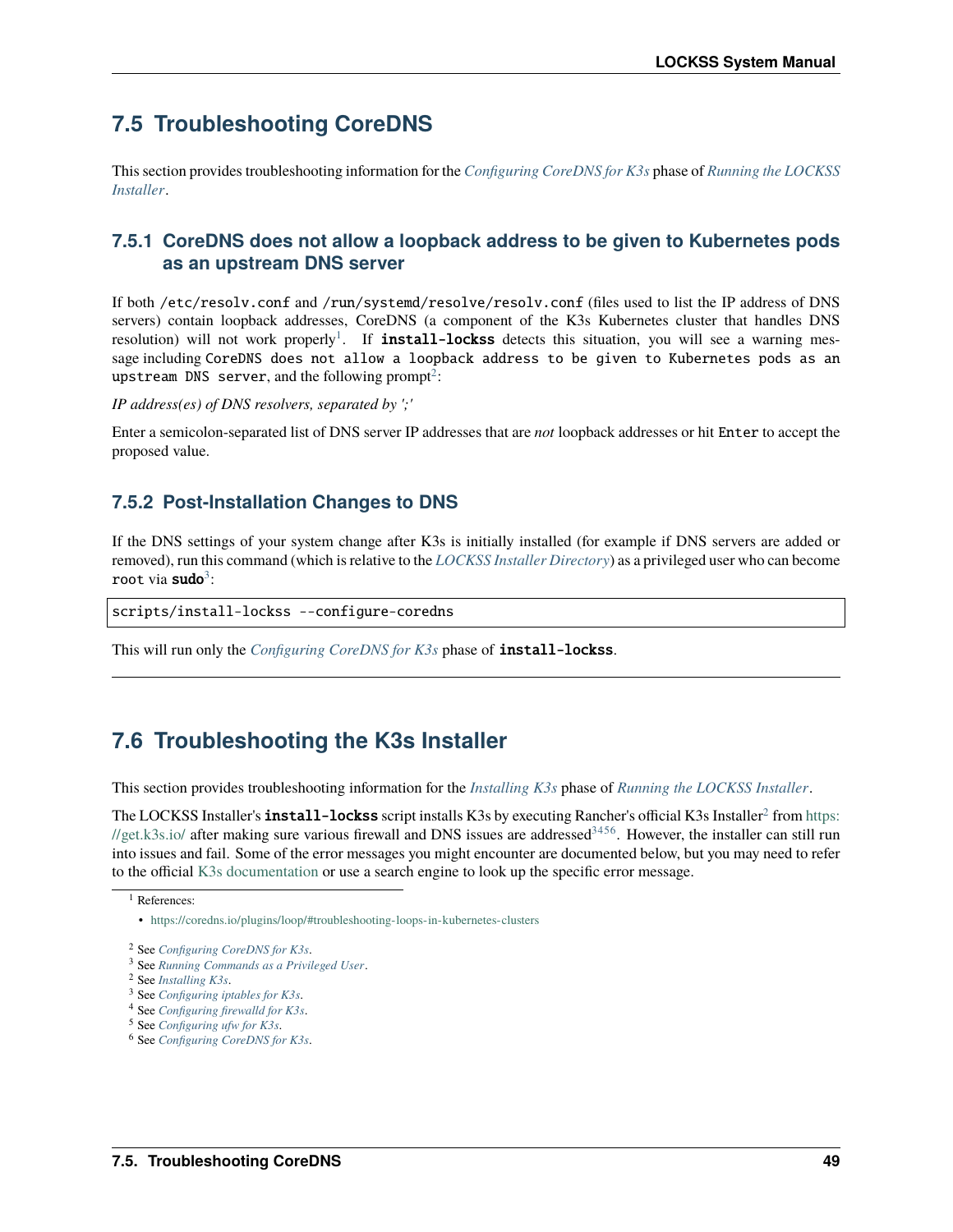## **7.5 Troubleshooting CoreDNS**

This section provides troubleshooting information for the *[Configuring CoreDNS for K3s](#page-19-0)* phase of *[Running the LOCKSS](#page-14-0) [Installer](#page-14-0)*.

## **7.5.1 CoreDNS does not allow a loopback address to be given to Kubernetes pods as an upstream DNS server**

If both /etc/resolv.conf and /run/systemd/resolve/resolv.conf (files used to list the IP address of DNS servers) contain loopback addresses, CoreDNS (a component of the K3s Kubernetes cluster that handles DNS resolution) will not work properly<sup>[1](#page-52-0)</sup>. If **install-lockss** detects this situation, you will see a warning message including CoreDNS does not allow a loopback address to be given to Kubernetes pods as an upstream DNS server, and the following prompt $^2$  $^2$ :

*IP address(es) of DNS resolvers, separated by ';'*

Enter a semicolon-separated list of DNS server IP addresses that are *not* loopback addresses or hit Enter to accept the proposed value.

### **7.5.2 Post-Installation Changes to DNS**

If the DNS settings of your system change after K3s is initially installed (for example if DNS servers are added or removed), run this command (which is relative to the *[LOCKSS Installer Directory](#page-13-0)*) as a privileged user who can become root via **sudo**<sup>[3](#page-52-2)</sup>:

scripts/install-lockss --configure-coredns

This will run only the *[Configuring CoreDNS for K3s](#page-19-0)* phase of install-lockss.

## **7.6 Troubleshooting the K3s Installer**

This section provides troubleshooting information for the *[Installing K3s](#page-21-0)* phase of *[Running the LOCKSS Installer](#page-14-0)*.

The LOCKSS Installer's <code>install-lockss</code> script installs K3s by executing Rancher's official K3s Installer $^2$  $^2$  from <code>[https:](https://get.k3s.io/)</code> [//get.k3s.io/](https://get.k3s.io/) after making sure various firewall and DNS issues are addressed<sup>[3](#page-52-4)[4](#page-52-5)[5](#page-52-6)[6](#page-52-7)</sup>. However, the installer can still run into issues and fail. Some of the error messages you might encounter are documented below, but you may need to refer to the official [K3s documentation](https://rancher.com/docs/k3s/latest/en/) or use a search engine to look up the specific error message.

<span id="page-52-0"></span><sup>1</sup> References:

<sup>•</sup> <https://coredns.io/plugins/loop/#troubleshooting-loops-in-kubernetes-clusters>

<span id="page-52-1"></span><sup>2</sup> See *[Configuring CoreDNS for K3s](#page-19-0)*.

<span id="page-52-2"></span><sup>3</sup> See *[Running Commands as a Privileged User](#page-59-1)*.

<span id="page-52-3"></span><sup>2</sup> See *[Installing K3s](#page-21-0)*.

<span id="page-52-4"></span><sup>3</sup> See *[Configuring iptables for K3s](#page-15-0)*.

<span id="page-52-5"></span><sup>4</sup> See *[Configuring firewalld for K3s](#page-17-0)*.

<span id="page-52-6"></span><sup>5</sup> See *[Configuring ufw for K3s](#page-18-0)*.

<span id="page-52-7"></span><sup>6</sup> See *[Configuring CoreDNS for K3s](#page-19-0)*.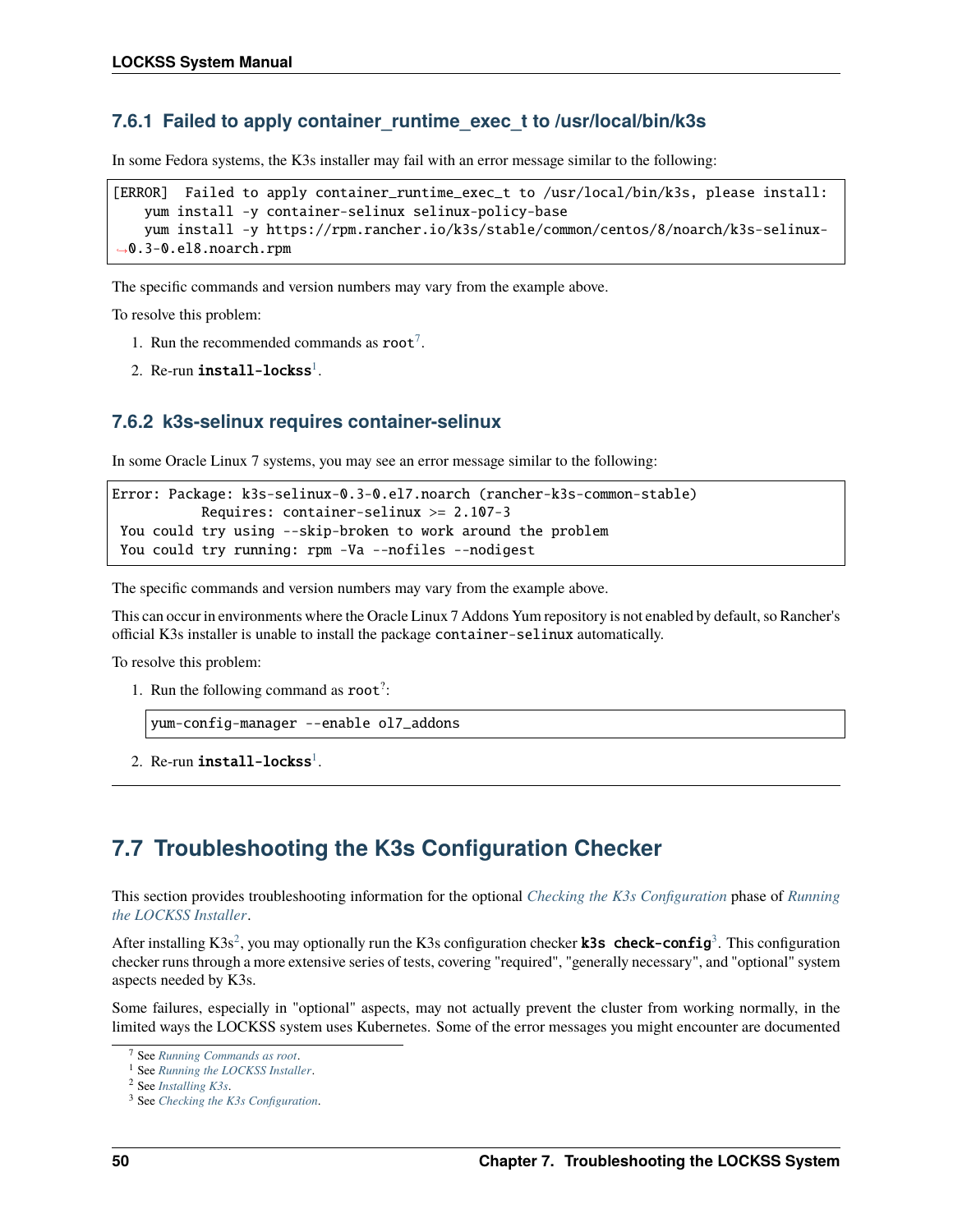### **7.6.1 Failed to apply container\_runtime\_exec\_t to /usr/local/bin/k3s**

In some Fedora systems, the K3s installer may fail with an error message similar to the following:

```
[ERROR] Failed to apply container_runtime_exec_t to /usr/local/bin/k3s, please install:
   yum install -y container-selinux selinux-policy-base
   yum install -y https://rpm.rancher.io/k3s/stable/common/centos/8/noarch/k3s-selinux-
˓→0.3-0.el8.noarch.rpm
```
The specific commands and version numbers may vary from the example above.

To resolve this problem:

- 1. Run the recommended commands as  $\text{root}^7$  $\text{root}^7$ .
- 2. Re-run  $\boldsymbol{\text{install}-\text{locks}}^1$  $\boldsymbol{\text{install}-\text{locks}}^1$ .

### **7.6.2 k3s-selinux requires container-selinux**

In some Oracle Linux 7 systems, you may see an error message similar to the following:

```
Error: Package: k3s-selinux-0.3-0.el7.noarch (rancher-k3s-common-stable)
          Requires: container-selinux >= 2.107-3
You could try using --skip-broken to work around the problem
You could try running: rpm -Va --nofiles --nodigest
```
The specific commands and version numbers may vary from the example above.

This can occur in environments where the Oracle Linux 7 Addons Yum repository is not enabled by default, so Rancher's official K3s installer is unable to install the package container-selinux automatically.

To resolve this problem:

1. Run the following command as root? :

```
yum-config-manager --enable ol7_addons
```
2. Re-run  $\>$ install-lockss $^1.$  $^1.$  $^1.$ 

## **7.7 Troubleshooting the K3s Configuration Checker**

This section provides troubleshooting information for the optional *[Checking the K3s Configuration](#page-25-0)* phase of *[Running](#page-14-0) [the LOCKSS Installer](#page-14-0)*.

After installing K3s<sup>[2](#page-53-3)</sup>, you may optionally run the K[3](#page-53-4)s configuration checker **k3s** check-config<sup>3</sup>. This configuration checker runs through a more extensive series of tests, covering "required", "generally necessary", and "optional" system aspects needed by K3s.

Some failures, especially in "optional" aspects, may not actually prevent the cluster from working normally, in the limited ways the LOCKSS system uses Kubernetes. Some of the error messages you might encounter are documented

<span id="page-53-0"></span><sup>7</sup> See *[Running Commands as root](#page-58-0)*.

<span id="page-53-2"></span><span id="page-53-1"></span><sup>1</sup> See *[Running the LOCKSS Installer](#page-14-0)*.

<span id="page-53-3"></span><sup>2</sup> See *[Installing K3s](#page-21-0)*.

<span id="page-53-4"></span><sup>3</sup> See *[Checking the K3s Configuration](#page-25-0)*.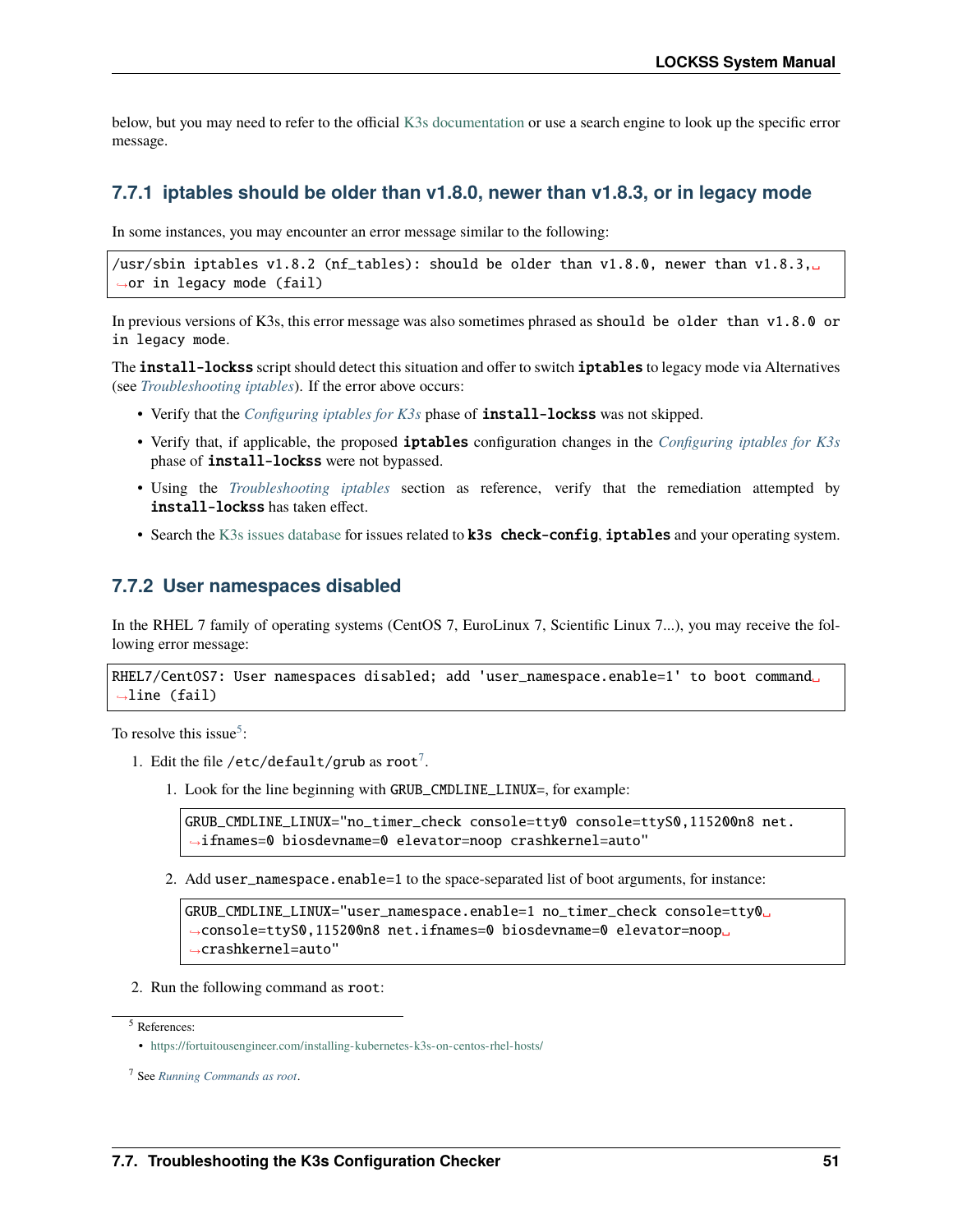below, but you may need to refer to the official [K3s documentation](https://rancher.com/docs/k3s/latest/en/) or use a search engine to look up the specific error message.

### **7.7.1 iptables should be older than v1.8.0, newer than v1.8.3, or in legacy mode**

In some instances, you may encounter an error message similar to the following:

/usr/sbin iptables v1.8.2 (nf\_tables): should be older than v1.8.0, newer than v1.8.3, ˓<sup>→</sup>or in legacy mode (fail)

In previous versions of K3s, this error message was also sometimes phrased as should be older than v1.8.0 or in legacy mode.

The **install-lockss** script should detect this situation and offer to switch **iptables** to legacy mode via Alternatives (see *[Troubleshooting iptables](#page-49-2)*). If the error above occurs:

- Verify that the *[Configuring iptables for K3s](#page-15-0)* phase of **install-lockss** was not skipped.
- Verify that, if applicable, the proposed iptables configuration changes in the *[Configuring iptables for K3s](#page-15-0)* phase of install-lockss were not bypassed.
- Using the *[Troubleshooting iptables](#page-49-2)* section as reference, verify that the remediation attempted by install-lockss has taken effect.
- Search the [K3s issues database](https://github.com/k3s-io/k3s/issues) for issues related to **k3s** check-config, iptables and your operating system.

#### **7.7.2 User namespaces disabled**

In the RHEL 7 family of operating systems (CentOS 7, EuroLinux 7, Scientific Linux 7...), you may receive the following error message:

```
RHEL7/CentOS7: User namespaces disabled; add 'user_namespace.enable=1' to boot command␣
˓→line (fail)
```
To resolve this issue<sup>[5](#page-54-0)</sup>:

- 1. Edit the file /etc/default/grub as  $root^7$  $root^7$ .
	- 1. Look for the line beginning with GRUB\_CMDLINE\_LINUX=, for example:

GRUB\_CMDLINE\_LINUX="no\_timer\_check console=tty0 console=ttyS0,115200n8 net. ˓<sup>→</sup>ifnames=0 biosdevname=0 elevator=noop crashkernel=auto"

2. Add user\_namespace.enable=1 to the space-separated list of boot arguments, for instance:

GRUB\_CMDLINE\_LINUX="user\_namespace.enable=1 no\_timer\_check console=tty0␣ →console=ttyS0,115200n8 net.ifnames=0 biosdevname=0 elevator=noop ˓<sup>→</sup>crashkernel=auto"

2. Run the following command as root:

<span id="page-54-0"></span><sup>5</sup> References:

<sup>•</sup> <https://fortuitousengineer.com/installing-kubernetes-k3s-on-centos-rhel-hosts/>

<span id="page-54-2"></span><span id="page-54-1"></span><sup>7</sup> See *[Running Commands as root](#page-58-0)*.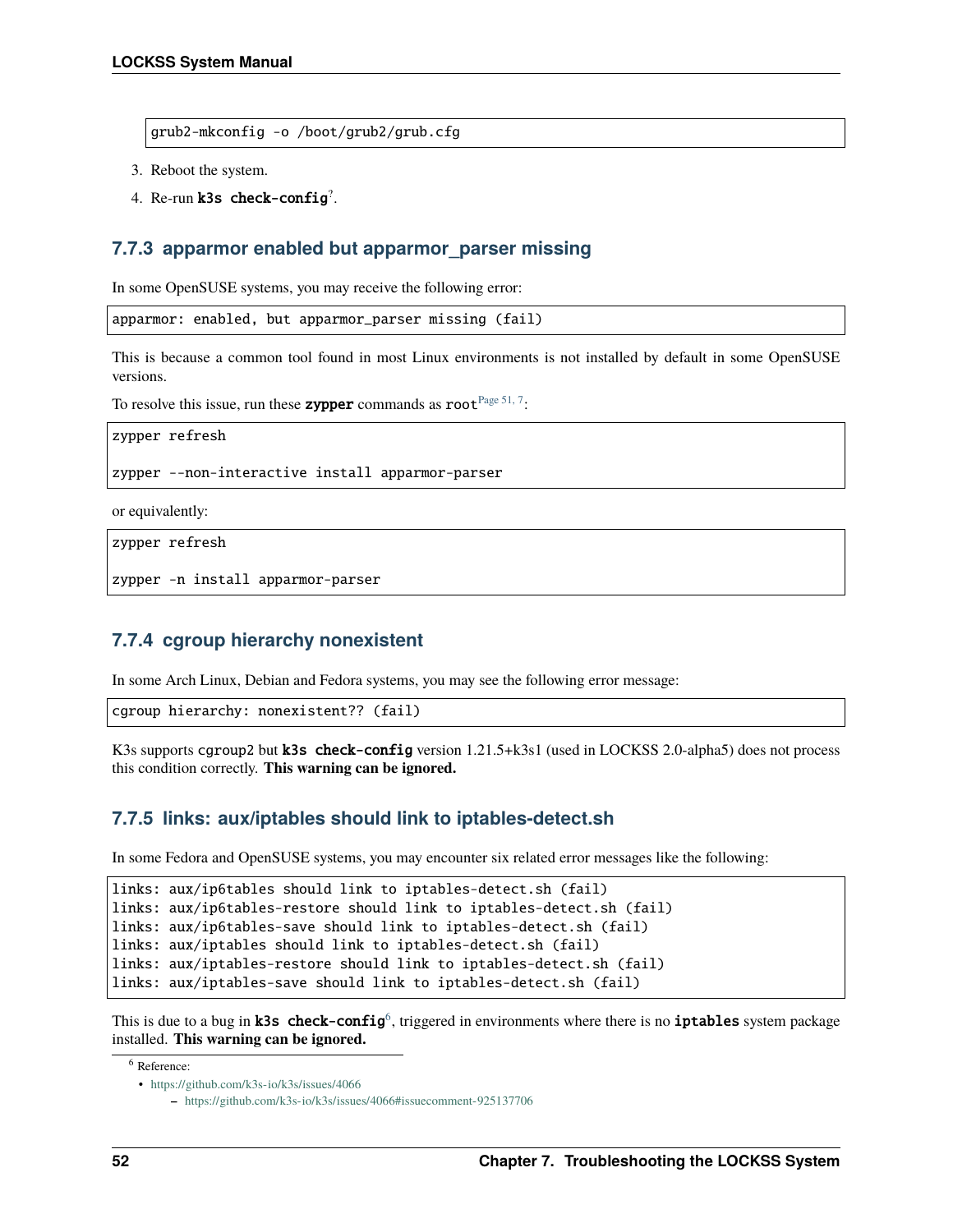grub2-mkconfig -o /boot/grub2/grub.cfg

- 3. Reboot the system.
- 4. Re-run  $k3s$  check-config<sup>?</sup>.

### **7.7.3 apparmor enabled but apparmor\_parser missing**

In some OpenSUSE systems, you may receive the following error:

```
apparmor: enabled, but apparmor_parser missing (fail)
```
This is because a common tool found in most Linux environments is not installed by default in some OpenSUSE versions.

To resolve this issue, run these **zypper** commands as  $root<sup>Page 51, 7</sup>$  $root<sup>Page 51, 7</sup>$  $root<sup>Page 51, 7</sup>$ :

zypper refresh

zypper --non-interactive install apparmor-parser

or equivalently:

zypper refresh

```
zypper -n install apparmor-parser
```
#### **7.7.4 cgroup hierarchy nonexistent**

In some Arch Linux, Debian and Fedora systems, you may see the following error message:

cgroup hierarchy: nonexistent?? (fail)

K3s supports cgroup2 but **k3s check-config** version 1.21.5+k3s1 (used in LOCKSS 2.0-alpha5) does not process this condition correctly. **This warning can be ignored.**

#### **7.7.5 links: aux/iptables should link to iptables-detect.sh**

In some Fedora and OpenSUSE systems, you may encounter six related error messages like the following:

```
links: aux/ip6tables should link to iptables-detect.sh (fail)
links: aux/ip6tables-restore should link to iptables-detect.sh (fail)
links: aux/ip6tables-save should link to iptables-detect.sh (fail)
links: aux/iptables should link to iptables-detect.sh (fail)
links: aux/iptables-restore should link to iptables-detect.sh (fail)
links: aux/iptables-save should link to iptables-detect.sh (fail)
```
This is due to a bug in **k3s** check-config<sup>[6](#page-55-0)</sup>, triggered in environments where there is no iptables system package installed. **This warning can be ignored.**

<span id="page-55-0"></span><sup>6</sup> Reference:

<sup>•</sup> <https://github.com/k3s-io/k3s/issues/4066>

**<sup>–</sup>** <https://github.com/k3s-io/k3s/issues/4066#issuecomment-925137706>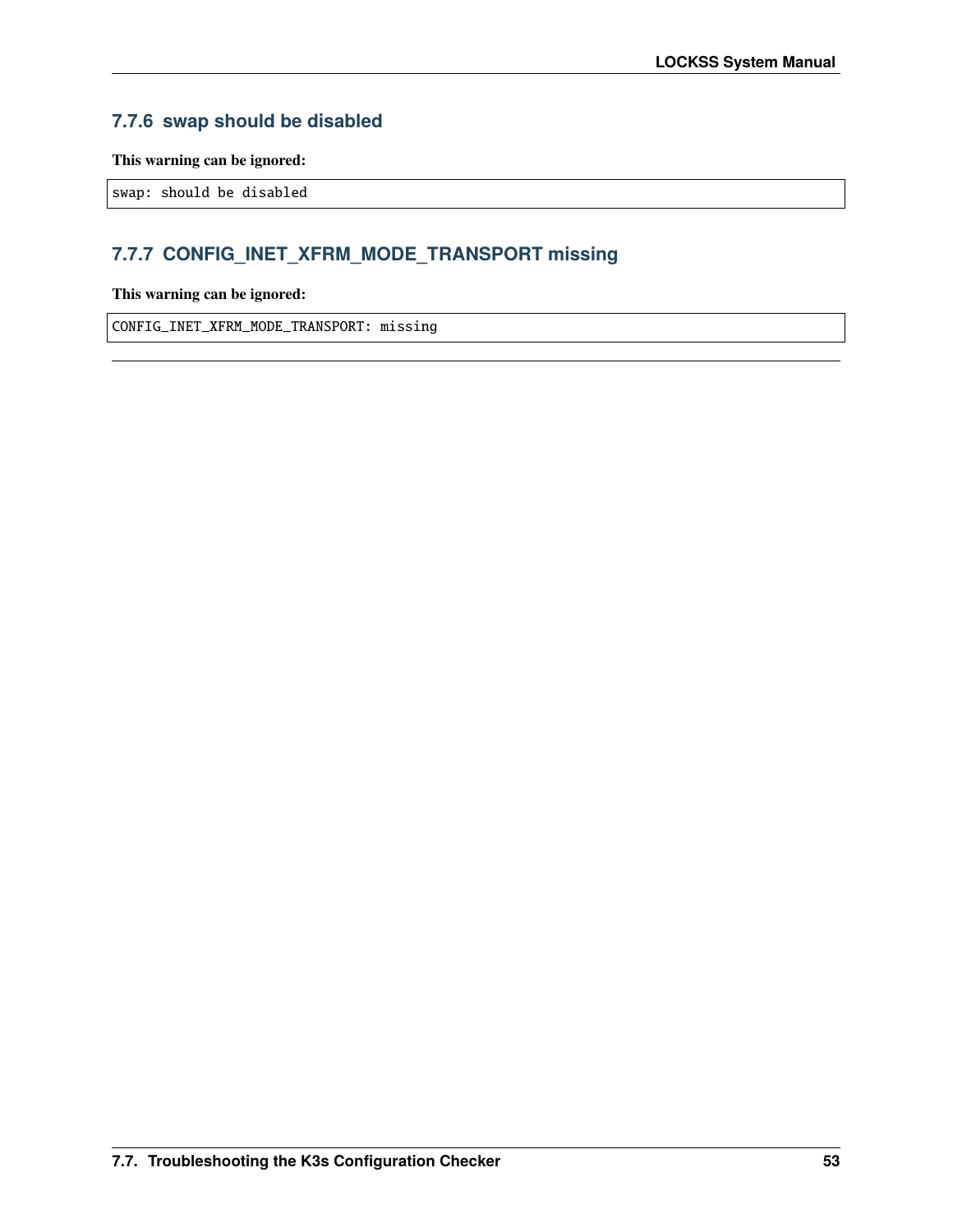## **7.7.6 swap should be disabled**

**This warning can be ignored:**

swap: should be disabled

## **7.7.7 CONFIG\_INET\_XFRM\_MODE\_TRANSPORT missing**

**This warning can be ignored:**

CONFIG\_INET\_XFRM\_MODE\_TRANSPORT: missing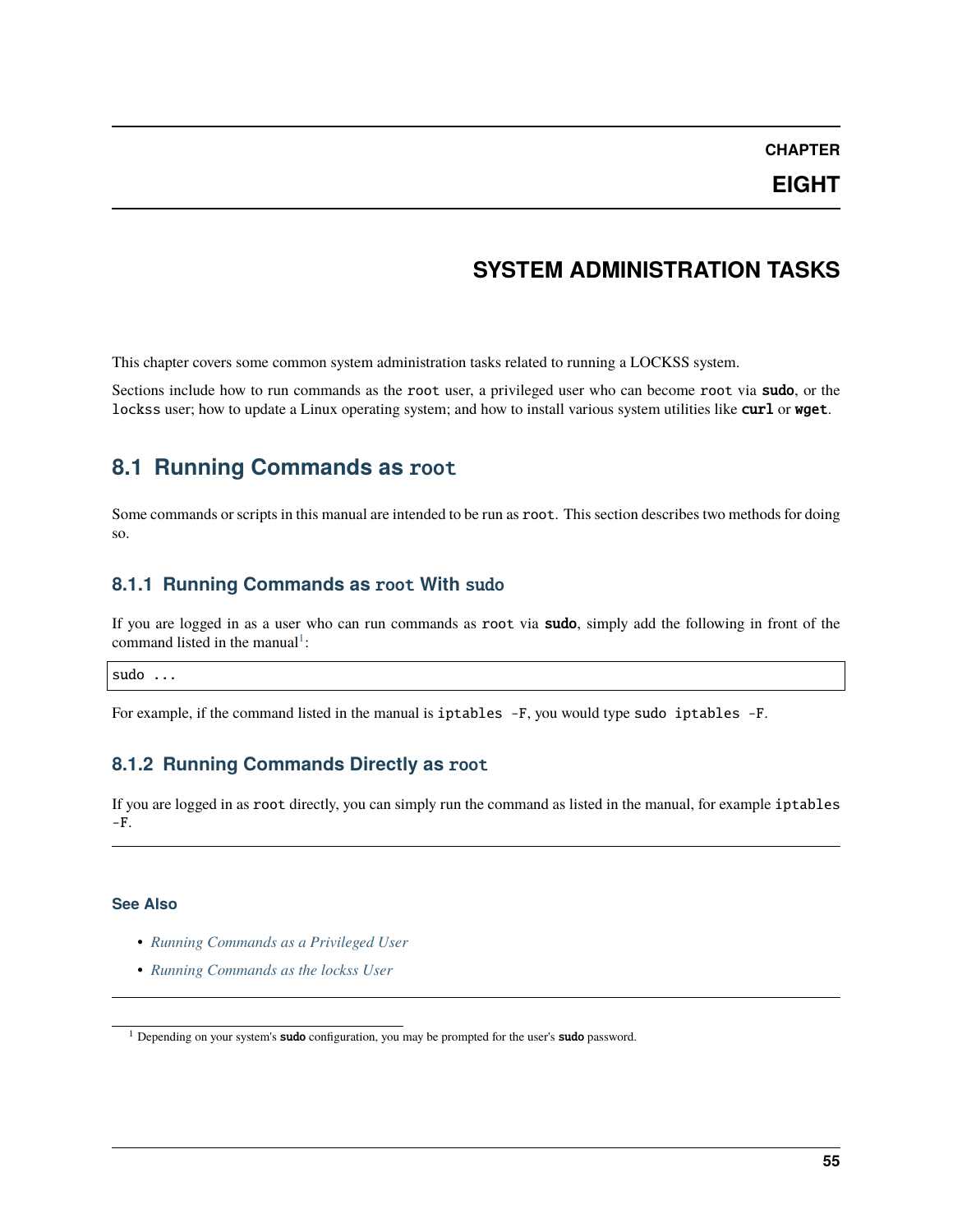**CHAPTER**

## **SYSTEM ADMINISTRATION TASKS**

This chapter covers some common system administration tasks related to running a LOCKSS system.

Sections include how to run commands as the root user, a privileged user who can become root via sudo, or the lockss user; how to update a Linux operating system; and how to install various system utilities like curl or wget.

## <span id="page-58-0"></span>**8.1 Running Commands as** root

Some commands or scripts in this manual are intended to be run as root. This section describes two methods for doing so.

### **8.1.1 Running Commands as** root **With** sudo

If you are logged in as a user who can run commands as root via sudo, simply add the following in front of the command listed in the manual<sup>[1](#page-58-1)</sup>:

#### sudo ...

For example, if the command listed in the manual is iptables -F, you would type sudo iptables -F.

### **8.1.2 Running Commands Directly as** root

If you are logged in as root directly, you can simply run the command as listed in the manual, for example iptables  $-F.$ 

#### **See Also**

- *[Running Commands as a Privileged User](#page-59-1)*
- *[Running Commands as the lockss User](#page-59-0)*

<span id="page-58-1"></span><sup>&</sup>lt;sup>1</sup> Depending on your system's **sudo** configuration, you may be prompted for the user's **sudo** password.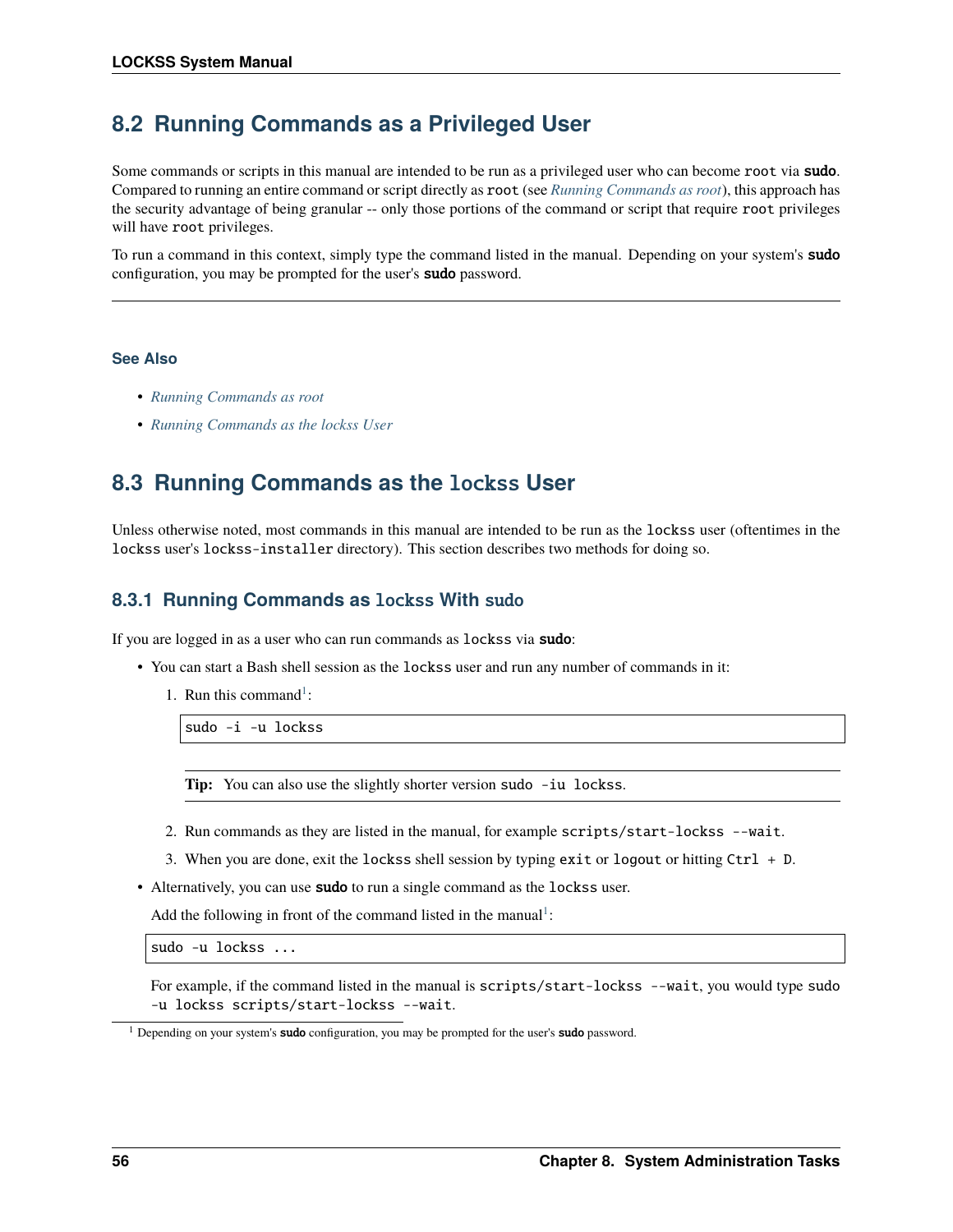## <span id="page-59-1"></span>**8.2 Running Commands as a Privileged User**

Some commands or scripts in this manual are intended to be run as a privileged user who can become root via sudo. Compared to running an entire command or script directly as root (see *[Running Commands as root](#page-58-0)*), this approach has the security advantage of being granular -- only those portions of the command or script that require root privileges will have root privileges.

To run a command in this context, simply type the command listed in the manual. Depending on your system's **sudo** configuration, you may be prompted for the user's sudo password.

#### **See Also**

- *[Running Commands as root](#page-58-0)*
- *[Running Commands as the lockss User](#page-59-0)*

## <span id="page-59-0"></span>**8.3 Running Commands as the** lockss **User**

Unless otherwise noted, most commands in this manual are intended to be run as the lockss user (oftentimes in the lockss user's lockss-installer directory). This section describes two methods for doing so.

### **8.3.1 Running Commands as** lockss **With** sudo

If you are logged in as a user who can run commands as lockss via sudo:

- You can start a Bash shell session as the lockss user and run any number of commands in it:
	- [1](#page-59-2). Run this command<sup>1</sup>:

sudo -i -u lockss

**Tip:** You can also use the slightly shorter version sudo -iu lockss.

- 2. Run commands as they are listed in the manual, for example scripts/start-lockss --wait.
- 3. When you are done, exit the lockss shell session by typing exit or logout or hitting  $Ctrl + D$ .
- Alternatively, you can use sudo to run a single command as the lockss user.

Add the following in front of the command listed in the manual<sup>[1](#page-59-3)</sup>:

sudo -u lockss ...

For example, if the command listed in the manual is scripts/start-lockss --wait, you would type sudo -u lockss scripts/start-lockss --wait.

<span id="page-59-3"></span><span id="page-59-2"></span><sup>&</sup>lt;sup>1</sup> Depending on your system's **sudo** configuration, you may be prompted for the user's **sudo** password.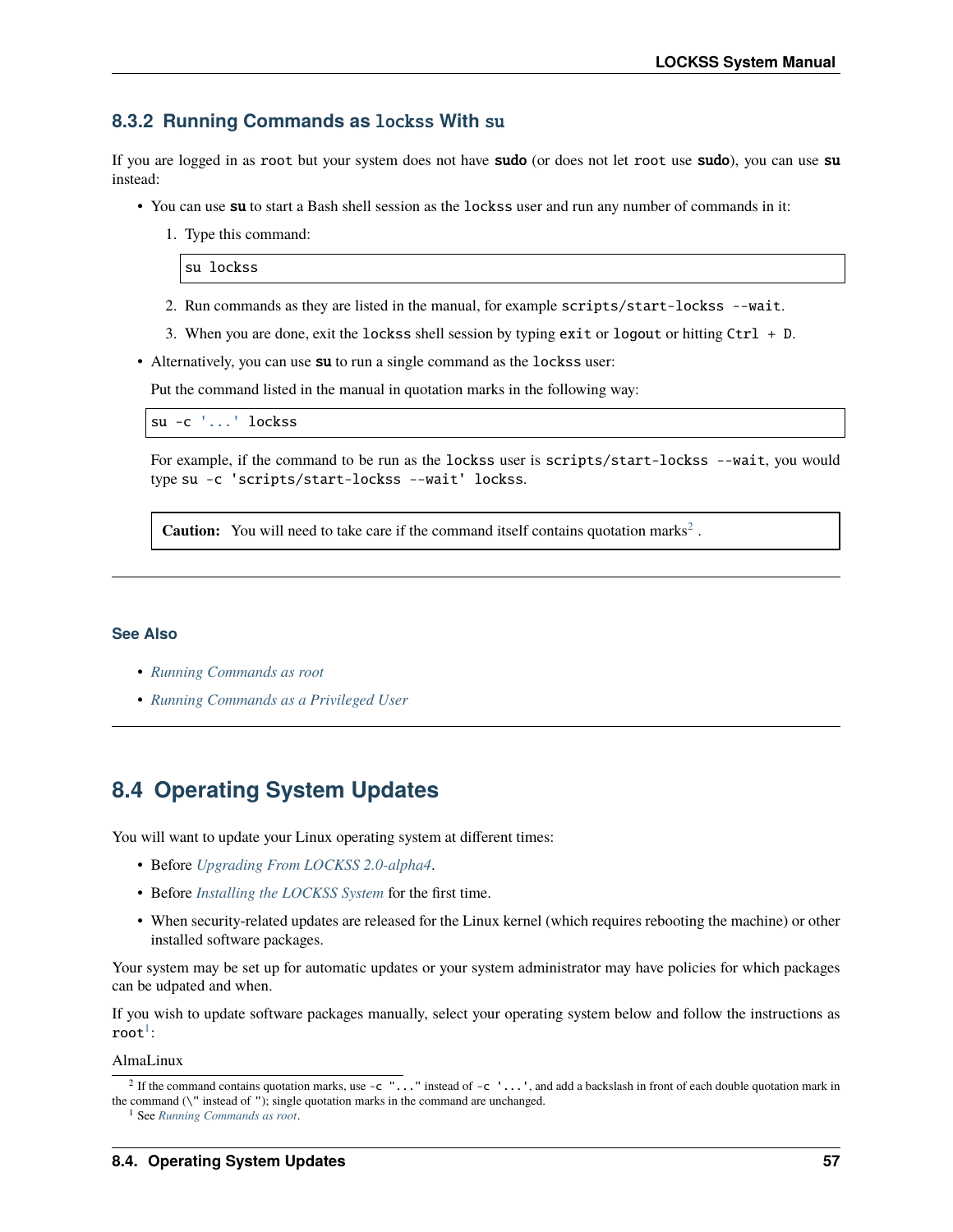### **8.3.2 Running Commands as** lockss **With** su

If you are logged in as root but your system does not have sudo (or does not let root use sudo), you can use su instead:

- You can use su to start a Bash shell session as the locks user and run any number of commands in it:
	- 1. Type this command:

su lockss

- 2. Run commands as they are listed in the manual, for example scripts/start-lockss --wait.
- 3. When you are done, exit the lockss shell session by typing exit or logout or hitting Ctrl + D.
- Alternatively, you can use su to run a single command as the lockss user:

Put the command listed in the manual in quotation marks in the following way:

```
su -c '...' lockss
```
For example, if the command to be run as the lockss user is scripts/start-lockss --wait, you would type su -c 'scripts/start-lockss --wait' lockss.

**Caution:** You will need to take care if the command itself contains quotation marks<sup>[2](#page-60-0)</sup>.

#### **See Also**

- *[Running Commands as root](#page-58-0)*
- *[Running Commands as a Privileged User](#page-59-1)*

## **8.4 Operating System Updates**

You will want to update your Linux operating system at different times:

- Before *[Upgrading From LOCKSS 2.0-alpha4](#page-10-0)*.
- Before *[Installing the LOCKSS System](#page-12-0)* for the first time.
- When security-related updates are released for the Linux kernel (which requires rebooting the machine) or other installed software packages.

Your system may be set up for automatic updates or your system administrator may have policies for which packages can be udpated and when.

If you wish to update software packages manually, select your operating system below and follow the instructions as  $\mathop{\mathtt{root}}\nolimits^1$  $\mathop{\mathtt{root}}\nolimits^1$  :

AlmaLinux

<span id="page-60-0"></span><sup>&</sup>lt;sup>2</sup> If the command contains quotation marks, use  $-c \dots$  instead of  $-c \dots$ , and add a backslash in front of each double quotation mark in the command  $(\nabla^{\mathbf{m}})$  instead of  $\mathbf{m}$ ; single quotation marks in the command are unchanged.

<span id="page-60-1"></span><sup>1</sup> See *[Running Commands as root](#page-58-0)*.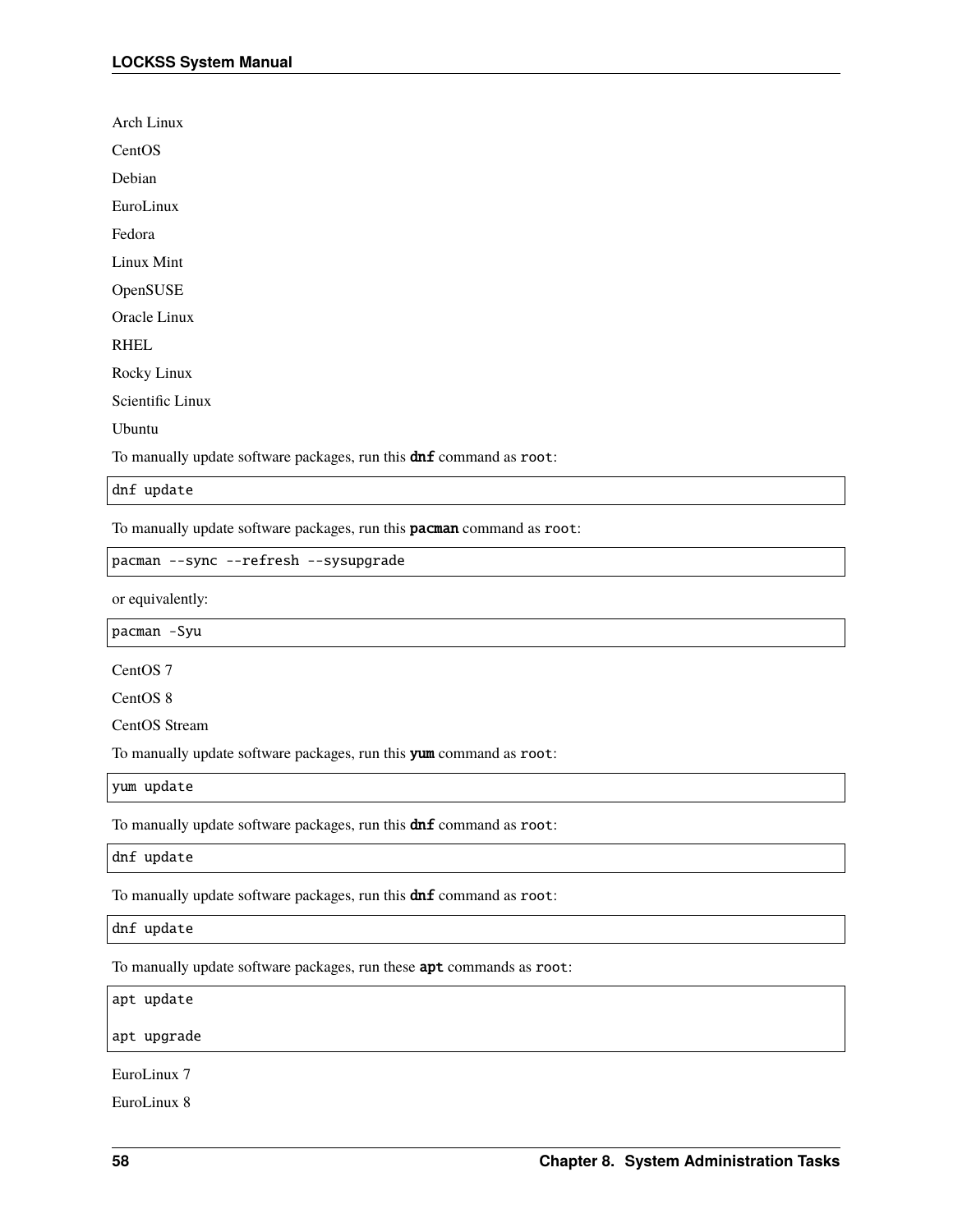Arch Linux **CentOS** Debian EuroLinux

Fedora

Linux Mint

OpenSUSE

Oracle Linux

RHEL

Rocky Linux

Scientific Linux

Ubuntu

To manually update software packages, run this **dnf** command as root:

dnf update

To manually update software packages, run this **pacman** command as root:

pacman --sync --refresh --sysupgrade

or equivalently:

pacman -Syu

CentOS 7

CentOS 8

CentOS Stream

To manually update software packages, run this yum command as root:

yum update

To manually update software packages, run this **dnf** command as root:

dnf update

To manually update software packages, run this **dnf** command as root:

dnf update

To manually update software packages, run these apt commands as root:

apt update

apt upgrade

EuroLinux 7

EuroLinux 8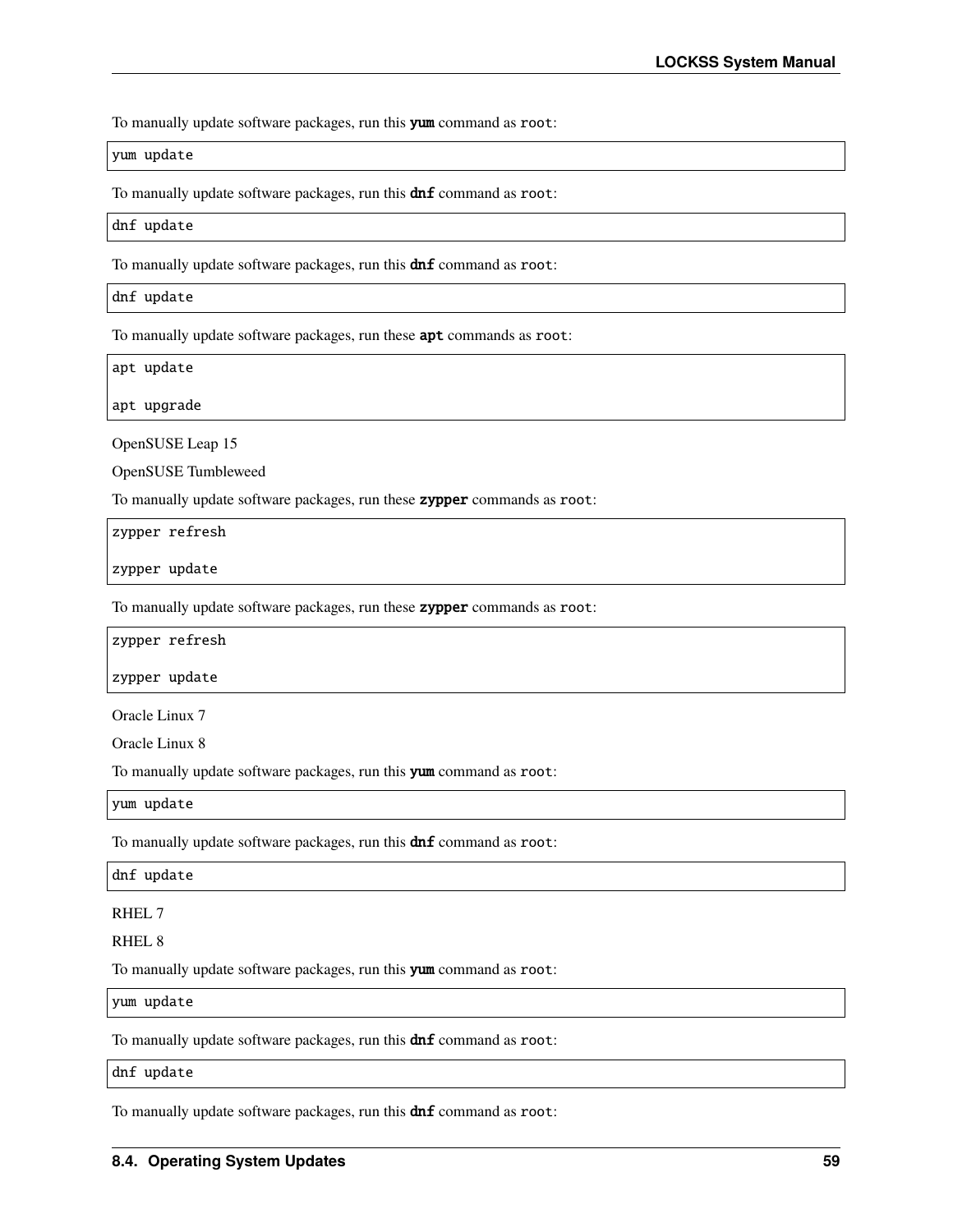To manually update software packages, run this yum command as root:

yum update

To manually update software packages, run this **dnf** command as root:

dnf update

To manually update software packages, run this  $dnf$  command as root:

dnf update

To manually update software packages, run these **apt** commands as root:

apt update

apt upgrade

OpenSUSE Leap 15

OpenSUSE Tumbleweed

To manually update software packages, run these **zypper** commands as root:

zypper refresh

zypper update

To manually update software packages, run these zypper commands as root:

zypper refresh

zypper update

Oracle Linux 7

Oracle Linux 8

To manually update software packages, run this yum command as root:

yum update

To manually update software packages, run this **dnf** command as root:

dnf update

RHEL 7

RHEL 8

To manually update software packages, run this yum command as root:

yum update

To manually update software packages, run this **dnf** command as root:

dnf update

To manually update software packages, run this **dnf** command as root: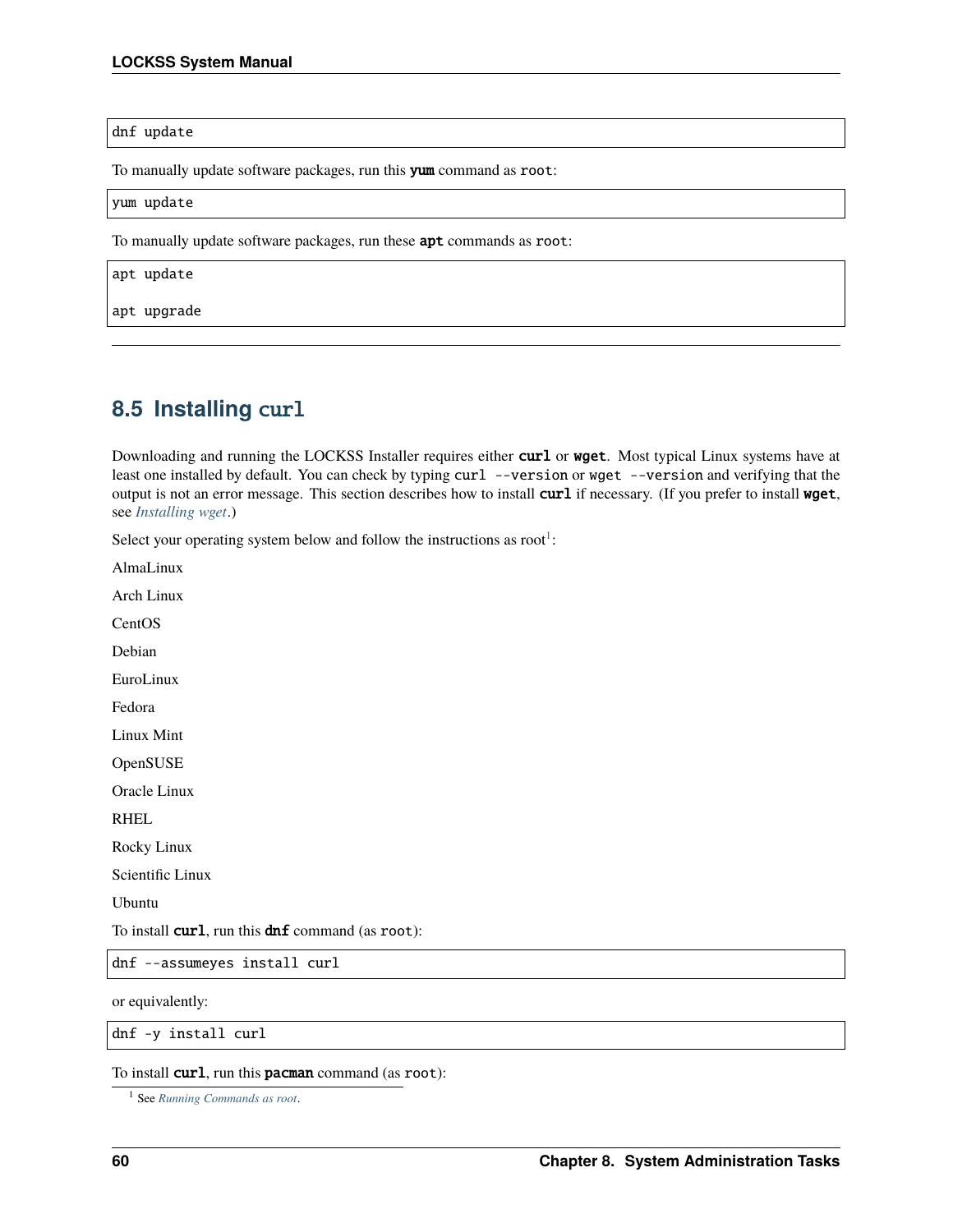#### dnf update

To manually update software packages, run this yum command as root:

#### yum update

To manually update software packages, run these **apt** commands as root:

apt update

apt upgrade

## <span id="page-63-1"></span>**8.5 Installing** curl

Downloading and running the LOCKSS Installer requires either curl or wget. Most typical Linux systems have at least one installed by default. You can check by typing curl --version or wget --version and verifying that the output is not an error message. This section describes how to install curl if necessary. (If you prefer to install wget, see *[Installing wget](#page-67-0)*.)

Select your operating system below and follow the instructions as root<sup>[1](#page-63-0)</sup>:

AlmaLinux

Arch Linux

**CentOS** 

Debian

EuroLinux

Fedora

Linux Mint

OpenSUSE

Oracle Linux

RHEL

Rocky Linux

Scientific Linux

Ubuntu

To install  $curl$ , run this  $dnf$  command (as root):

dnf --assumeyes install curl

or equivalently:

dnf -y install curl

To install **curl**, run this **pacman** command (as root):

<span id="page-63-0"></span><sup>1</sup> See *[Running Commands as root](#page-58-0)*.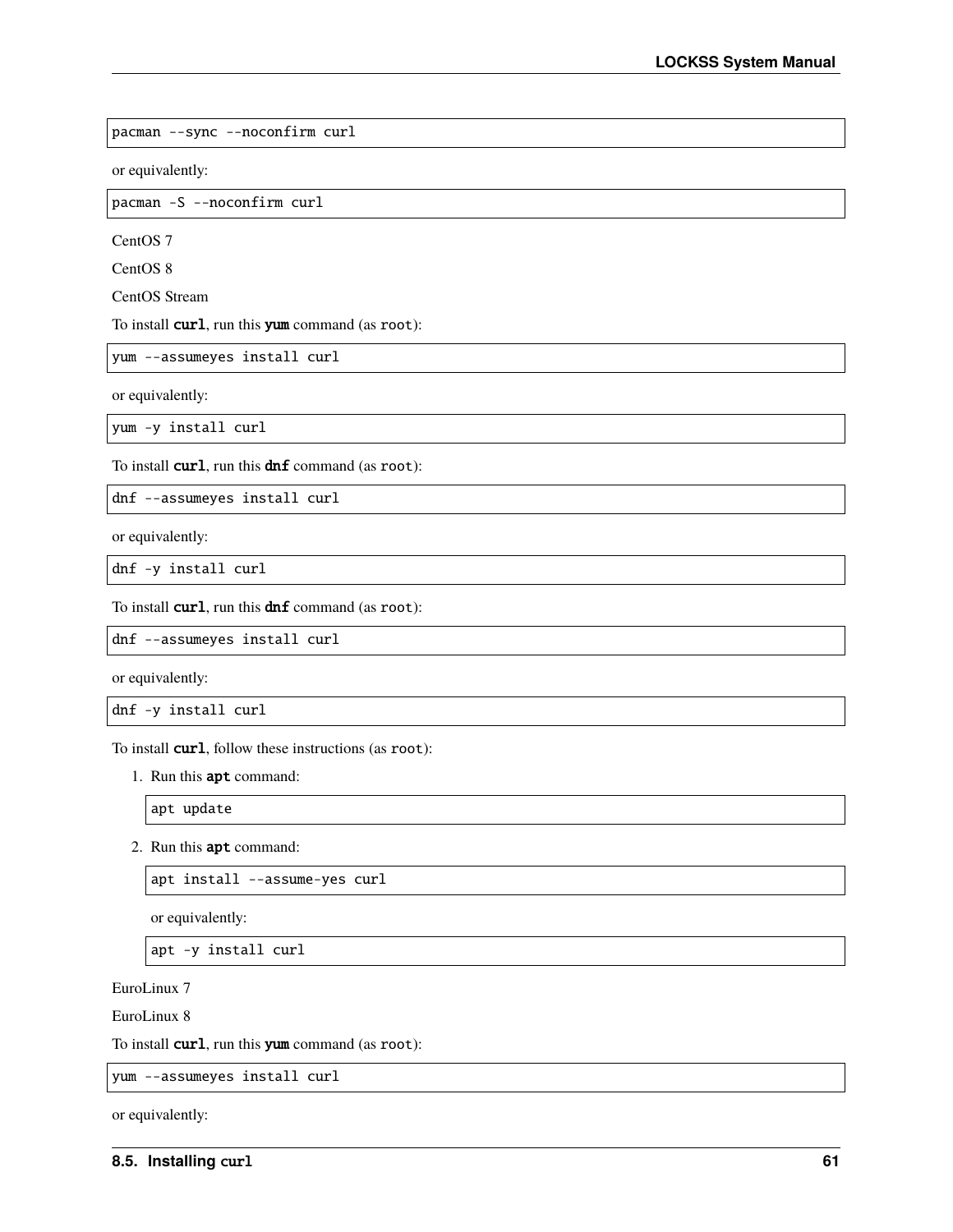pacman --sync --noconfirm curl

or equivalently:

pacman -S --noconfirm curl

CentOS 7

CentOS 8

CentOS Stream

To install curl, run this yum command (as root):

yum --assumeyes install curl

or equivalently:

yum -y install curl

To install  $curl$ , run this  $dnf$  command (as root):

dnf --assumeyes install curl

or equivalently:

dnf -y install curl

To install curl, run this dnf command (as root):

dnf --assumeyes install curl

or equivalently:

dnf -y install curl

To install **curl**, follow these instructions (as root):

1. Run this apt command:

apt update

2. Run this apt command:

apt install --assume-yes curl

or equivalently:

apt -y install curl

EuroLinux 7

EuroLinux 8

To install **curl**, run this **yum** command (as root):

yum --assumeyes install curl

or equivalently: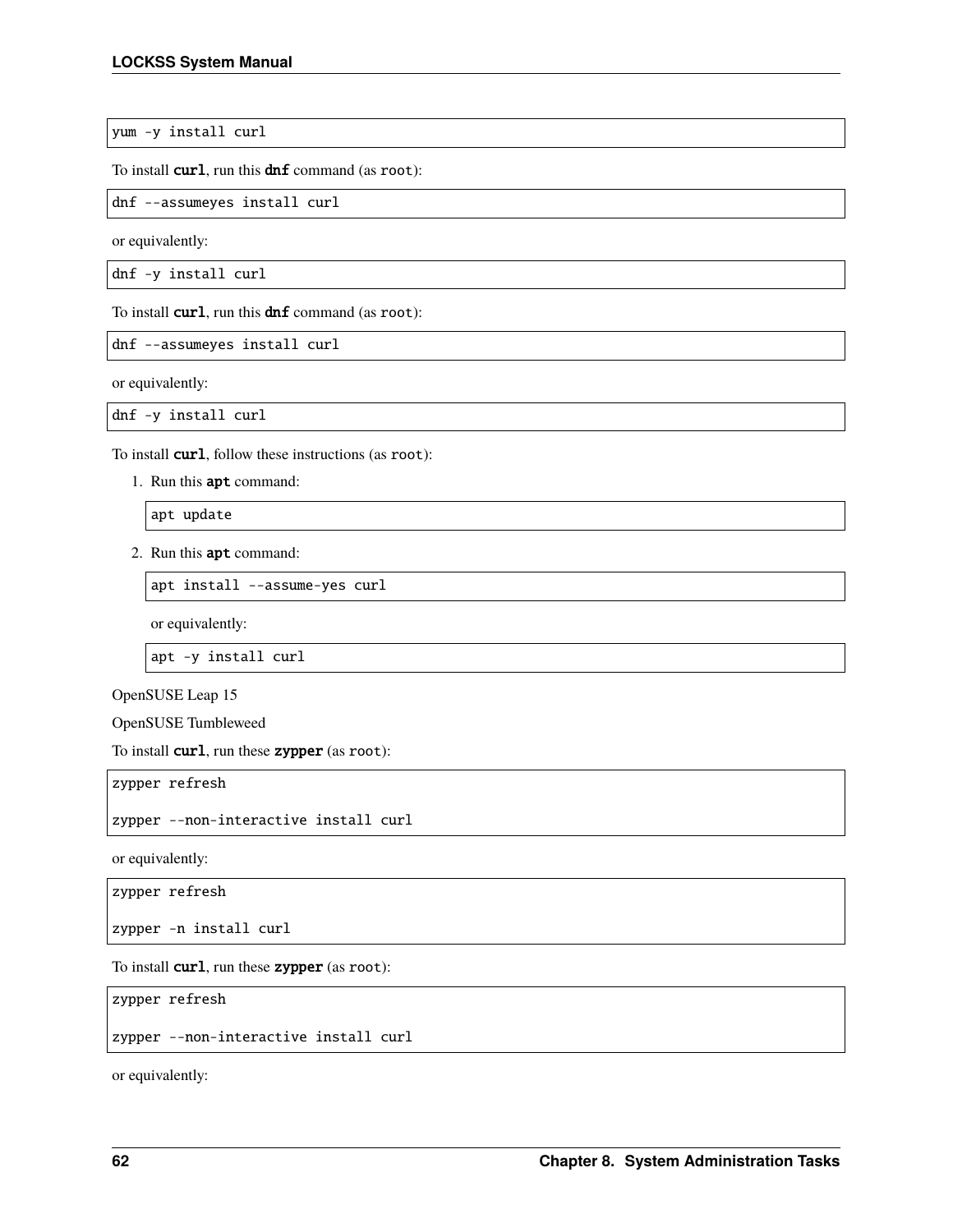yum -y install curl

To install **curl**, run this **dnf** command (as root):

dnf --assumeyes install curl

or equivalently:

dnf -y install curl

To install **curl**, run this **dnf** command (as root):

dnf --assumeyes install curl

or equivalently:

dnf -y install curl

To install **curl**, follow these instructions (as root):

1. Run this apt command:

apt update

2. Run this apt command:

apt install --assume-yes curl

or equivalently:

apt -y install curl

OpenSUSE Leap 15

OpenSUSE Tumbleweed

To install **curl**, run these **zypper** (as root):

zypper refresh

zypper --non-interactive install curl

or equivalently:

zypper refresh

zypper -n install curl

To install **curl**, run these **zypper** (as root):

zypper refresh

zypper --non-interactive install curl

or equivalently: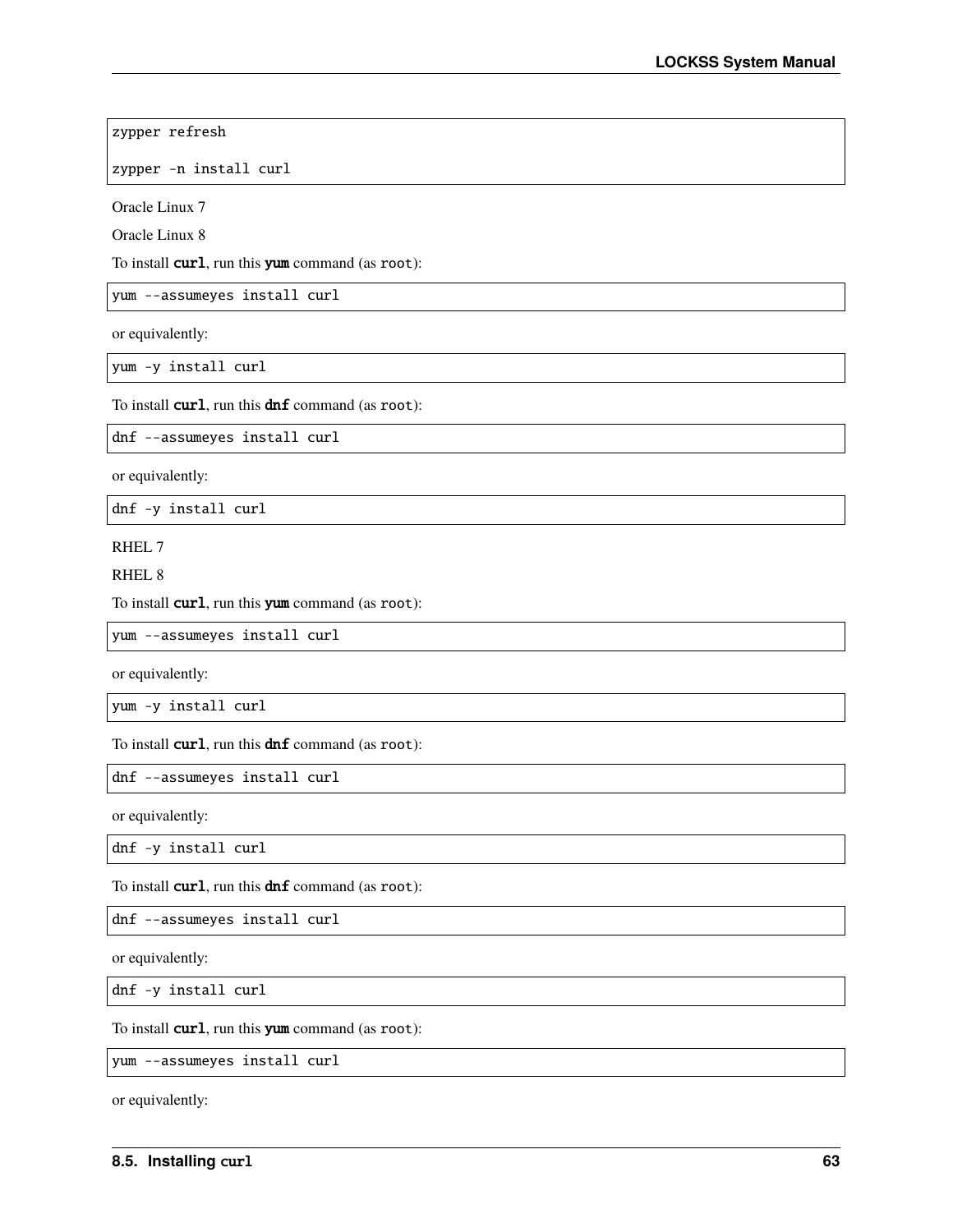zypper refresh

zypper -n install curl

Oracle Linux 7

Oracle Linux 8

To install **curl**, run this **yum** command (as root):

yum --assumeyes install curl

or equivalently:

yum -y install curl

To install  $curl$ , run this  $dnf$  command (as root):

dnf --assumeyes install curl

or equivalently:

dnf -y install curl

RHEL 7

RHEL 8

To install **curl**, run this **yum** command (as root):

yum --assumeyes install curl

or equivalently:

yum -y install curl

To install **curl**, run this **dnf** command (as root):

dnf --assumeyes install curl

or equivalently:

dnf -y install curl

To install  $curl$ , run this  $dnf$  command (as root):

dnf --assumeyes install curl

or equivalently:

dnf -y install curl

To install **curl**, run this **yum** command (as root):

yum --assumeyes install curl

or equivalently: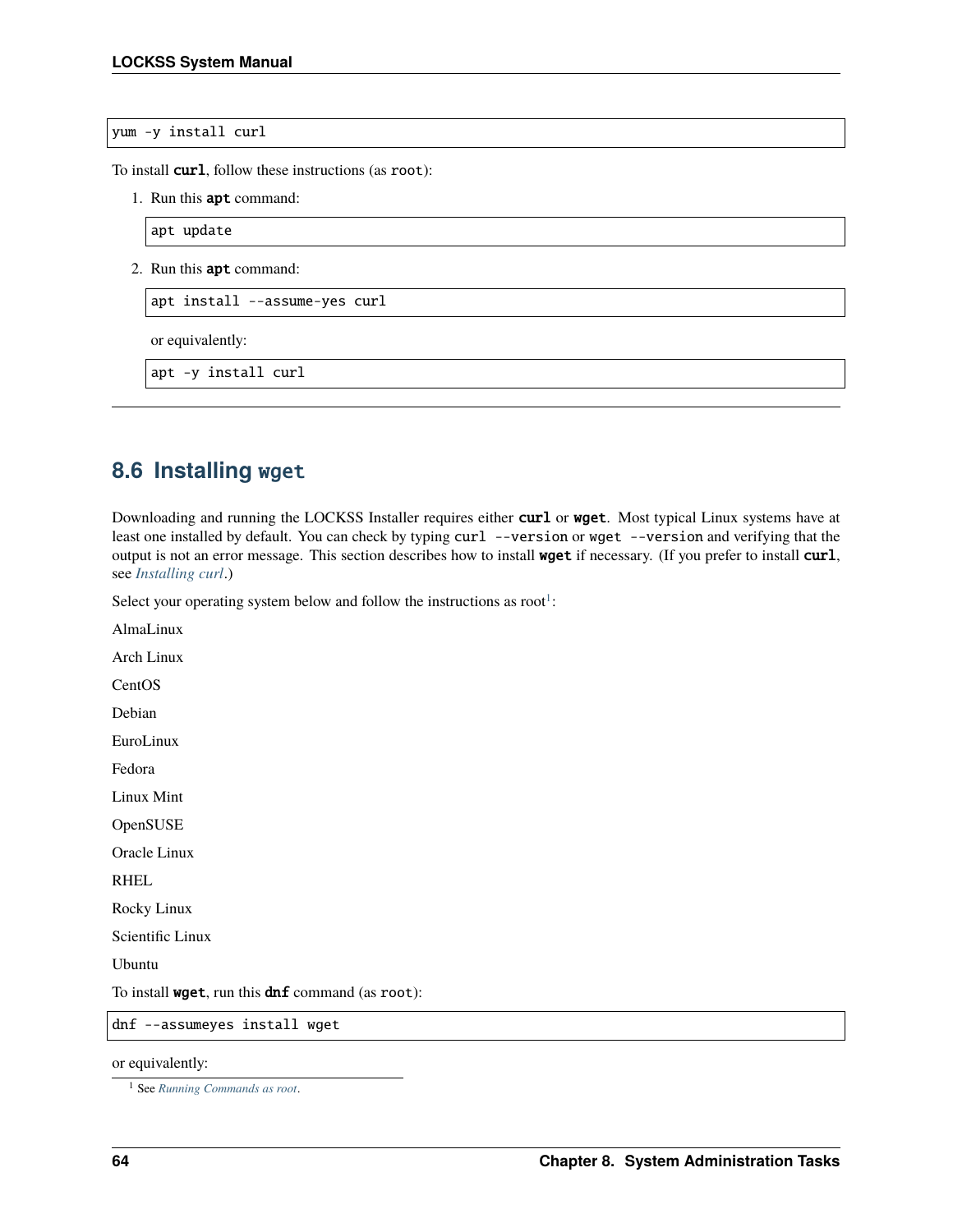yum -y install curl

To install **curl**, follow these instructions (as root):

1. Run this apt command:

apt update

2. Run this apt command:

apt install --assume-yes curl

or equivalently:

apt -y install curl

## <span id="page-67-0"></span>**8.6 Installing** wget

Downloading and running the LOCKSS Installer requires either curl or wget. Most typical Linux systems have at least one installed by default. You can check by typing curl --version or wget --version and verifying that the output is not an error message. This section describes how to install wget if necessary. (If you prefer to install curl, see *[Installing curl](#page-63-1)*.)

Select your operating system below and follow the instructions as root<sup>[1](#page-67-1)</sup>:

AlmaLinux

Arch Linux

**CentOS** 

Debian

EuroLinux

Fedora

Linux Mint

**OpenSUSE** 

Oracle Linux

RHEL

Rocky Linux

Scientific Linux

Ubuntu

To install **wget**, run this **dnf** command (as root):

dnf --assumeyes install wget

or equivalently:

<span id="page-67-1"></span><sup>1</sup> See *[Running Commands as root](#page-58-0)*.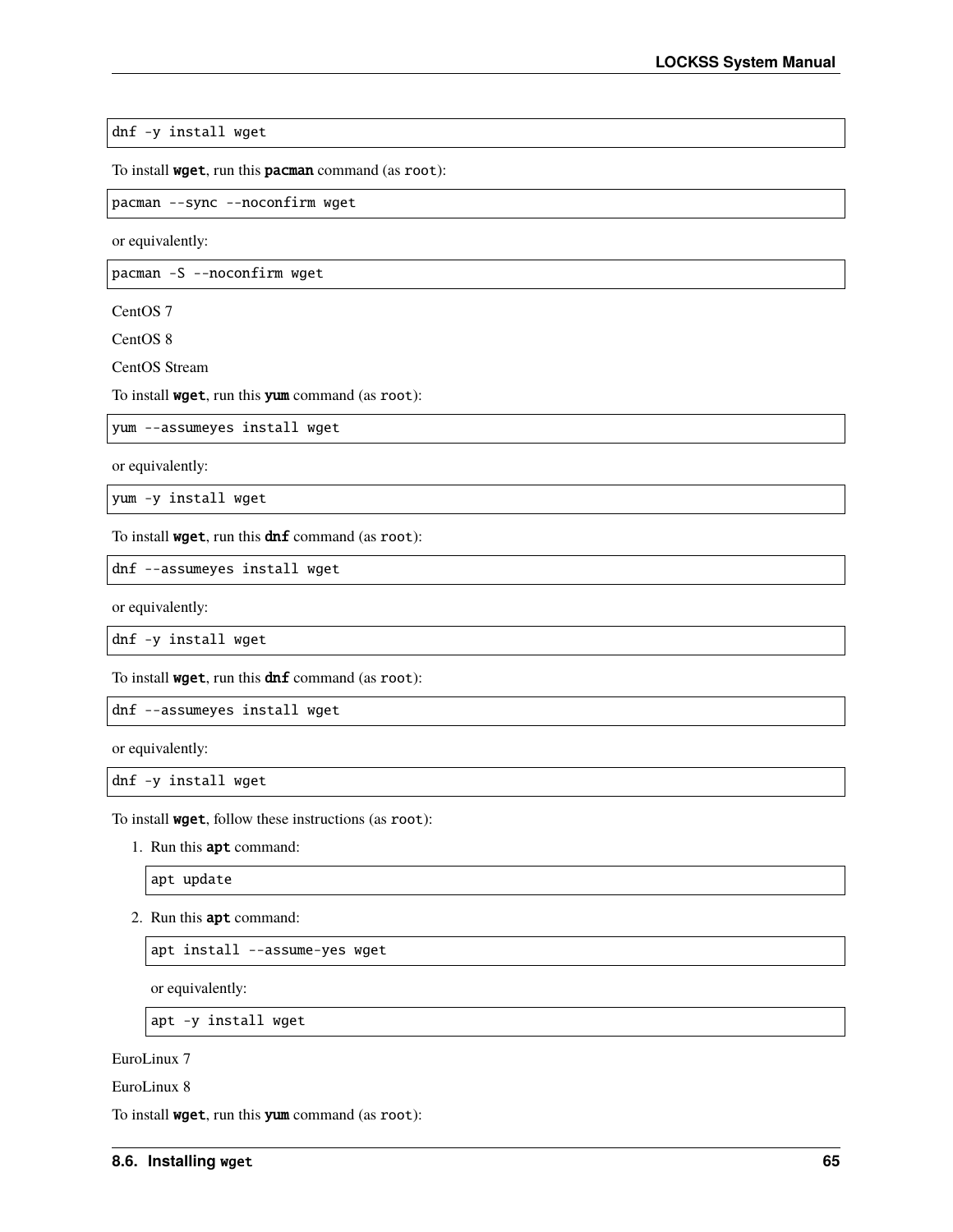dnf -y install wget

To install wget, run this pacman command (as root):

pacman --sync --noconfirm wget

or equivalently:

pacman -S --noconfirm wget

CentOS 7

CentOS 8

CentOS Stream

To install wget, run this yum command (as root):

yum --assumeyes install wget

or equivalently:

yum -y install wget

To install **wget**, run this  $\text{dnf}$  command (as root):

dnf --assumeyes install wget

or equivalently:

dnf -y install wget

To install **wget**, run this  $\text{dnf}$  command (as root):

dnf --assumeyes install wget

or equivalently:

dnf -y install wget

To install wget, follow these instructions (as root):

1. Run this apt command:

apt update

2. Run this apt command:

apt install --assume-yes wget

or equivalently:

apt -y install wget

EuroLinux 7

EuroLinux 8

To install wget, run this yum command (as root):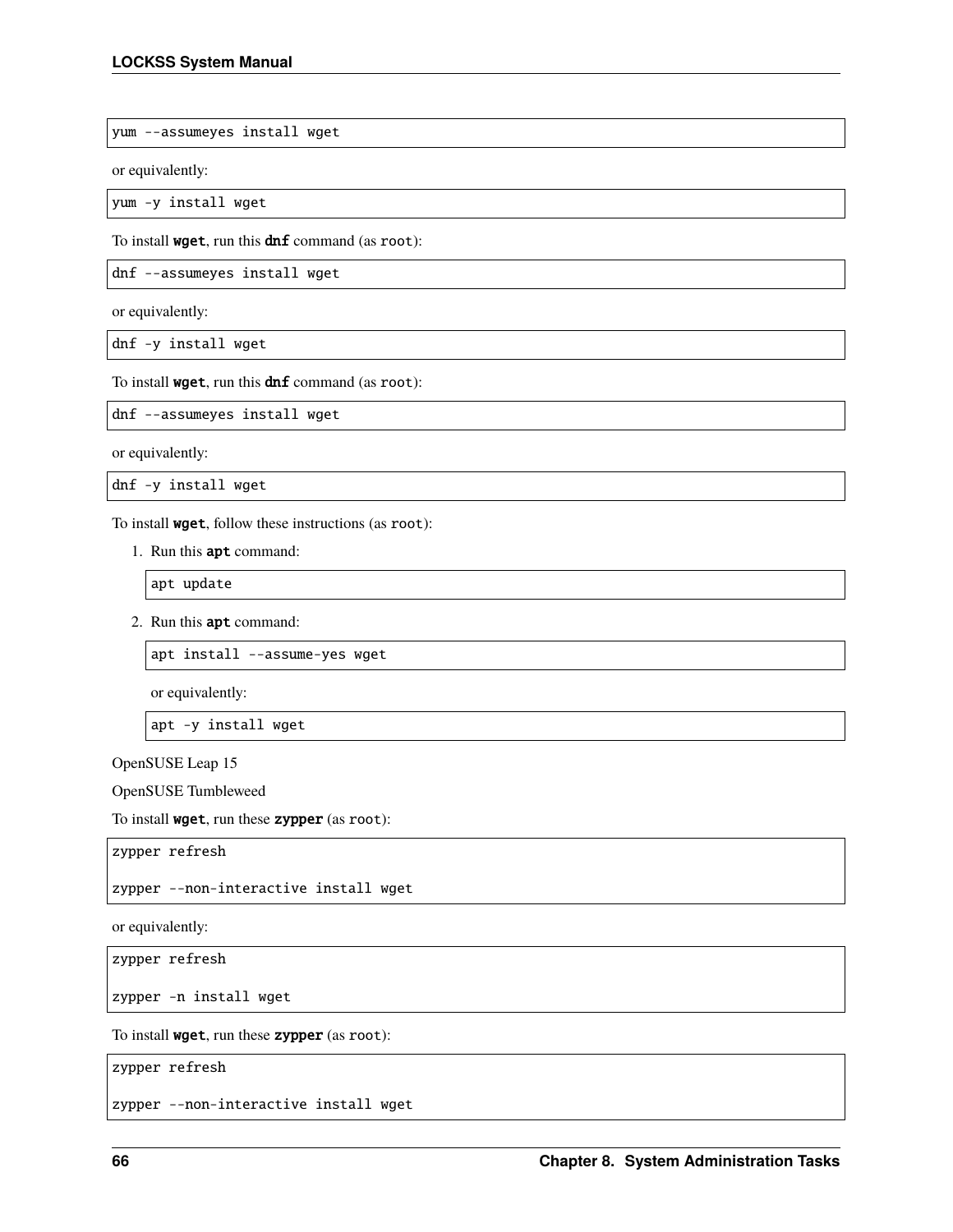yum --assumeyes install wget

or equivalently:

yum -y install wget

To install **wget**, run this **dnf** command (as root):

dnf --assumeyes install wget

or equivalently:

dnf -y install wget

To install **wget**, run this  $\text{dnf}$  command (as root):

dnf --assumeyes install wget

or equivalently:

dnf -y install wget

To install wget, follow these instructions (as root):

1. Run this apt command:

apt update

2. Run this apt command:

apt install --assume-yes wget

or equivalently:

apt -y install wget

OpenSUSE Leap 15

OpenSUSE Tumbleweed

To install wget, run these zypper (as root):

zypper refresh

zypper --non-interactive install wget

or equivalently:

zypper refresh

zypper -n install wget

To install wget, run these zypper (as root):

zypper refresh

zypper --non-interactive install wget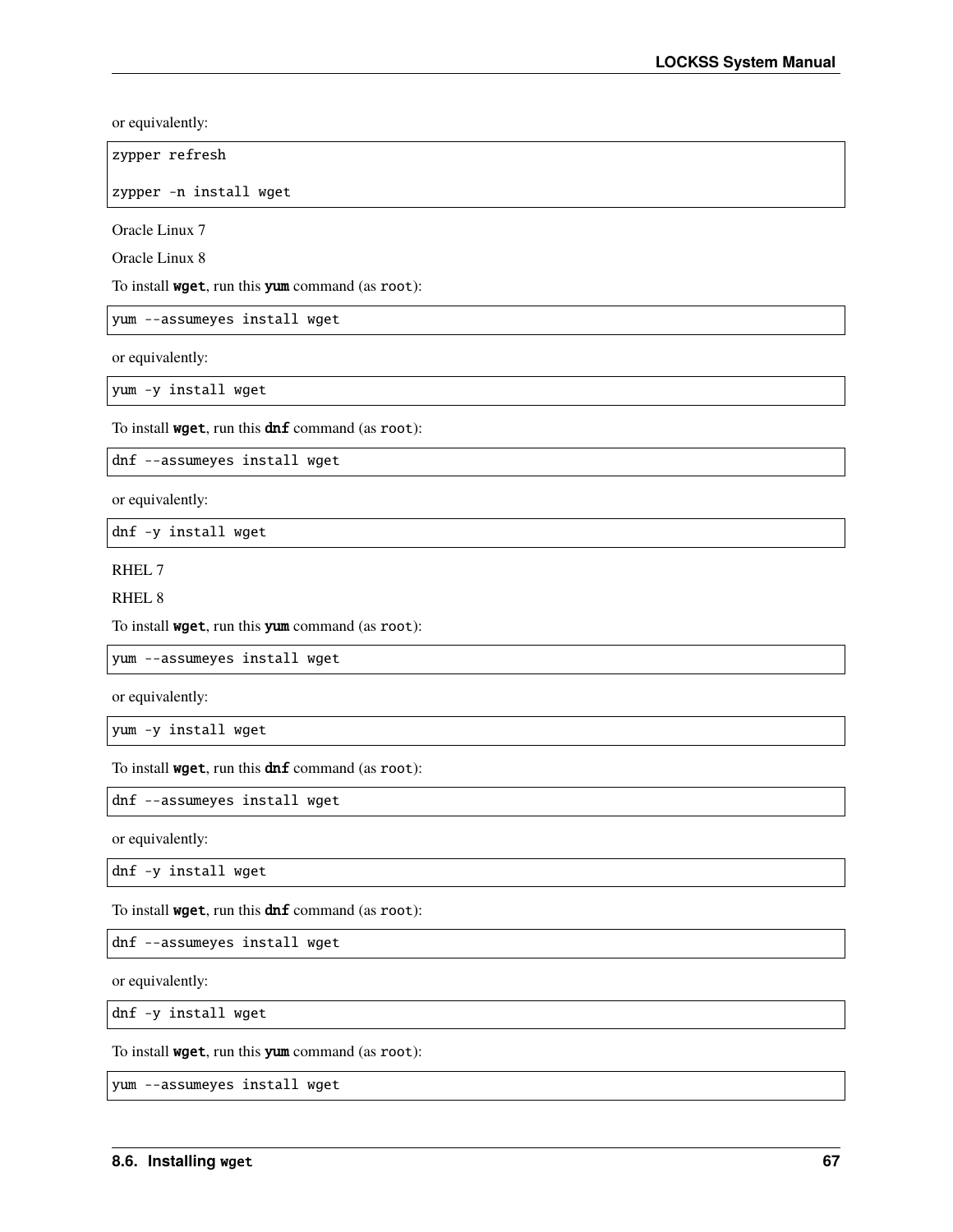or equivalently:

zypper refresh

zypper -n install wget

Oracle Linux 7

Oracle Linux 8

To install wget, run this yum command (as root):

yum --assumeyes install wget

or equivalently:

yum -y install wget

To install **wget**, run this **dnf** command (as root):

dnf --assumeyes install wget

or equivalently:

dnf -y install wget

RHEL 7

RHEL 8

To install wget, run this yum command (as root):

yum --assumeyes install wget

or equivalently:

yum -y install wget

To install **wget**, run this **dnf** command (as root):

dnf --assumeyes install wget

or equivalently:

dnf -y install wget

To install **wget**, run this **dnf** command (as root):

dnf --assumeyes install wget

or equivalently:

dnf -y install wget

To install wget, run this yum command (as root):

yum --assumeyes install wget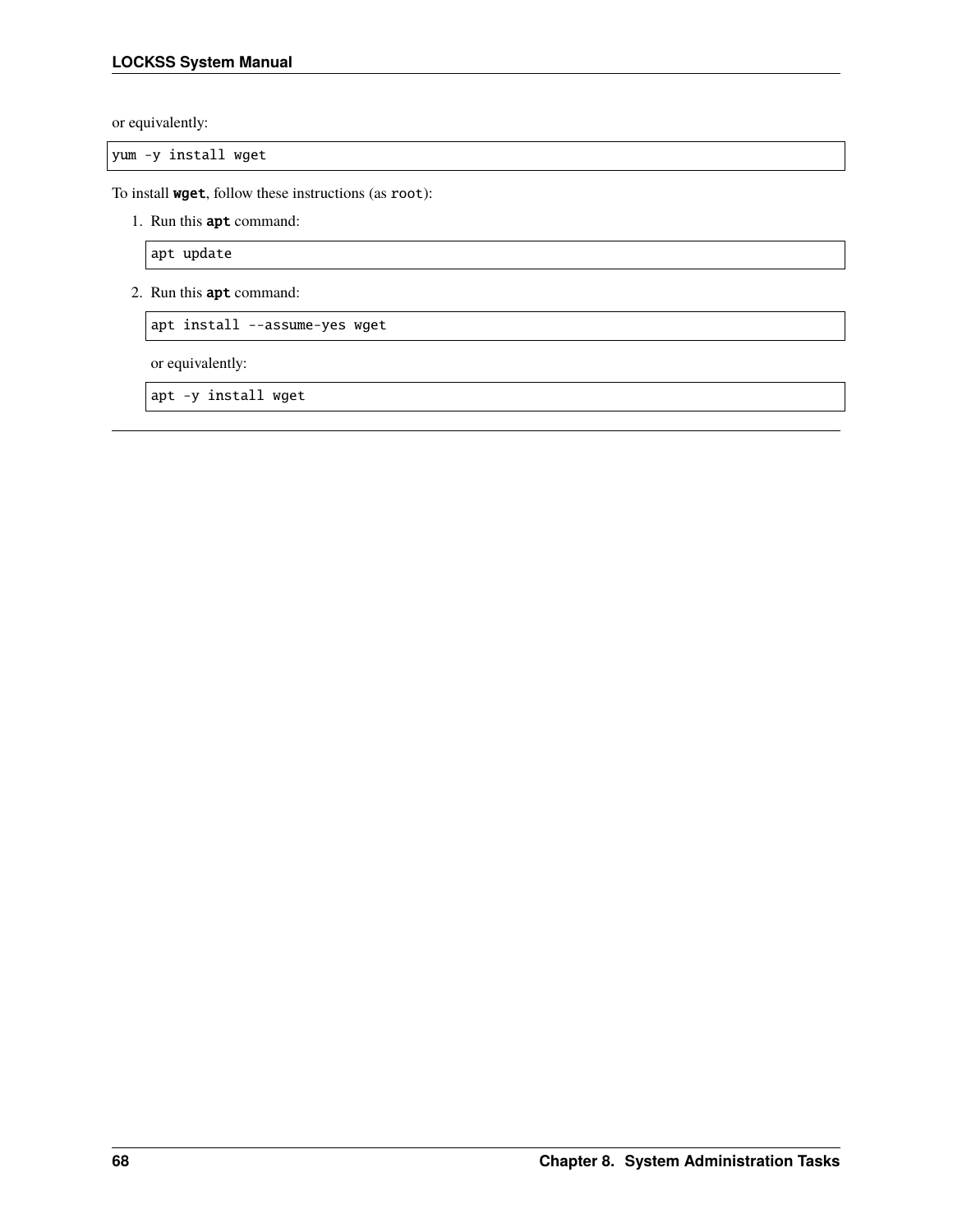or equivalently:

yum -y install wget

To install wget, follow these instructions (as root):

1. Run this apt command:

apt update

2. Run this apt command:

apt install --assume-yes wget

or equivalently:

apt -y install wget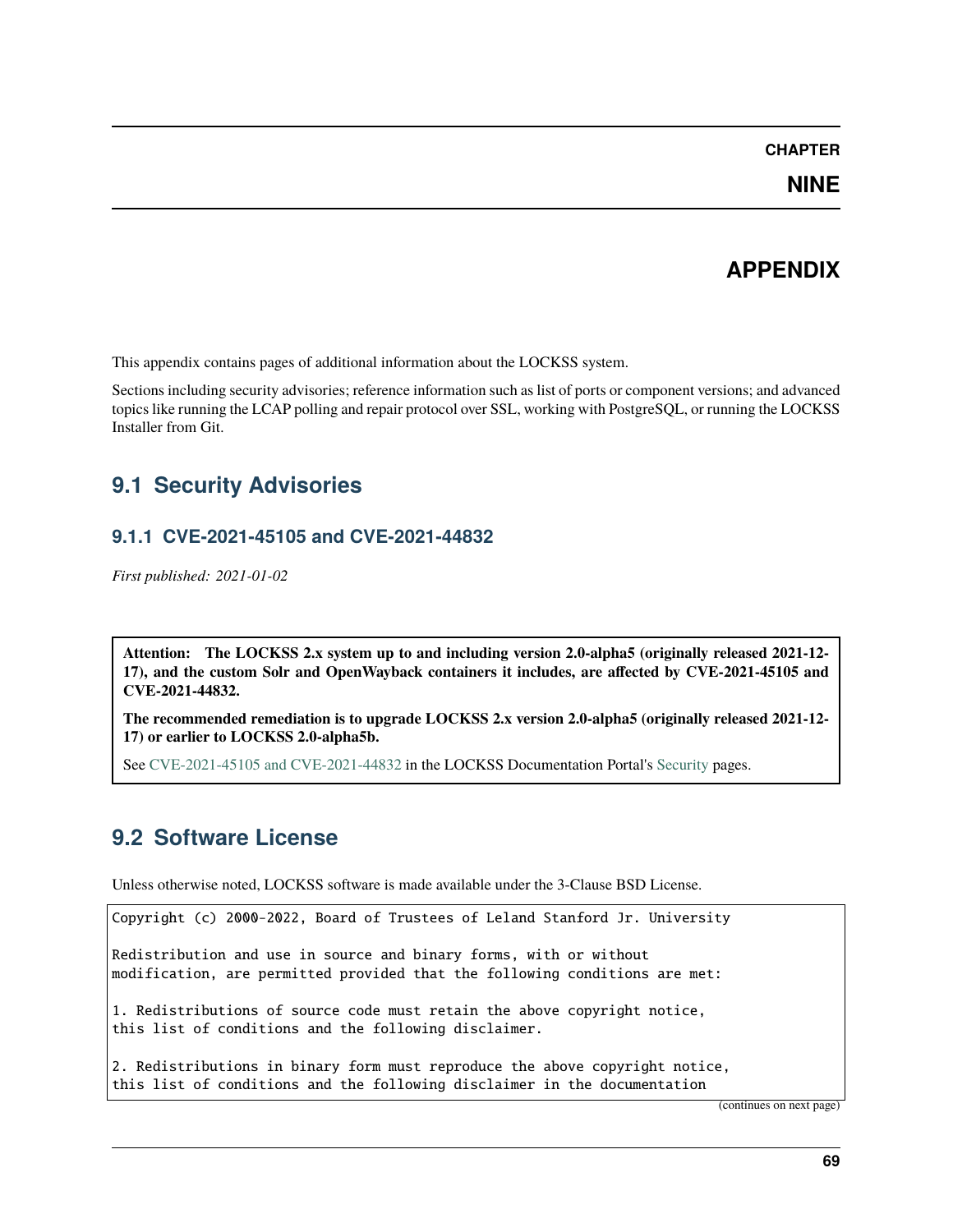### **CHAPTER**

**NINE**

## **APPENDIX**

This appendix contains pages of additional information about the LOCKSS system.

Sections including security advisories; reference information such as list of ports or component versions; and advanced topics like running the LCAP polling and repair protocol over SSL, working with PostgreSQL, or running the LOCKSS Installer from Git.

## <span id="page-72-1"></span>**9.1 Security Advisories**

## <span id="page-72-0"></span>**9.1.1 CVE-2021-45105 and CVE-2021-44832**

*First published: 2021-01-02*

**Attention: The LOCKSS 2.x system up to and including version 2.0-alpha5 (originally released 2021-12- 17), and the custom Solr and OpenWayback containers it includes, are affected by CVE-2021-45105 and CVE-2021-44832.**

**The recommended remediation is to upgrade LOCKSS 2.x version 2.0-alpha5 (originally released 2021-12- 17) or earlier to LOCKSS 2.0-alpha5b.**

See [CVE-2021-45105 and CVE-2021-44832](https://lockss.readthedocs.io/en/latest/security/cve-2021-45105.html) in the LOCKSS Documentation Portal's [Security](https://lockss.readthedocs.io/en/latest/security/index.html) pages.

## **9.2 Software License**

Unless otherwise noted, LOCKSS software is made available under the 3-Clause BSD License.

```
Copyright (c) 2000-2022, Board of Trustees of Leland Stanford Jr. University
Redistribution and use in source and binary forms, with or without
modification, are permitted provided that the following conditions are met:
1. Redistributions of source code must retain the above copyright notice,
this list of conditions and the following disclaimer.
2. Redistributions in binary form must reproduce the above copyright notice,
this list of conditions and the following disclaimer in the documentation
```
(continues on next page)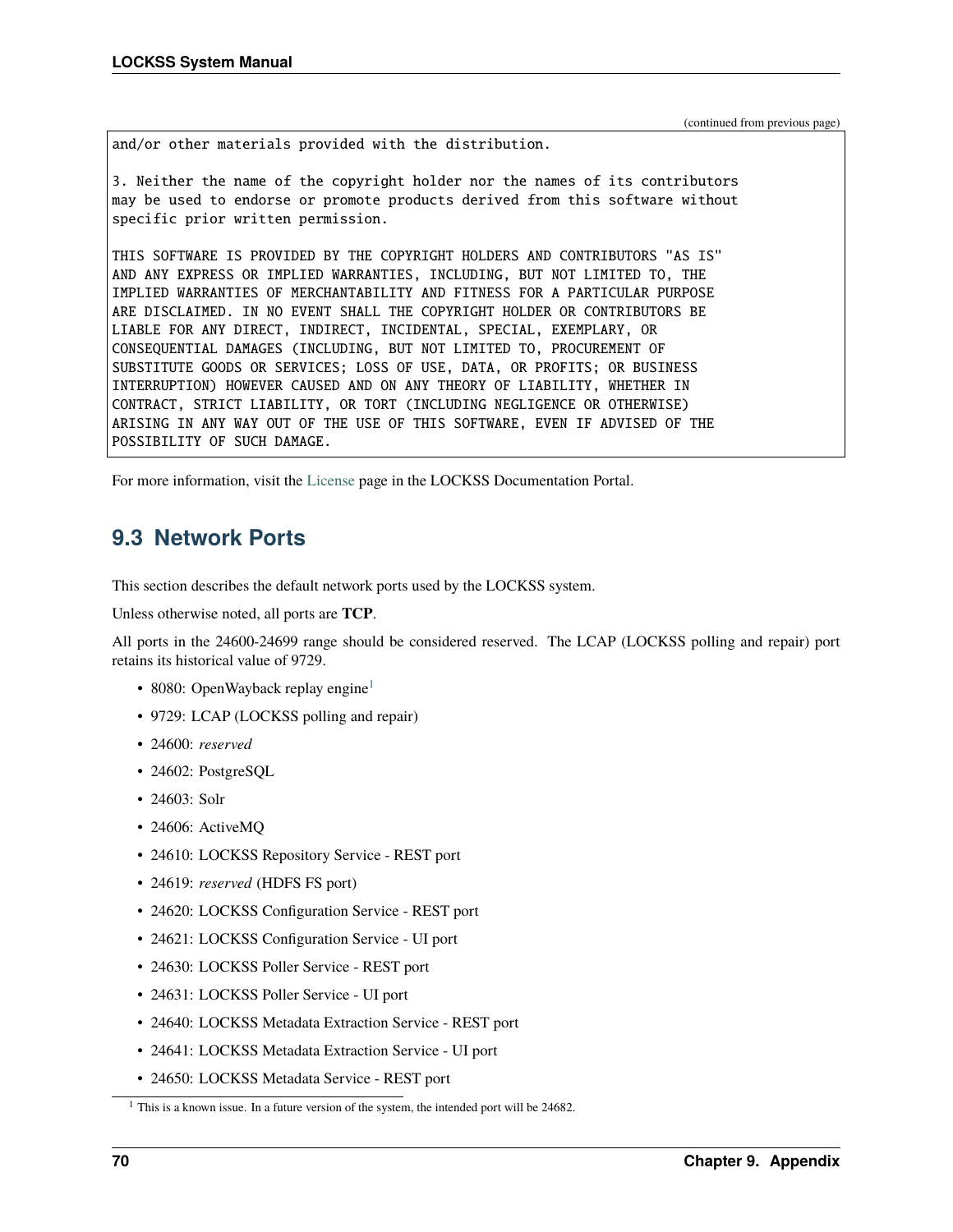(continued from previous page)

and/or other materials provided with the distribution.

3. Neither the name of the copyright holder nor the names of its contributors may be used to endorse or promote products derived from this software without specific prior written permission.

THIS SOFTWARE IS PROVIDED BY THE COPYRIGHT HOLDERS AND CONTRIBUTORS "AS IS" AND ANY EXPRESS OR IMPLIED WARRANTIES, INCLUDING, BUT NOT LIMITED TO, THE IMPLIED WARRANTIES OF MERCHANTABILITY AND FITNESS FOR A PARTICULAR PURPOSE ARE DISCLAIMED. IN NO EVENT SHALL THE COPYRIGHT HOLDER OR CONTRIBUTORS BE LIABLE FOR ANY DIRECT, INDIRECT, INCIDENTAL, SPECIAL, EXEMPLARY, OR CONSEQUENTIAL DAMAGES (INCLUDING, BUT NOT LIMITED TO, PROCUREMENT OF SUBSTITUTE GOODS OR SERVICES; LOSS OF USE, DATA, OR PROFITS; OR BUSINESS INTERRUPTION) HOWEVER CAUSED AND ON ANY THEORY OF LIABILITY, WHETHER IN CONTRACT, STRICT LIABILITY, OR TORT (INCLUDING NEGLIGENCE OR OTHERWISE) ARISING IN ANY WAY OUT OF THE USE OF THIS SOFTWARE, EVEN IF ADVISED OF THE POSSIBILITY OF SUCH DAMAGE.

For more information, visit the [License](https://lockss.readthedocs.io/en/latest/license.html) page in the LOCKSS Documentation Portal.

# **9.3 Network Ports**

This section describes the default network ports used by the LOCKSS system.

Unless otherwise noted, all ports are **TCP**.

All ports in the 24600-24699 range should be considered reserved. The LCAP (LOCKSS polling and repair) port retains its historical value of 9729.

- 8080: OpenWayback replay engine<sup>[1](#page-73-0)</sup>
- 9729: LCAP (LOCKSS polling and repair)
- 24600: *reserved*
- 24602: PostgreSQL
- 24603: Solr
- 24606: ActiveMQ
- 24610: LOCKSS Repository Service REST port
- 24619: *reserved* (HDFS FS port)
- 24620: LOCKSS Configuration Service REST port
- 24621: LOCKSS Configuration Service UI port
- 24630: LOCKSS Poller Service REST port
- 24631: LOCKSS Poller Service UI port
- 24640: LOCKSS Metadata Extraction Service REST port
- 24641: LOCKSS Metadata Extraction Service UI port
- 24650: LOCKSS Metadata Service REST port

<span id="page-73-1"></span><span id="page-73-0"></span><sup>&</sup>lt;sup>1</sup> This is a known issue. In a future version of the system, the intended port will be 24682.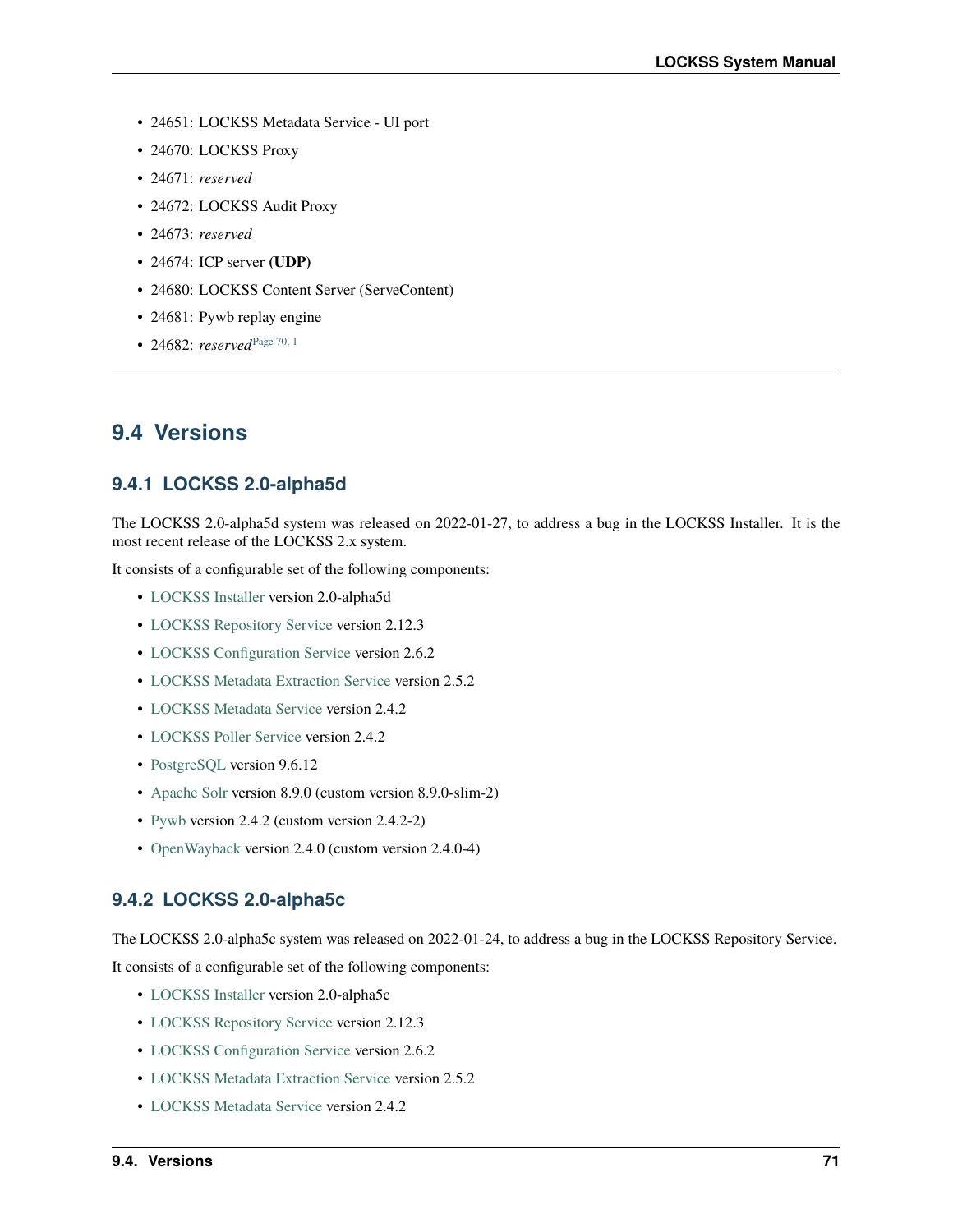- 24651: LOCKSS Metadata Service UI port
- 24670: LOCKSS Proxy
- 24671: *reserved*
- 24672: LOCKSS Audit Proxy
- 24673: *reserved*
- 24674: ICP server **(UDP)**
- 24680: LOCKSS Content Server (ServeContent)
- 24681: Pywb replay engine
- 24682: *reserved*[Page 70, 1](#page-73-1)

## **9.4 Versions**

### **9.4.1 LOCKSS 2.0-alpha5d**

The LOCKSS 2.0-alpha5d system was released on 2022-01-27, to address a bug in the LOCKSS Installer. It is the most recent release of the LOCKSS 2.x system.

It consists of a configurable set of the following components:

- [LOCKSS Installer](https://github.com/lockss/lockss-installer) version 2.0-alpha5d
- [LOCKSS Repository Service](https://github.com/lockss/laaws-repository-service) version 2.12.3
- [LOCKSS Configuration Service](https://github.com/lockss/laaws-configservice) version 2.6.2
- [LOCKSS Metadata Extraction Service](https://github.com/lockss/laaws-metadataextractor) version 2.5.2
- [LOCKSS Metadata Service](https://github.com/lockss/laaws-metadataservice) version 2.4.2
- [LOCKSS Poller Service](https://github.com/lockss/laaws-poller) version 2.4.2
- [PostgreSQL](https://www.postgresql.org/) version 9.6.12
- [Apache Solr](https://lucene.apache.org/solr/) version 8.9.0 (custom version 8.9.0-slim-2)
- [Pywb](https://github.com/webrecorder/pywb) version 2.4.2 (custom version 2.4.2-2)
- [OpenWayback](https://github.com/iipc/openwayback) version 2.4.0 (custom version 2.4.0-4)

### **9.4.2 LOCKSS 2.0-alpha5c**

The LOCKSS 2.0-alpha5c system was released on 2022-01-24, to address a bug in the LOCKSS Repository Service.

It consists of a configurable set of the following components:

- [LOCKSS Installer](https://github.com/lockss/lockss-installer) version 2.0-alpha5c
- [LOCKSS Repository Service](https://github.com/lockss/laaws-repository-service) version 2.12.3
- [LOCKSS Configuration Service](https://github.com/lockss/laaws-configservice) version 2.6.2
- [LOCKSS Metadata Extraction Service](https://github.com/lockss/laaws-metadataextractor) version 2.5.2
- [LOCKSS Metadata Service](https://github.com/lockss/laaws-metadataservice) version 2.4.2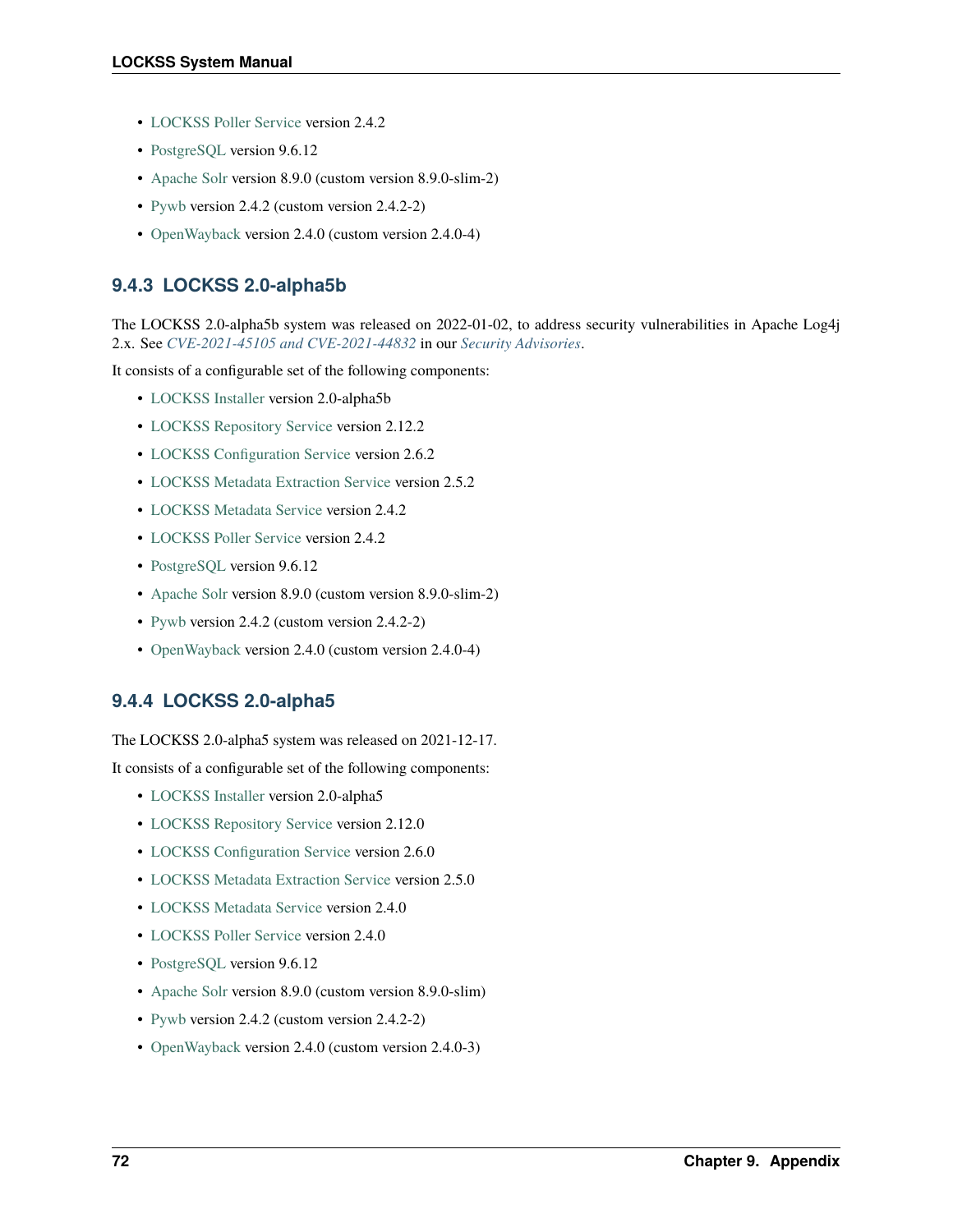- [LOCKSS Poller Service](https://github.com/lockss/laaws-poller) version 2.4.2
- [PostgreSQL](https://www.postgresql.org/) version 9.6.12
- [Apache Solr](https://lucene.apache.org/solr/) version 8.9.0 (custom version 8.9.0-slim-2)
- [Pywb](https://github.com/webrecorder/pywb) version 2.4.2 (custom version 2.4.2-2)
- [OpenWayback](https://github.com/iipc/openwayback) version 2.4.0 (custom version 2.4.0-4)

## **9.4.3 LOCKSS 2.0-alpha5b**

The LOCKSS 2.0-alpha5b system was released on 2022-01-02, to address security vulnerabilities in Apache Log4j 2.x. See *[CVE-2021-45105 and CVE-2021-44832](#page-72-0)* in our *[Security Advisories](#page-72-1)*.

It consists of a configurable set of the following components:

- [LOCKSS Installer](https://github.com/lockss/lockss-installer) version 2.0-alpha5b
- [LOCKSS Repository Service](https://github.com/lockss/laaws-repository-service) version 2.12.2
- [LOCKSS Configuration Service](https://github.com/lockss/laaws-configservice) version 2.6.2
- [LOCKSS Metadata Extraction Service](https://github.com/lockss/laaws-metadataextractor) version 2.5.2
- [LOCKSS Metadata Service](https://github.com/lockss/laaws-metadataservice) version 2.4.2
- [LOCKSS Poller Service](https://github.com/lockss/laaws-poller) version 2.4.2
- [PostgreSQL](https://www.postgresql.org/) version 9.6.12
- [Apache Solr](https://lucene.apache.org/solr/) version 8.9.0 (custom version 8.9.0-slim-2)
- [Pywb](https://github.com/webrecorder/pywb) version 2.4.2 (custom version 2.4.2-2)
- [OpenWayback](https://github.com/iipc/openwayback) version 2.4.0 (custom version 2.4.0-4)

## **9.4.4 LOCKSS 2.0-alpha5**

The LOCKSS 2.0-alpha5 system was released on 2021-12-17.

It consists of a configurable set of the following components:

- [LOCKSS Installer](https://github.com/lockss/lockss-installer) version 2.0-alpha5
- [LOCKSS Repository Service](https://github.com/lockss/laaws-repository-service) version 2.12.0
- [LOCKSS Configuration Service](https://github.com/lockss/laaws-configservice) version 2.6.0
- [LOCKSS Metadata Extraction Service](https://github.com/lockss/laaws-metadataextractor) version 2.5.0
- [LOCKSS Metadata Service](https://github.com/lockss/laaws-metadataservice) version 2.4.0
- [LOCKSS Poller Service](https://github.com/lockss/laaws-poller) version 2.4.0
- [PostgreSQL](https://www.postgresql.org/) version 9.6.12
- [Apache Solr](https://lucene.apache.org/solr/) version 8.9.0 (custom version 8.9.0-slim)
- [Pywb](https://github.com/webrecorder/pywb) version 2.4.2 (custom version 2.4.2-2)
- [OpenWayback](https://github.com/iipc/openwayback) version 2.4.0 (custom version 2.4.0-3)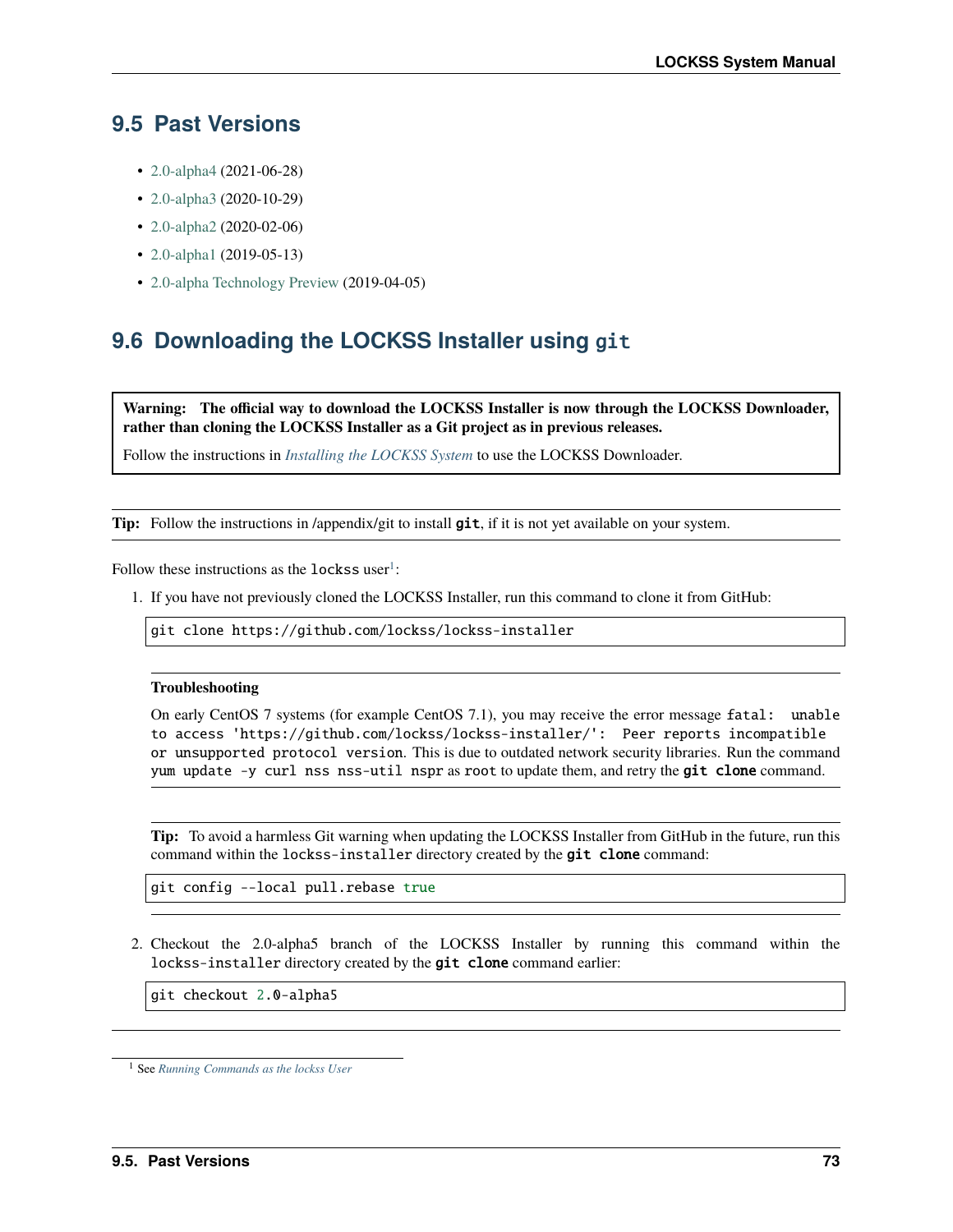## **9.5 Past Versions**

- [2.0-alpha4](/projects/manual/en/2.0-alpha4) (2021-06-28)
- [2.0-alpha3](/projects/manual/en/2.0-alpha3) (2020-10-29)
- [2.0-alpha2](/projects/manual/en/2.0-alpha2) (2020-02-06)
- [2.0-alpha1](/projects/manual/en/2.0-alpha1) (2019-05-13)
- [2.0-alpha Technology Preview](/projects/manual/en/2.0-alpha1) (2019-04-05)

# **9.6 Downloading the LOCKSS Installer using** git

**Warning: The official way to download the LOCKSS Installer is now through the LOCKSS Downloader, rather than cloning the LOCKSS Installer as a Git project as in previous releases.**

Follow the instructions in *[Installing the LOCKSS System](#page-12-0)* to use the LOCKSS Downloader.

**Tip:** Follow the instructions in /appendix/git to install **git**, if it is not yet available on your system.

Follow these instructions as the lockss user<sup>[1](#page-76-0)</sup>:

1. If you have not previously cloned the LOCKSS Installer, run this command to clone it from GitHub:

git clone https://github.com/lockss/lockss-installer

#### **Troubleshooting**

On early CentOS 7 systems (for example CentOS 7.1), you may receive the error message fatal: unable to access 'https://github.com/lockss/lockss-installer/': Peer reports incompatible or unsupported protocol version. This is due to outdated network security libraries. Run the command yum update -y curl nss nss-util nspr as root to update them, and retry the git clone command.

**Tip:** To avoid a harmless Git warning when updating the LOCKSS Installer from GitHub in the future, run this command within the lockss-installer directory created by the git clone command:

git config --local pull.rebase true

2. Checkout the 2.0-alpha5 branch of the LOCKSS Installer by running this command within the lockss-installer directory created by the git clone command earlier:

git checkout 2.0-alpha5

<span id="page-76-0"></span><sup>1</sup> See *[Running Commands as the lockss User](#page-59-0)*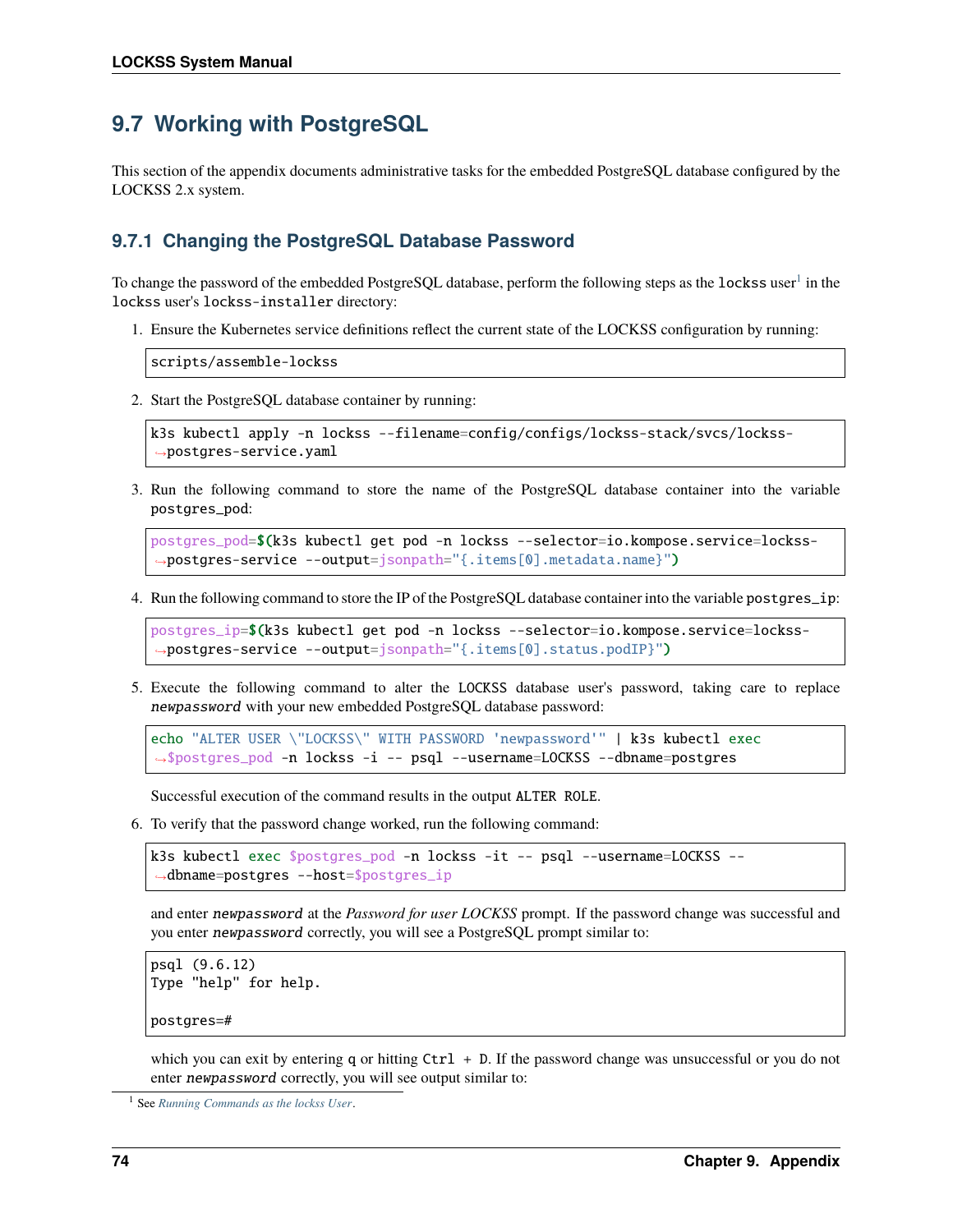# **9.7 Working with PostgreSQL**

This section of the appendix documents administrative tasks for the embedded PostgreSQL database configured by the LOCKSS 2.x system.

### **9.7.1 Changing the PostgreSQL Database Password**

To change the password of the embedded PostgreSQL database, perform the following steps as the  $1$ ockss user $^1$  in the lockss user's lockss-installer directory:

1. Ensure the Kubernetes service definitions reflect the current state of the LOCKSS configuration by running:

scripts/assemble-lockss

2. Start the PostgreSQL database container by running:

```
k3s kubectl apply -n lockss --filename=config/configs/lockss-stack/svcs/lockss-
˓→postgres-service.yaml
```
3. Run the following command to store the name of the PostgreSQL database container into the variable postgres\_pod:

```
postgres_pod=$(k3s kubectl get pod -n lockss --selector=io.kompose.service=lockss-
˓→postgres-service --output=jsonpath="{.items[0].metadata.name}")
```
4. Run the following command to store the IP of the PostgreSQL database container into the variable postgres\_ip:

```
postgres_ip=$(k3s kubectl get pod -n lockss --selector=io.kompose.service=lockss-
˓→postgres-service --output=jsonpath="{.items[0].status.podIP}")
```
5. Execute the following command to alter the LOCKSS database user's password, taking care to replace newpassword with your new embedded PostgreSQL database password:

echo "ALTER USER \"LOCKSS\" WITH PASSWORD 'newpassword'" | k3s kubectl exec ˓<sup>→</sup>\$postgres\_pod -n lockss -i -- psql --username=LOCKSS --dbname=postgres

Successful execution of the command results in the output ALTER ROLE.

6. To verify that the password change worked, run the following command:

```
k3s kubectl exec $postgres_pod -n lockss -it -- psql --username=LOCKSS --
→dbname=postgres --host=$postgres_ip
```
and enter newpassword at the *Password for user LOCKSS* prompt. If the password change was successful and you enter newpassword correctly, you will see a PostgreSQL prompt similar to:

```
psql (9.6.12)
Type "help" for help.
postgres=#
```
which you can exit by entering q or hitting Ctrl + D. If the password change was unsuccessful or you do not enter newpassword correctly, you will see output similar to:

<span id="page-77-0"></span><sup>1</sup> See *[Running Commands as the lockss User](#page-59-0)*.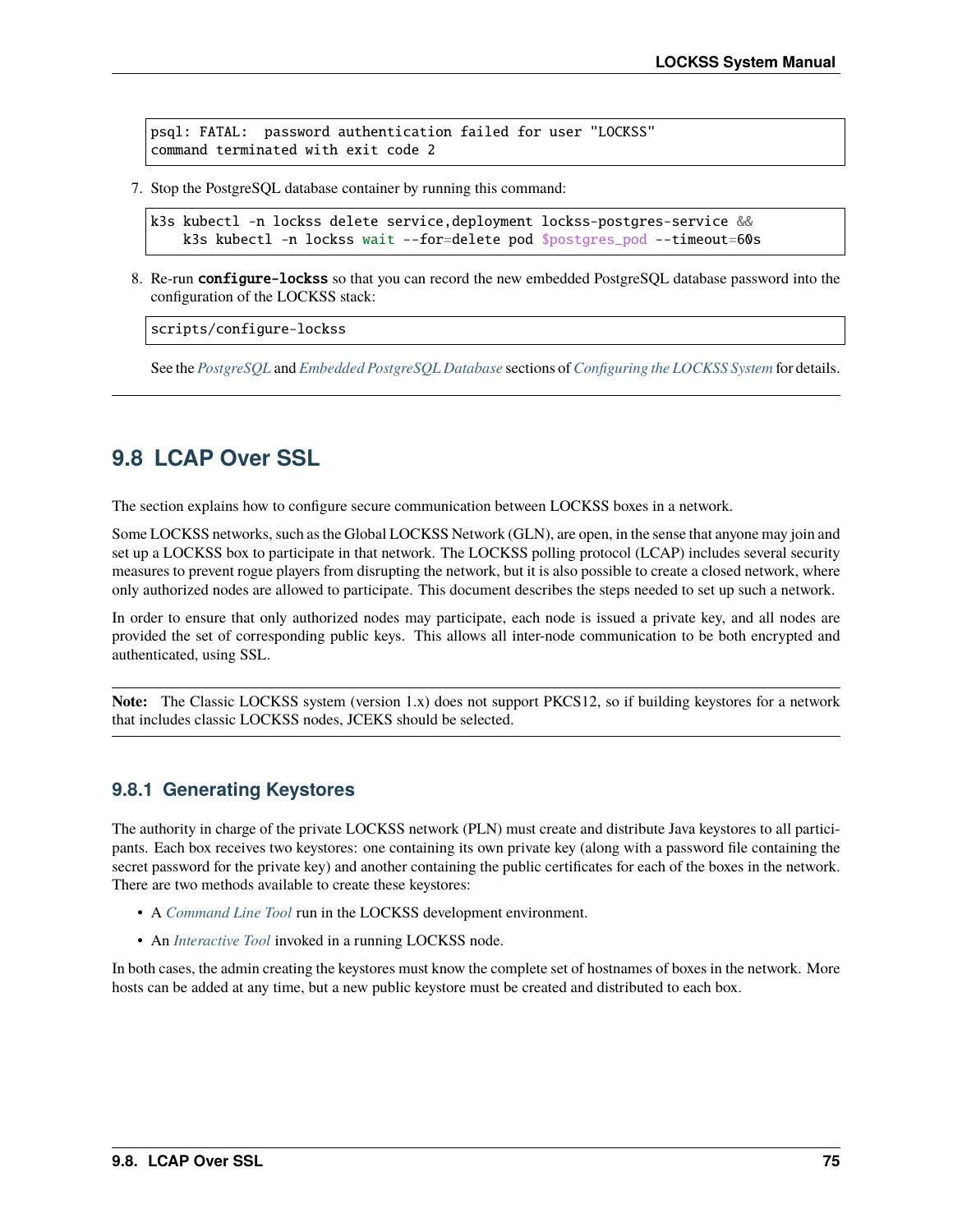psql: FATAL: password authentication failed for user "LOCKSS" command terminated with exit code 2

7. Stop the PostgreSQL database container by running this command:

```
k3s kubectl -n lockss delete service,deployment lockss-postgres-service &&
    k3s kubectl -n lockss wait --for=delete pod $postgres_pod --timeout=60s
```
8. Re-run configure-lockss so that you can record the new embedded PostgreSQL database password into the configuration of the LOCKSS stack:

scripts/configure-lockss

See the *[PostgreSQL](#page-32-0)* and *[Embedded PostgreSQL Database](#page-33-0)* sections of *[Configuring the LOCKSS System](#page-28-0)* for details.

## **9.8 LCAP Over SSL**

The section explains how to configure secure communication between LOCKSS boxes in a network.

Some LOCKSS networks, such as the Global LOCKSS Network (GLN), are open, in the sense that anyone may join and set up a LOCKSS box to participate in that network. The LOCKSS polling protocol (LCAP) includes several security measures to prevent rogue players from disrupting the network, but it is also possible to create a closed network, where only authorized nodes are allowed to participate. This document describes the steps needed to set up such a network.

In order to ensure that only authorized nodes may participate, each node is issued a private key, and all nodes are provided the set of corresponding public keys. This allows all inter-node communication to be both encrypted and authenticated, using SSL.

**Note:** The Classic LOCKSS system (version 1.x) does not support PKCS12, so if building keystores for a network that includes classic LOCKSS nodes, JCEKS should be selected.

### **9.8.1 Generating Keystores**

The authority in charge of the private LOCKSS network (PLN) must create and distribute Java keystores to all participants. Each box receives two keystores: one containing its own private key (along with a password file containing the secret password for the private key) and another containing the public certificates for each of the boxes in the network. There are two methods available to create these keystores:

- A *[Command Line Tool](#page-79-0)* run in the LOCKSS development environment.
- An *[Interactive Tool](#page-79-1)* invoked in a running LOCKSS node.

In both cases, the admin creating the keystores must know the complete set of hostnames of boxes in the network. More hosts can be added at any time, but a new public keystore must be created and distributed to each box.